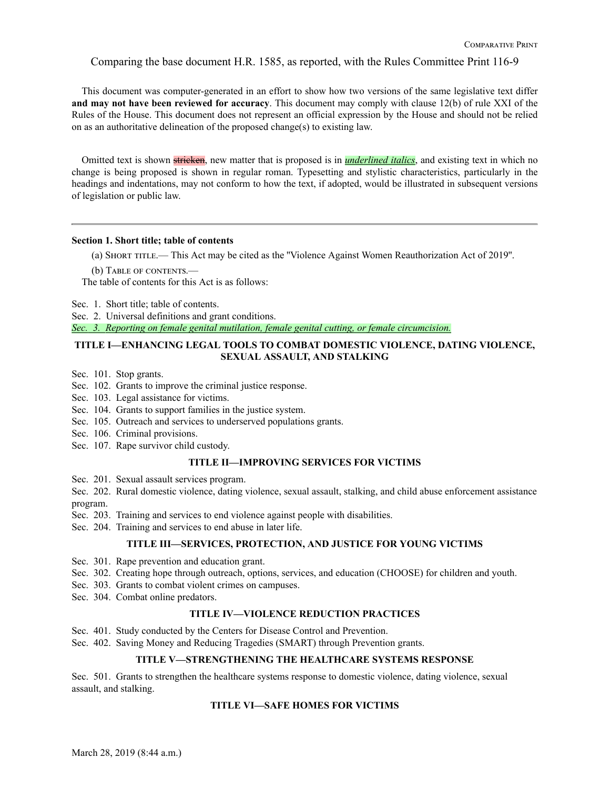Comparing the base document H.R. 1585, as reported, with the Rules Committee Print 116-9

This document was computer-generated in an effort to show how two versions of the same legislative text differ **and may not have been reviewed for accuracy**. This document may comply with clause 12(b) of rule XXI of the Rules of the House. This document does not represent an official expression by the House and should not be relied on as an authoritative delineation of the proposed change(s) to existing law.

Omitted text is shown stricken, new matter that is proposed is in *underlined italics*, and existing text in which no change is being proposed is shown in regular roman. Typesetting and stylistic characteristics, particularly in the headings and indentations, may not conform to how the text, if adopted, would be illustrated in subsequent versions of legislation or public law.

## **Section 1. Short title; table of contents**

(a) Short title.— This Act may be cited as the ''Violence Against Women Reauthorization Act of 2019''.

(b) TABLE OF CONTENTS.

The table of contents for this Act is as follows:

Sec. 1. Short title; table of contents.

Sec. 2. Universal definitions and grant conditions.

*Sec. 3. Reporting on female genital mutilation, female genital cutting, or female circumcision.*

## **TITLE I—ENHANCING LEGAL TOOLS TO COMBAT DOMESTIC VIOLENCE, DATING VIOLENCE, SEXUAL ASSAULT, AND STALKING**

Sec. 101. Stop grants.

- Sec. 102. Grants to improve the criminal justice response.
- Sec. 103. Legal assistance for victims.
- Sec. 104. Grants to support families in the justice system.
- Sec. 105. Outreach and services to underserved populations grants.
- Sec. 106. Criminal provisions.
- Sec. 107. Rape survivor child custody.

### **TITLE II—IMPROVING SERVICES FOR VICTIMS**

Sec. 201. Sexual assault services program.

- Sec. 202. Rural domestic violence, dating violence, sexual assault, stalking, and child abuse enforcement assistance program.
- Sec. 203. Training and services to end violence against people with disabilities.
- Sec. 204. Training and services to end abuse in later life.

#### **TITLE III—SERVICES, PROTECTION, AND JUSTICE FOR YOUNG VICTIMS**

- Sec. 301. Rape prevention and education grant.
- Sec. 302. Creating hope through outreach, options, services, and education (CHOOSE) for children and youth.
- Sec. 303. Grants to combat violent crimes on campuses.
- Sec. 304. Combat online predators.

## **TITLE IV—VIOLENCE REDUCTION PRACTICES**

- Sec. 401. Study conducted by the Centers for Disease Control and Prevention.
- Sec. 402. Saving Money and Reducing Tragedies (SMART) through Prevention grants.

## **TITLE V—STRENGTHENING THE HEALTHCARE SYSTEMS RESPONSE**

Sec. 501. Grants to strengthen the healthcare systems response to domestic violence, dating violence, sexual assault, and stalking.

## **TITLE VI—SAFE HOMES FOR VICTIMS**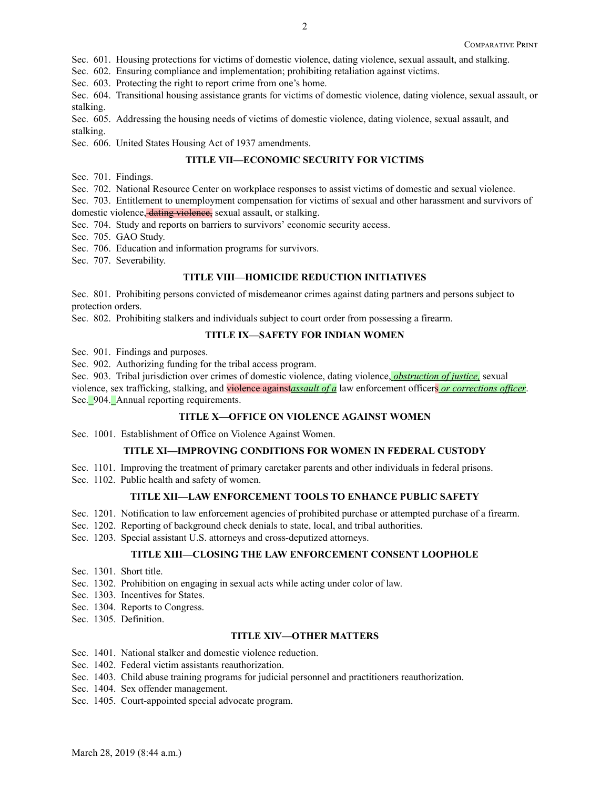Sec. 601. Housing protections for victims of domestic violence, dating violence, sexual assault, and stalking.

Sec. 602. Ensuring compliance and implementation; prohibiting retaliation against victims.

Sec. 603. Protecting the right to report crime from one's home.

Sec. 604. Transitional housing assistance grants for victims of domestic violence, dating violence, sexual assault, or stalking.

Sec. 605. Addressing the housing needs of victims of domestic violence, dating violence, sexual assault, and stalking.

Sec. 606. United States Housing Act of 1937 amendments.

## **TITLE VII—ECONOMIC SECURITY FOR VICTIMS**

Sec. 701. Findings.

Sec. 702. National Resource Center on workplace responses to assist victims of domestic and sexual violence.

Sec. 703. Entitlement to unemployment compensation for victims of sexual and other harassment and survivors of

domestic violence, dating violence, sexual assault, or stalking.

Sec. 704. Study and reports on barriers to survivors' economic security access.

Sec. 705. GAO Study.

Sec. 706. Education and information programs for survivors.

Sec. 707. Severability.

## **TITLE VIII—HOMICIDE REDUCTION INITIATIVES**

Sec. 801. Prohibiting persons convicted of misdemeanor crimes against dating partners and persons subject to protection orders.

Sec. 802. Prohibiting stalkers and individuals subject to court order from possessing a firearm.

## **TITLE IX—SAFETY FOR INDIAN WOMEN**

Sec. 901. Findings and purposes.

Sec. 902. Authorizing funding for the tribal access program.

Sec. 903. Tribal jurisdiction over crimes of domestic violence, dating violence, *obstruction of justice,* sexual violence, sex trafficking, stalking, and violence against*assault of a* law enforcement officers *or corrections officer*. Sec. 904. Annual reporting requirements.

## **TITLE X—OFFICE ON VIOLENCE AGAINST WOMEN**

Sec. 1001. Establishment of Office on Violence Against Women.

## **TITLE XI—IMPROVING CONDITIONS FOR WOMEN IN FEDERAL CUSTODY**

- Sec. 1101. Improving the treatment of primary caretaker parents and other individuals in federal prisons.
- Sec. 1102. Public health and safety of women.

## **TITLE XII—LAW ENFORCEMENT TOOLS TO ENHANCE PUBLIC SAFETY**

- Sec. 1201. Notification to law enforcement agencies of prohibited purchase or attempted purchase of a firearm.
- Sec. 1202. Reporting of background check denials to state, local, and tribal authorities.
- Sec. 1203. Special assistant U.S. attorneys and cross-deputized attorneys.

## **TITLE XIII—CLOSING THE LAW ENFORCEMENT CONSENT LOOPHOLE**

- Sec. 1301. Short title.
- Sec. 1302. Prohibition on engaging in sexual acts while acting under color of law.
- Sec. 1303. Incentives for States.
- Sec. 1304. Reports to Congress.
- Sec. 1305. Definition.

#### **TITLE XIV—OTHER MATTERS**

- Sec. 1401. National stalker and domestic violence reduction.
- Sec. 1402. Federal victim assistants reauthorization.
- Sec. 1403. Child abuse training programs for judicial personnel and practitioners reauthorization.
- Sec. 1404. Sex offender management.
- Sec. 1405. Court-appointed special advocate program.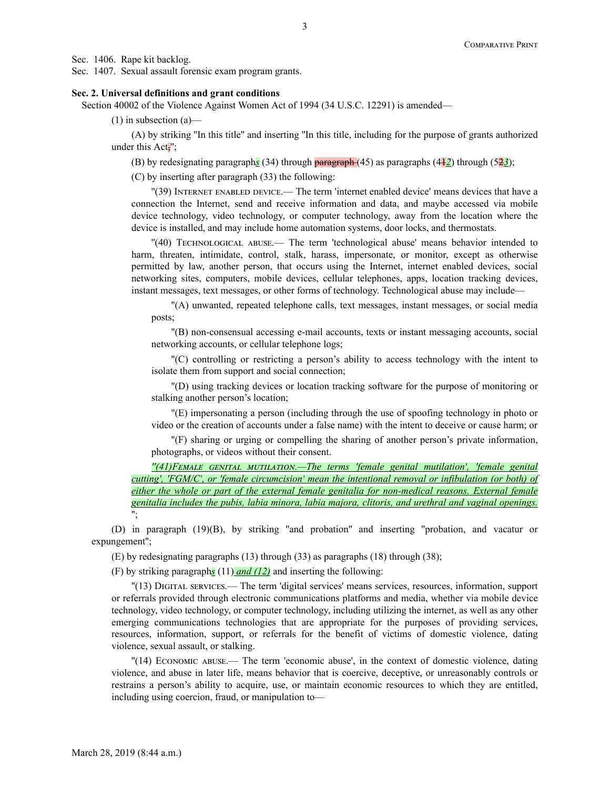Sec. 1406. Rape kit backlog.

Sec. 1407. Sexual assault forensic exam program grants.

#### **Sec. 2. Universal definitions and grant conditions**

Section 40002 of the Violence Against Women Act of 1994 (34 U.S.C. 12291) is amended—

(1) in subsection (a)—

(A) by striking ''In this title'' and inserting ''In this title, including for the purpose of grants authorized under this Act<sup>-</sup>';

(B) by redesignating paragraph*s* (34) through paragraph (45) as paragraphs (41*2*) through (52*3*);

(C) by inserting after paragraph (33) the following:

''(39) Internet enabled device.— The term 'internet enabled device' means devices that have a connection the Internet, send and receive information and data, and maybe accessed via mobile device technology, video technology, or computer technology, away from the location where the device is installed, and may include home automation systems, door locks, and thermostats.

''(40) Technological abuse.— The term 'technological abuse' means behavior intended to harm, threaten, intimidate, control, stalk, harass, impersonate, or monitor, except as otherwise permitted by law, another person, that occurs using the Internet, internet enabled devices, social networking sites, computers, mobile devices, cellular telephones, apps, location tracking devices, instant messages, text messages, or other forms of technology. Technological abuse may include—

''(A) unwanted, repeated telephone calls, text messages, instant messages, or social media posts;

''(B) non-consensual accessing e-mail accounts, texts or instant messaging accounts, social networking accounts, or cellular telephone logs;

''(C) controlling or restricting a person's ability to access technology with the intent to isolate them from support and social connection;

''(D) using tracking devices or location tracking software for the purpose of monitoring or stalking another person's location;

''(E) impersonating a person (including through the use of spoofing technology in photo or video or the creation of accounts under a false name) with the intent to deceive or cause harm; or

''(F) sharing or urging or compelling the sharing of another person's private information, photographs, or videos without their consent.

*''(41)Femਁle genitਁl mutilਁtion.—The terms 'female genital mutilation', 'female genital cutting', 'FGM/C', or 'female circumcision' mean the intentional removal or infibulation (or both) of either the whole or part of the external female genitalia for non-medical reasons. External female genitalia includes the pubis, labia minora, labia majora, clitoris, and urethral and vaginal openings.* '';

(D) in paragraph (19)(B), by striking ''and probation'' and inserting ''probation, and vacatur or expungement'';

(E) by redesignating paragraphs (13) through (33) as paragraphs (18) through (38);

(F) by striking paragraph*s* (11) *and (12)* and inserting the following:

''(13) Digital services.— The term 'digital services' means services, resources, information, support or referrals provided through electronic communications platforms and media, whether via mobile device technology, video technology, or computer technology, including utilizing the internet, as well as any other emerging communications technologies that are appropriate for the purposes of providing services, resources, information, support, or referrals for the benefit of victims of domestic violence, dating violence, sexual assault, or stalking.

''(14) Economic abuse.— The term 'economic abuse', in the context of domestic violence, dating violence, and abuse in later life, means behavior that is coercive, deceptive, or unreasonably controls or restrains a person's ability to acquire, use, or maintain economic resources to which they are entitled, including using coercion, fraud, or manipulation to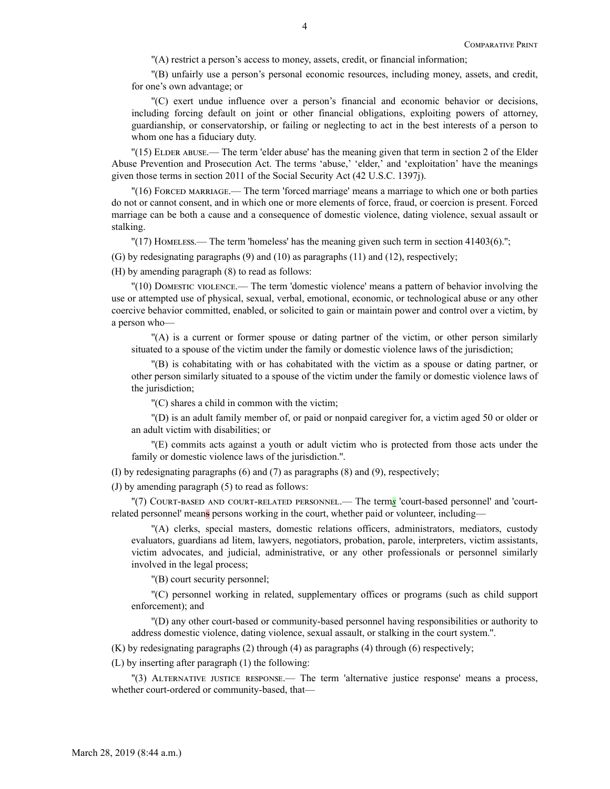''(A) restrict a person's access to money, assets, credit, or financial information;

''(B) unfairly use a person's personal economic resources, including money, assets, and credit, for one's own advantage; or

''(C) exert undue influence over a person's financial and economic behavior or decisions, including forcing default on joint or other financial obligations, exploiting powers of attorney, guardianship, or conservatorship, or failing or neglecting to act in the best interests of a person to whom one has a fiduciary duty.

''(15) Elder abuse.— The term 'elder abuse' has the meaning given that term in section 2 of the Elder Abuse Prevention and Prosecution Act. The terms 'abuse,' 'elder,' and 'exploitation' have the meanings given those terms in section 2011 of the Social Security Act (42 U.S.C. 1397j).

''(16) Forced marriage.— The term 'forced marriage' means a marriage to which one or both parties do not or cannot consent, and in which one or more elements of force, fraud, or coercion is present. Forced marriage can be both a cause and a consequence of domestic violence, dating violence, sexual assault or stalking.

 $\Gamma(17)$  Homeless.— The term 'homeless' has the meaning given such term in section 41403(6).";

(G) by redesignating paragraphs (9) and (10) as paragraphs (11) and (12), respectively;

(H) by amending paragraph (8) to read as follows:

''(10) Domestic violence.— The term 'domestic violence' means a pattern of behavior involving the use or attempted use of physical, sexual, verbal, emotional, economic, or technological abuse or any other coercive behavior committed, enabled, or solicited to gain or maintain power and control over a victim, by a person who—

''(A) is a current or former spouse or dating partner of the victim, or other person similarly situated to a spouse of the victim under the family or domestic violence laws of the jurisdiction;

''(B) is cohabitating with or has cohabitated with the victim as a spouse or dating partner, or other person similarly situated to a spouse of the victim under the family or domestic violence laws of the jurisdiction;

''(C) shares a child in common with the victim;

''(D) is an adult family member of, or paid or nonpaid caregiver for, a victim aged 50 or older or an adult victim with disabilities; or

''(E) commits acts against a youth or adult victim who is protected from those acts under the family or domestic violence laws of the jurisdiction.''.

(I) by redesignating paragraphs (6) and (7) as paragraphs (8) and (9), respectively;

(J) by amending paragraph (5) to read as follows:

''(7) Court-based and court-related personnel.— The term*s* 'court-based personnel' and 'courtrelated personnel' means persons working in the court, whether paid or volunteer, including—

''(A) clerks, special masters, domestic relations officers, administrators, mediators, custody evaluators, guardians ad litem, lawyers, negotiators, probation, parole, interpreters, victim assistants, victim advocates, and judicial, administrative, or any other professionals or personnel similarly involved in the legal process;

''(B) court security personnel;

''(C) personnel working in related, supplementary offices or programs (such as child support enforcement); and

''(D) any other court-based or community-based personnel having responsibilities or authority to address domestic violence, dating violence, sexual assault, or stalking in the court system.''.

(K) by redesignating paragraphs (2) through (4) as paragraphs (4) through (6) respectively;

(L) by inserting after paragraph (1) the following:

''(3) Alternative justice response.— The term 'alternative justice response' means a process, whether court-ordered or community-based, that—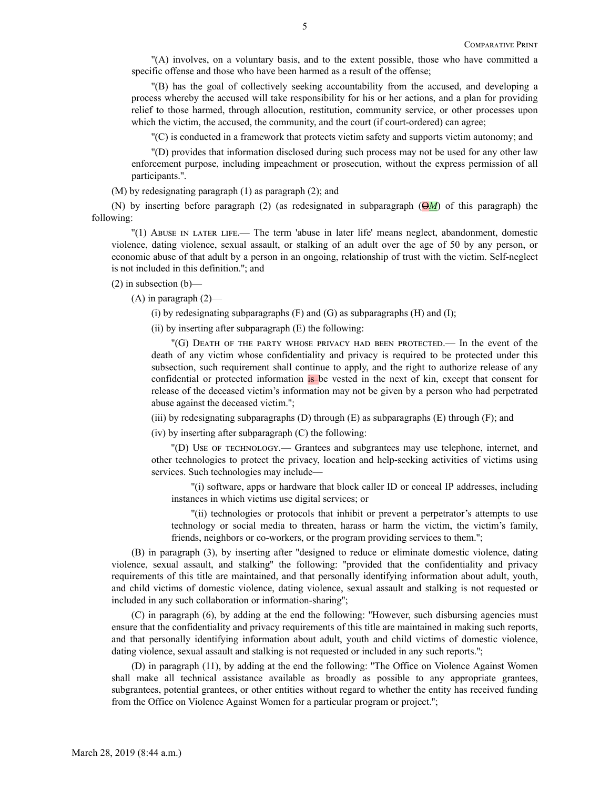''(A) involves, on a voluntary basis, and to the extent possible, those who have committed a specific offense and those who have been harmed as a result of the offense;

''(B) has the goal of collectively seeking accountability from the accused, and developing a process whereby the accused will take responsibility for his or her actions, and a plan for providing relief to those harmed, through allocution, restitution, community service, or other processes upon which the victim, the accused, the community, and the court (if court-ordered) can agree;

''(C) is conducted in a framework that protects victim safety and supports victim autonomy; and

''(D) provides that information disclosed during such process may not be used for any other law enforcement purpose, including impeachment or prosecution, without the express permission of all participants.''.

(M) by redesignating paragraph (1) as paragraph (2); and

(N) by inserting before paragraph (2) (as redesignated in subparagraph  $(\Theta M)$  of this paragraph) the following:

''(1) Abuse in later life.— The term 'abuse in later life' means neglect, abandonment, domestic violence, dating violence, sexual assault, or stalking of an adult over the age of 50 by any person, or economic abuse of that adult by a person in an ongoing, relationship of trust with the victim. Self-neglect is not included in this definition.''; and

 $(2)$  in subsection  $(b)$ —

 $(A)$  in paragraph  $(2)$ —

(i) by redesignating subparagraphs  $(F)$  and  $(G)$  as subparagraphs  $(H)$  and  $(I)$ ;

(ii) by inserting after subparagraph (E) the following:

''(G) Death of the party whose privacy had been protected.— In the event of the death of any victim whose confidentiality and privacy is required to be protected under this subsection, such requirement shall continue to apply, and the right to authorize release of any confidential or protected information is be vested in the next of kin, except that consent for release of the deceased victim's information may not be given by a person who had perpetrated abuse against the deceased victim.'';

(iii) by redesignating subparagraphs  $(D)$  through  $(E)$  as subparagraphs  $(E)$  through  $(F)$ ; and

(iv) by inserting after subparagraph (C) the following:

''(D) Use of technology.— Grantees and subgrantees may use telephone, internet, and other technologies to protect the privacy, location and help-seeking activities of victims using services. Such technologies may include—

''(i) software, apps or hardware that block caller ID or conceal IP addresses, including instances in which victims use digital services; or

''(ii) technologies or protocols that inhibit or prevent a perpetrator's attempts to use technology or social media to threaten, harass or harm the victim, the victim's family, friends, neighbors or co-workers, or the program providing services to them.'';

(B) in paragraph (3), by inserting after ''designed to reduce or eliminate domestic violence, dating violence, sexual assault, and stalking'' the following: ''provided that the confidentiality and privacy requirements of this title are maintained, and that personally identifying information about adult, youth, and child victims of domestic violence, dating violence, sexual assault and stalking is not requested or included in any such collaboration or information-sharing'';

(C) in paragraph (6), by adding at the end the following: ''However, such disbursing agencies must ensure that the confidentiality and privacy requirements of this title are maintained in making such reports, and that personally identifying information about adult, youth and child victims of domestic violence, dating violence, sexual assault and stalking is not requested or included in any such reports.'';

(D) in paragraph (11), by adding at the end the following: ''The Office on Violence Against Women shall make all technical assistance available as broadly as possible to any appropriate grantees, subgrantees, potential grantees, or other entities without regard to whether the entity has received funding from the Office on Violence Against Women for a particular program or project.'';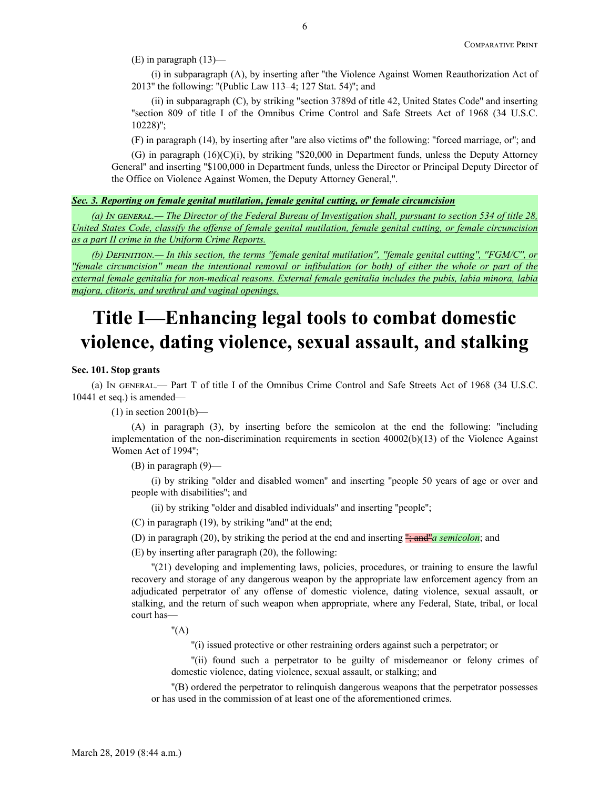(E) in paragraph (13)—

(i) in subparagraph (A), by inserting after ''the Violence Against Women Reauthorization Act of 2013'' the following: ''(Public Law 113–4; 127 Stat. 54)''; and

(ii) in subparagraph (C), by striking ''section 3789d of title 42, United States Code'' and inserting ''section 809 of title I of the Omnibus Crime Control and Safe Streets Act of 1968 (34 U.S.C. 10228)'';

(F) in paragraph (14), by inserting after ''are also victims of'' the following: ''forced marriage, or''; and

 $(G)$  in paragraph  $(16)(C)(i)$ , by striking "\$20,000 in Department funds, unless the Deputy Attorney General'' and inserting ''\$100,000 in Department funds, unless the Director or Principal Deputy Director of the Office on Violence Against Women, the Deputy Attorney General,''.

## *Sec. 3. Reporting on female genital mutilation, female genital cutting, or female circumcision*

*(a) In GENERAL.— The Director of the Federal Bureau of Investigation shall, pursuant to section 534 of title 28, United States Code, classify the offense of female genital mutilation, female genital cutting, or female circumcision as a part II crime in the Uniform Crime Reports.*

*(b) Definition.— In this section, the terms ''female genital mutilation'', ''female genital cutting'', ''FGM/C'', or ''female circumcision'' mean the intentional removal or infibulation (or both) of either the whole or part of the external female genitalia for non-medical reasons. External female genitalia includes the pubis, labia minora, labia majora, clitoris, and urethral and vaginal openings.*

# **Title I—Enhancing legal tools to combat domestic violence, dating violence, sexual assault, and stalking**

## **Sec. 101. Stop grants**

(a) In general.— Part T of title I of the Omnibus Crime Control and Safe Streets Act of 1968 (34 U.S.C. 10441 et seq.) is amended—

 $(1)$  in section 2001(b)—

(A) in paragraph (3), by inserting before the semicolon at the end the following: ''including implementation of the non-discrimination requirements in section 40002(b)(13) of the Violence Against Women Act of 1994'';

(B) in paragraph (9)—

(i) by striking ''older and disabled women'' and inserting ''people 50 years of age or over and people with disabilities''; and

(ii) by striking ''older and disabled individuals'' and inserting ''people'';

(C) in paragraph (19), by striking ''and'' at the end;

(D) in paragraph (20), by striking the period at the end and inserting ''; and''*a semicolon*; and

(E) by inserting after paragraph (20), the following:

''(21) developing and implementing laws, policies, procedures, or training to ensure the lawful recovery and storage of any dangerous weapon by the appropriate law enforcement agency from an adjudicated perpetrator of any offense of domestic violence, dating violence, sexual assault, or stalking, and the return of such weapon when appropriate, where any Federal, State, tribal, or local court has—

 $"({\rm A})$ 

''(i) issued protective or other restraining orders against such a perpetrator; or

''(ii) found such a perpetrator to be guilty of misdemeanor or felony crimes of domestic violence, dating violence, sexual assault, or stalking; and

''(B) ordered the perpetrator to relinquish dangerous weapons that the perpetrator possesses or has used in the commission of at least one of the aforementioned crimes.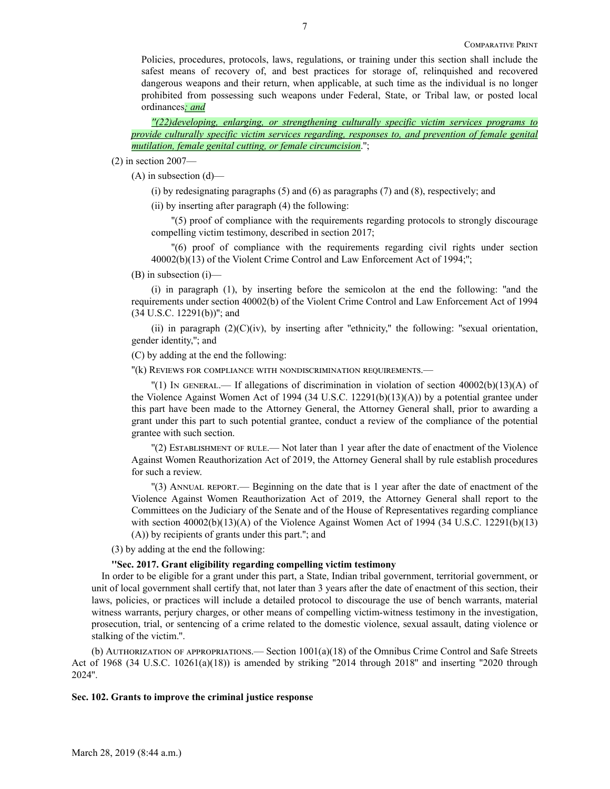Policies, procedures, protocols, laws, regulations, or training under this section shall include the safest means of recovery of, and best practices for storage of, relinquished and recovered dangerous weapons and their return, when applicable, at such time as the individual is no longer prohibited from possessing such weapons under Federal, State, or Tribal law, or posted local ordinances*; and*

*''(22)developing, enlarging, or strengthening culturally specific victim services programs to provide culturally specific victim services regarding, responses to, and prevention of female genital mutilation, female genital cutting, or female circumcision*.'';

(2) in section 2007—

 $(A)$  in subsection  $(d)$ —

(i) by redesignating paragraphs (5) and (6) as paragraphs (7) and (8), respectively; and

(ii) by inserting after paragraph (4) the following:

''(5) proof of compliance with the requirements regarding protocols to strongly discourage compelling victim testimony, described in section 2017;

''(6) proof of compliance with the requirements regarding civil rights under section 40002(b)(13) of the Violent Crime Control and Law Enforcement Act of 1994;'';

(B) in subsection (i)—

(i) in paragraph (1), by inserting before the semicolon at the end the following: ''and the requirements under section 40002(b) of the Violent Crime Control and Law Enforcement Act of 1994 (34 U.S.C. 12291(b))''; and

(ii) in paragraph  $(2)(C)(iv)$ , by inserting after "ethnicity," the following: "sexual orientation, gender identity,''; and

(C) by adding at the end the following:

''(k) Reviews for compliance with nondiscrimination requirements.—

 $\vert$  (1) In GENERAL.— If allegations of discrimination in violation of section 40002(b)(13)(A) of the Violence Against Women Act of 1994 (34 U.S.C. 12291(b)(13)(A)) by a potential grantee under this part have been made to the Attorney General, the Attorney General shall, prior to awarding a grant under this part to such potential grantee, conduct a review of the compliance of the potential grantee with such section.

''(2) Establishment of rule.— Not later than 1 year after the date of enactment of the Violence Against Women Reauthorization Act of 2019, the Attorney General shall by rule establish procedures for such a review.

''(3) Annual report.— Beginning on the date that is 1 year after the date of enactment of the Violence Against Women Reauthorization Act of 2019, the Attorney General shall report to the Committees on the Judiciary of the Senate and of the House of Representatives regarding compliance with section 40002(b)(13)(A) of the Violence Against Women Act of 1994 (34 U.S.C. 12291(b)(13) (A)) by recipients of grants under this part.''; and

(3) by adding at the end the following:

#### **''Sec. 2017. Grant eligibility regarding compelling victim testimony**

In order to be eligible for a grant under this part, a State, Indian tribal government, territorial government, or unit of local government shall certify that, not later than 3 years after the date of enactment of this section, their laws, policies, or practices will include a detailed protocol to discourage the use of bench warrants, material witness warrants, perjury charges, or other means of compelling victim-witness testimony in the investigation, prosecution, trial, or sentencing of a crime related to the domestic violence, sexual assault, dating violence or stalking of the victim.''.

(b) Authorization of appropriations.— Section 1001(a)(18) of the Omnibus Crime Control and Safe Streets Act of 1968 (34 U.S.C. 10261(a)(18)) is amended by striking "2014 through 2018" and inserting "2020 through 2024''.

### **Sec. 102. Grants to improve the criminal justice response**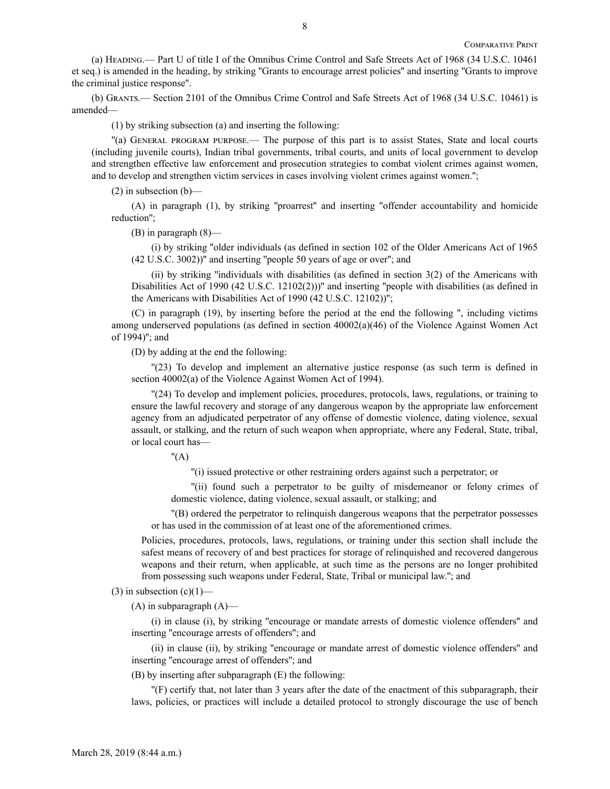(a) Heading.— Part U of title I of the Omnibus Crime Control and Safe Streets Act of 1968 (34 U.S.C. 10461 et seq.) is amended in the heading, by striking ''Grants to encourage arrest policies'' and inserting ''Grants to improve the criminal justice response''.

(b) Grants.— Section 2101 of the Omnibus Crime Control and Safe Streets Act of 1968 (34 U.S.C. 10461) is amended—

(1) by striking subsection (a) and inserting the following:

''(a) General program purpose.— The purpose of this part is to assist States, State and local courts (including juvenile courts), Indian tribal governments, tribal courts, and units of local government to develop and strengthen effective law enforcement and prosecution strategies to combat violent crimes against women, and to develop and strengthen victim services in cases involving violent crimes against women.'';

(2) in subsection (b)—

(A) in paragraph (1), by striking ''proarrest'' and inserting ''offender accountability and homicide reduction'';

(B) in paragraph (8)—

(i) by striking ''older individuals (as defined in section 102 of the Older Americans Act of 1965 (42 U.S.C. 3002))'' and inserting ''people 50 years of age or over''; and

(ii) by striking "individuals with disabilities (as defined in section  $3(2)$  of the Americans with Disabilities Act of 1990 (42 U.S.C. 12102(2)))" and inserting "people with disabilities (as defined in the Americans with Disabilities Act of 1990 (42 U.S.C. 12102))'';

(C) in paragraph (19), by inserting before the period at the end the following '', including victims among underserved populations (as defined in section 40002(a)(46) of the Violence Against Women Act of 1994)''; and

(D) by adding at the end the following:

''(23) To develop and implement an alternative justice response (as such term is defined in section 40002(a) of the Violence Against Women Act of 1994).

''(24) To develop and implement policies, procedures, protocols, laws, regulations, or training to ensure the lawful recovery and storage of any dangerous weapon by the appropriate law enforcement agency from an adjudicated perpetrator of any offense of domestic violence, dating violence, sexual assault, or stalking, and the return of such weapon when appropriate, where any Federal, State, tribal, or local court has—

 $"(A)$ 

''(i) issued protective or other restraining orders against such a perpetrator; or

''(ii) found such a perpetrator to be guilty of misdemeanor or felony crimes of domestic violence, dating violence, sexual assault, or stalking; and

''(B) ordered the perpetrator to relinquish dangerous weapons that the perpetrator possesses or has used in the commission of at least one of the aforementioned crimes.

Policies, procedures, protocols, laws, regulations, or training under this section shall include the safest means of recovery of and best practices for storage of relinquished and recovered dangerous weapons and their return, when applicable, at such time as the persons are no longer prohibited from possessing such weapons under Federal, State, Tribal or municipal law.''; and

(3) in subsection  $(c)(1)$ —

 $(A)$  in subparagraph  $(A)$ —

(i) in clause (i), by striking ''encourage or mandate arrests of domestic violence offenders'' and inserting ''encourage arrests of offenders''; and

(ii) in clause (ii), by striking ''encourage or mandate arrest of domestic violence offenders'' and inserting ''encourage arrest of offenders''; and

(B) by inserting after subparagraph (E) the following:

''(F) certify that, not later than 3 years after the date of the enactment of this subparagraph, their laws, policies, or practices will include a detailed protocol to strongly discourage the use of bench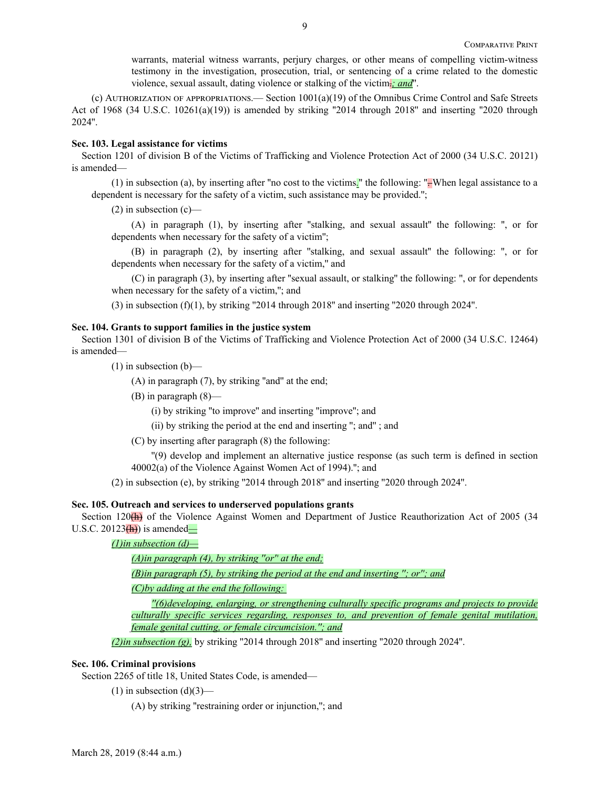warrants, material witness warrants, perjury charges, or other means of compelling victim-witness testimony in the investigation, prosecution, trial, or sentencing of a crime related to the domestic violence, sexual assault, dating violence or stalking of the victim.*; and*''.

(c) Authorization of appropriations.— Section 1001(a)(19) of the Omnibus Crime Control and Safe Streets Act of 1968 (34 U.S.C. 10261(a)(19)) is amended by striking "2014 through 2018" and inserting "2020 through 2024''.

#### **Sec. 103. Legal assistance for victims**

Section 1201 of division B of the Victims of Trafficking and Violence Protection Act of 2000 (34 U.S.C. 20121) is amended—

(1) in subsection (a), by inserting after ''no cost to the victims*.*'' the following: ''. When legal assistance to a dependent is necessary for the safety of a victim, such assistance may be provided.'';

 $(2)$  in subsection  $(c)$ —

(A) in paragraph (1), by inserting after ''stalking, and sexual assault'' the following: '', or for dependents when necessary for the safety of a victim'';

(B) in paragraph (2), by inserting after ''stalking, and sexual assault'' the following: '', or for dependents when necessary for the safety of a victim," and

(C) in paragraph (3), by inserting after ''sexual assault, or stalking'' the following: '', or for dependents when necessary for the safety of a victim,"; and

(3) in subsection (f)(1), by striking "2014 through 2018" and inserting "2020 through 2024".

#### **Sec. 104. Grants to support families in the justice system**

Section 1301 of division B of the Victims of Trafficking and Violence Protection Act of 2000 (34 U.S.C. 12464) is amended—

 $(1)$  in subsection  $(b)$ —

(A) in paragraph (7), by striking ''and'' at the end;

(B) in paragraph (8)—

(i) by striking ''to improve'' and inserting ''improve''; and

(ii) by striking the period at the end and inserting ''; and'' ; and

(C) by inserting after paragraph (8) the following:

''(9) develop and implement an alternative justice response (as such term is defined in section 40002(a) of the Violence Against Women Act of 1994).''; and

(2) in subsection (e), by striking ''2014 through 2018'' and inserting ''2020 through 2024''.

## **Sec. 105. Outreach and services to underserved populations grants**

Section 120<sup>(h)</sup> of the Violence Against Women and Department of Justice Reauthorization Act of 2005 (34 U.S.C. 20123(h)) is amended*—*

*(1)in subsection (d)—*

*(A)in paragraph (4), by striking ''or'' at the end;*

*(B)in paragraph (5), by striking the period at the end and inserting ''; or''; and*

*(C)by adding at the end the following:* 

*''(6)developing, enlarging, or strengthening culturally specific programs and projects to provide culturally specific services regarding, responses to, and prevention of female genital mutilation, female genital cutting, or female circumcision.''; and*

*(2)in subsection (g),* by striking ''2014 through 2018'' and inserting ''2020 through 2024''.

#### **Sec. 106. Criminal provisions**

Section 2265 of title 18, United States Code, is amended—

 $(1)$  in subsection  $(d)(3)$ —

(A) by striking ''restraining order or injunction,''; and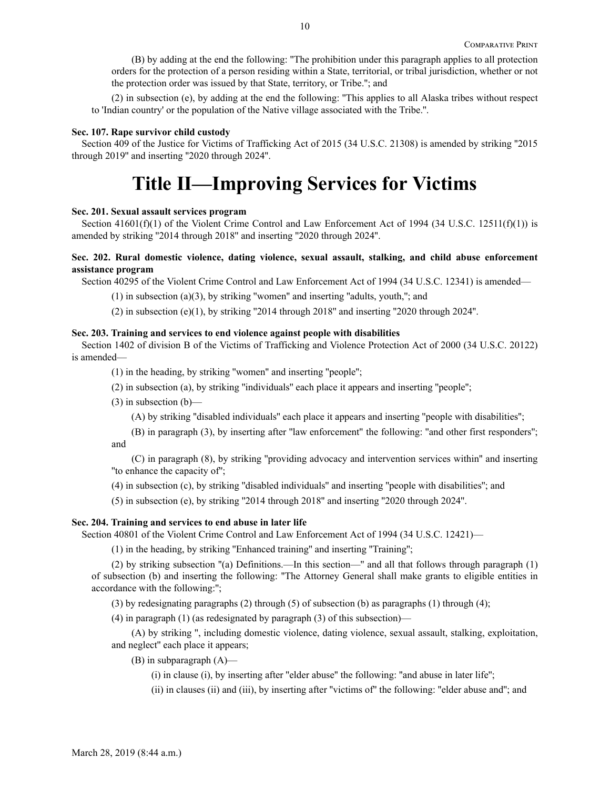(B) by adding at the end the following: ''The prohibition under this paragraph applies to all protection orders for the protection of a person residing within a State, territorial, or tribal jurisdiction, whether or not the protection order was issued by that State, territory, or Tribe.''; and

(2) in subsection (e), by adding at the end the following: ''This applies to all Alaska tribes without respect to 'Indian country' or the population of the Native village associated with the Tribe.''.

### **Sec. 107. Rape survivor child custody**

Section 409 of the Justice for Victims of Trafficking Act of 2015 (34 U.S.C. 21308) is amended by striking ''2015 through 2019'' and inserting ''2020 through 2024''.

# **Title II—Improving Services for Victims**

### **Sec. 201. Sexual assault services program**

Section 41601(f)(1) of the Violent Crime Control and Law Enforcement Act of 1994 (34 U.S.C. 12511(f)(1)) is amended by striking ''2014 through 2018'' and inserting ''2020 through 2024''.

## **Sec. 202. Rural domestic violence, dating violence, sexual assault, stalking, and child abuse enforcement assistance program**

Section 40295 of the Violent Crime Control and Law Enforcement Act of 1994 (34 U.S.C. 12341) is amended—

 $(1)$  in subsection  $(a)(3)$ , by striking "women" and inserting "adults, youth,"; and

(2) in subsection  $(e)(1)$ , by striking "2014 through 2018" and inserting "2020 through 2024".

#### **Sec. 203. Training and services to end violence against people with disabilities**

Section 1402 of division B of the Victims of Trafficking and Violence Protection Act of 2000 (34 U.S.C. 20122) is amended—

(1) in the heading, by striking ''women'' and inserting ''people'';

(2) in subsection (a), by striking ''individuals'' each place it appears and inserting ''people'';

(3) in subsection (b)—

(A) by striking ''disabled individuals'' each place it appears and inserting ''people with disabilities'';

(B) in paragraph (3), by inserting after ''law enforcement'' the following: ''and other first responders''; and

(C) in paragraph (8), by striking ''providing advocacy and intervention services within'' and inserting ''to enhance the capacity of'';

(4) in subsection (c), by striking ''disabled individuals'' and inserting ''people with disabilities''; and

(5) in subsection (e), by striking ''2014 through 2018'' and inserting ''2020 through 2024''.

#### **Sec. 204. Training and services to end abuse in later life**

Section 40801 of the Violent Crime Control and Law Enforcement Act of 1994 (34 U.S.C. 12421)—

(1) in the heading, by striking ''Enhanced training'' and inserting ''Training'';

(2) by striking subsection ''(a) Definitions.—In this section—'' and all that follows through paragraph (1) of subsection (b) and inserting the following: ''The Attorney General shall make grants to eligible entities in accordance with the following:'';

(3) by redesignating paragraphs (2) through (5) of subsection (b) as paragraphs (1) through (4);

(4) in paragraph (1) (as redesignated by paragraph (3) of this subsection)—

(A) by striking '', including domestic violence, dating violence, sexual assault, stalking, exploitation, and neglect'' each place it appears;

(B) in subparagraph (A)—

(i) in clause (i), by inserting after ''elder abuse'' the following: ''and abuse in later life'';

(ii) in clauses (ii) and (iii), by inserting after ''victims of'' the following: ''elder abuse and''; and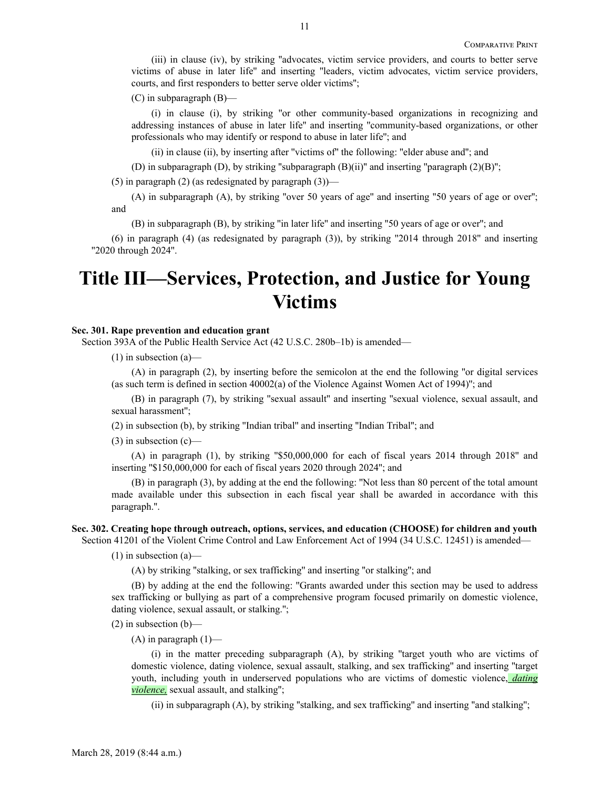(iii) in clause (iv), by striking ''advocates, victim service providers, and courts to better serve victims of abuse in later life'' and inserting ''leaders, victim advocates, victim service providers, courts, and first responders to better serve older victims'';

(C) in subparagraph (B)—

(i) in clause (i), by striking ''or other community-based organizations in recognizing and addressing instances of abuse in later life'' and inserting ''community-based organizations, or other professionals who may identify or respond to abuse in later life''; and

(ii) in clause (ii), by inserting after ''victims of'' the following: ''elder abuse and''; and

(D) in subparagraph (D), by striking ''subparagraph (B)(ii)'' and inserting ''paragraph (2)(B)'';

(5) in paragraph (2) (as redesignated by paragraph  $(3)$ )—

(A) in subparagraph (A), by striking ''over 50 years of age'' and inserting ''50 years of age or over''; and

(B) in subparagraph (B), by striking ''in later life'' and inserting ''50 years of age or over''; and

(6) in paragraph (4) (as redesignated by paragraph (3)), by striking ''2014 through 2018'' and inserting ''2020 through 2024''.

# **Title III—Services, Protection, and Justice for Young Victims**

## **Sec. 301. Rape prevention and education grant**

Section 393A of the Public Health Service Act (42 U.S.C. 280b–1b) is amended—

(1) in subsection (a)—

(A) in paragraph (2), by inserting before the semicolon at the end the following ''or digital services (as such term is defined in section 40002(a) of the Violence Against Women Act of 1994)''; and

(B) in paragraph (7), by striking ''sexual assault'' and inserting ''sexual violence, sexual assault, and sexual harassment'';

(2) in subsection (b), by striking ''Indian tribal'' and inserting ''Indian Tribal''; and

 $(3)$  in subsection  $(c)$ —

(A) in paragraph (1), by striking ''\$50,000,000 for each of fiscal years 2014 through 2018'' and inserting ''\$150,000,000 for each of fiscal years 2020 through 2024''; and

(B) in paragraph (3), by adding at the end the following: ''Not less than 80 percent of the total amount made available under this subsection in each fiscal year shall be awarded in accordance with this paragraph.''.

#### **Sec. 302. Creating hope through outreach, options, services, and education (CHOOSE) for children and youth**

Section 41201 of the Violent Crime Control and Law Enforcement Act of 1994 (34 U.S.C. 12451) is amended—

 $(1)$  in subsection  $(a)$ —

(A) by striking ''stalking, or sex trafficking'' and inserting ''or stalking''; and

(B) by adding at the end the following: ''Grants awarded under this section may be used to address sex trafficking or bullying as part of a comprehensive program focused primarily on domestic violence, dating violence, sexual assault, or stalking.'';

 $(2)$  in subsection  $(b)$ —

 $(A)$  in paragraph  $(1)$ —

(i) in the matter preceding subparagraph (A), by striking ''target youth who are victims of domestic violence, dating violence, sexual assault, stalking, and sex trafficking'' and inserting ''target youth, including youth in underserved populations who are victims of domestic violence, *dating violence,* sexual assault, and stalking'';

(ii) in subparagraph (A), by striking ''stalking, and sex trafficking'' and inserting ''and stalking'';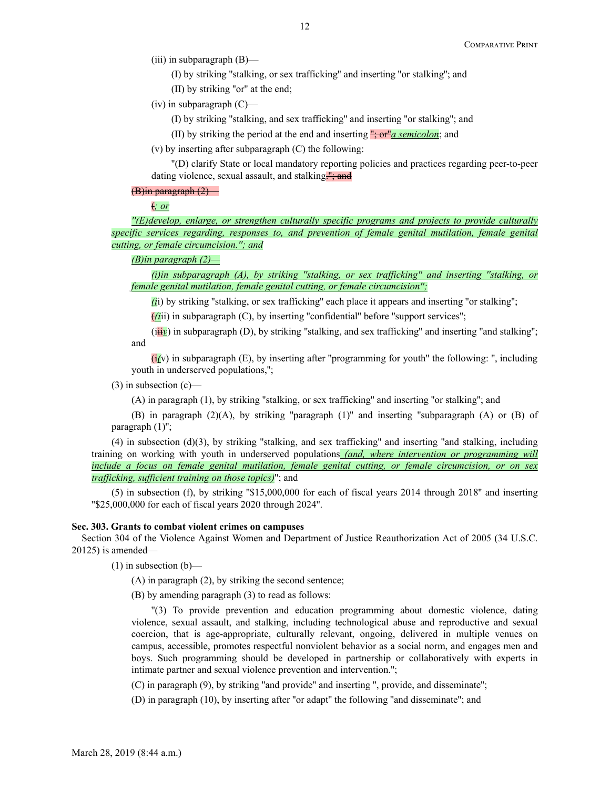(iii) in subparagraph (B)—

(I) by striking ''stalking, or sex trafficking'' and inserting ''or stalking''; and

(II) by striking ''or'' at the end;

(iv) in subparagraph  $(C)$ —

(I) by striking ''stalking, and sex trafficking'' and inserting ''or stalking''; and

(II) by striking the period at the end and inserting ''; or''*a semicolon*; and

(v) by inserting after subparagraph (C) the following:

''(D) clarify State or local mandatory reporting policies and practices regarding peer-to-peer dating violence, sexual assault, and stalking."; and

#### (B)in paragraph (2)—

(*; or*

*''(E)develop, enlarge, or strengthen culturally specific programs and projects to provide culturally specific services regarding, responses to, and prevention of female genital mutilation, female genital cutting, or female circumcision.''; and*

## *(B)in paragraph (2)—*

*(i)in subparagraph (A), by striking ''stalking, or sex trafficking'' and inserting ''stalking, or female genital mutilation, female genital cutting, or female circumcision'';*

*(i*i) by striking ''stalking, or sex trafficking'' each place it appears and inserting ''or stalking'';

 $f(iii)$  in subparagraph (C), by inserting "confidential" before "support services";

(iii<sub>*v*</sub>) in subparagraph (D), by striking "stalking, and sex trafficking" and inserting "and stalking"; and

(i*(*v) in subparagraph (E), by inserting after ''programming for youth'' the following: '', including youth in underserved populations,'';

 $(3)$  in subsection  $(c)$ —

(A) in paragraph (1), by striking ''stalking, or sex trafficking'' and inserting ''or stalking''; and

(B) in paragraph (2)(A), by striking ''paragraph (1)'' and inserting ''subparagraph (A) or (B) of paragraph  $(1)$ ";

(4) in subsection (d)(3), by striking ''stalking, and sex trafficking'' and inserting ''and stalking, including training on working with youth in underserved populations *(and, where intervention or programming will include a focus on female genital mutilation, female genital cutting, or female circumcision, or on sex trafficking, sufficient training on those topics)*''; and

(5) in subsection (f), by striking ''\$15,000,000 for each of fiscal years 2014 through 2018'' and inserting ''\$25,000,000 for each of fiscal years 2020 through 2024''.

### **Sec. 303. Grants to combat violent crimes on campuses**

Section 304 of the Violence Against Women and Department of Justice Reauthorization Act of 2005 (34 U.S.C. 20125) is amended—

 $(1)$  in subsection  $(b)$ —

(A) in paragraph (2), by striking the second sentence;

(B) by amending paragraph (3) to read as follows:

''(3) To provide prevention and education programming about domestic violence, dating violence, sexual assault, and stalking, including technological abuse and reproductive and sexual coercion, that is age-appropriate, culturally relevant, ongoing, delivered in multiple venues on campus, accessible, promotes respectful nonviolent behavior as a social norm, and engages men and boys. Such programming should be developed in partnership or collaboratively with experts in intimate partner and sexual violence prevention and intervention.'';

(C) in paragraph (9), by striking ''and provide'' and inserting '', provide, and disseminate'';

(D) in paragraph (10), by inserting after ''or adapt'' the following ''and disseminate''; and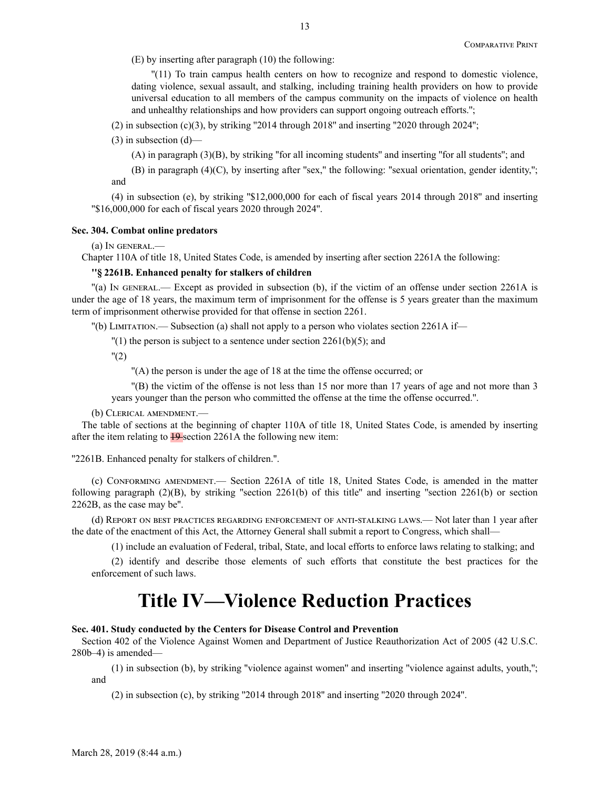(E) by inserting after paragraph (10) the following:

''(11) To train campus health centers on how to recognize and respond to domestic violence, dating violence, sexual assault, and stalking, including training health providers on how to provide universal education to all members of the campus community on the impacts of violence on health and unhealthy relationships and how providers can support ongoing outreach efforts.'';

 $(2)$  in subsection  $(c)(3)$ , by striking "2014 through 2018" and inserting "2020 through 2024";

 $(3)$  in subsection  $(d)$ —

(A) in paragraph (3)(B), by striking ''for all incoming students'' and inserting ''for all students''; and

(B) in paragraph  $(4)(C)$ , by inserting after "sex," the following: "sexual orientation, gender identity,"; and

(4) in subsection (e), by striking ''\$12,000,000 for each of fiscal years 2014 through 2018'' and inserting ''\$16,000,000 for each of fiscal years 2020 through 2024''.

### **Sec. 304. Combat online predators**

(a) In general.—

Chapter 110A of title 18, United States Code, is amended by inserting after section 2261A the following:

#### **''§ 2261B. Enhanced penalty for stalkers of children**

''(a) In general.— Except as provided in subsection (b), if the victim of an offense under section 2261A is under the age of 18 years, the maximum term of imprisonment for the offense is 5 years greater than the maximum term of imprisonment otherwise provided for that offense in section 2261.

''(b) Limitation.— Subsection (a) shall not apply to a person who violates section 2261A if—

 $''(1)$  the person is subject to a sentence under section 2261(b)(5); and

 $"(2)$ 

''(A) the person is under the age of 18 at the time the offense occurred; or

''(B) the victim of the offense is not less than 15 nor more than 17 years of age and not more than 3 years younger than the person who committed the offense at the time the offense occurred.''.

(b) Clerical amendment.—

The table of sections at the beginning of chapter 110A of title 18, United States Code, is amended by inserting after the item relating to  $\frac{19}{2}$  section 2261A the following new item:

''2261B. Enhanced penalty for stalkers of children.''.

(c) Conforming amendment.— Section 2261A of title 18, United States Code, is amended in the matter following paragraph  $(2)(B)$ , by striking "section 2261(b) of this title" and inserting "section 2261(b) or section 2262B, as the case may be''.

(d) Report on best practices regarding enforcement of anti-stalking laws.— Not later than 1 year after the date of the enactment of this Act, the Attorney General shall submit a report to Congress, which shall—

(1) include an evaluation of Federal, tribal, State, and local efforts to enforce laws relating to stalking; and

(2) identify and describe those elements of such efforts that constitute the best practices for the enforcement of such laws.

## **Title IV—Violence Reduction Practices**

#### **Sec. 401. Study conducted by the Centers for Disease Control and Prevention**

Section 402 of the Violence Against Women and Department of Justice Reauthorization Act of 2005 (42 U.S.C. 280b–4) is amended—

(1) in subsection (b), by striking ''violence against women'' and inserting ''violence against adults, youth,''; and

 $(2)$  in subsection  $(c)$ , by striking "2014 through 2018" and inserting "2020 through 2024".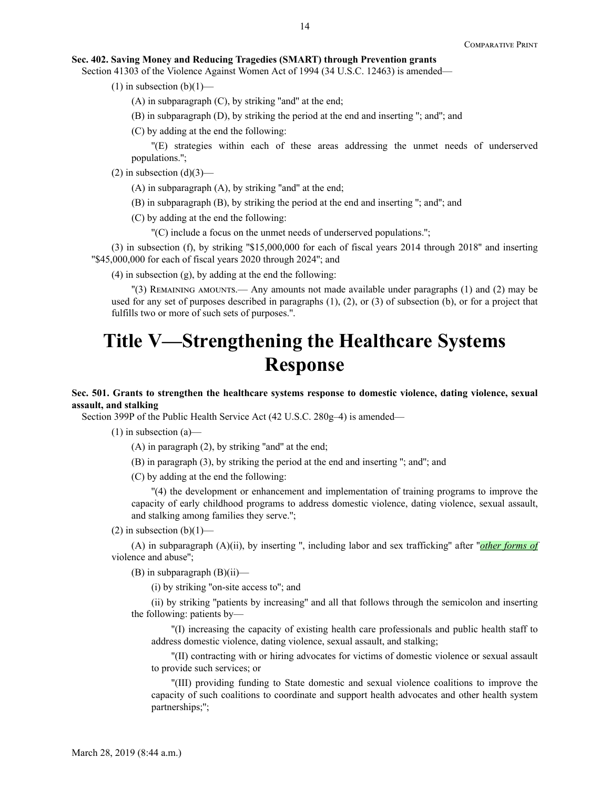## **Sec. 402. Saving Money and Reducing Tragedies (SMART) through Prevention grants**

Section 41303 of the Violence Against Women Act of 1994 (34 U.S.C. 12463) is amended—

(1) in subsection  $(b)(1)$ —

 $(A)$  in subparagraph  $(C)$ , by striking "and" at the end;

(B) in subparagraph (D), by striking the period at the end and inserting ''; and''; and

(C) by adding at the end the following:

''(E) strategies within each of these areas addressing the unmet needs of underserved populations.'';

 $(2)$  in subsection  $(d)(3)$ —

 $(A)$  in subparagraph  $(A)$ , by striking "and" at the end;

(B) in subparagraph (B), by striking the period at the end and inserting ''; and''; and

(C) by adding at the end the following:

''(C) include a focus on the unmet needs of underserved populations.'';

(3) in subsection (f), by striking ''\$15,000,000 for each of fiscal years 2014 through 2018'' and inserting ''\$45,000,000 for each of fiscal years 2020 through 2024''; and

(4) in subsection (g), by adding at the end the following:

''(3) Remaining amounts.— Any amounts not made available under paragraphs (1) and (2) may be used for any set of purposes described in paragraphs (1), (2), or (3) of subsection (b), or for a project that fulfills two or more of such sets of purposes.''.

# **Title V—Strengthening the Healthcare Systems Response**

## **Sec. 501. Grants to strengthen the healthcare systems response to domestic violence, dating violence, sexual assault, and stalking**

Section 399P of the Public Health Service Act (42 U.S.C. 280g–4) is amended—

 $(1)$  in subsection  $(a)$ —

(A) in paragraph (2), by striking ''and'' at the end;

(B) in paragraph (3), by striking the period at the end and inserting ''; and''; and

(C) by adding at the end the following:

''(4) the development or enhancement and implementation of training programs to improve the capacity of early childhood programs to address domestic violence, dating violence, sexual assault, and stalking among families they serve.'';

(2) in subsection  $(b)(1)$ —

(A) in subparagraph (A)(ii), by inserting '', including labor and sex trafficking'' after ''*other forms of* violence and abuse'';

 $(B)$  in subparagraph  $(B)(ii)$ —

(i) by striking ''on-site access to''; and

(ii) by striking ''patients by increasing'' and all that follows through the semicolon and inserting the following: patients by—

''(I) increasing the capacity of existing health care professionals and public health staff to address domestic violence, dating violence, sexual assault, and stalking;

''(II) contracting with or hiring advocates for victims of domestic violence or sexual assault to provide such services; or

''(III) providing funding to State domestic and sexual violence coalitions to improve the capacity of such coalitions to coordinate and support health advocates and other health system partnerships;'';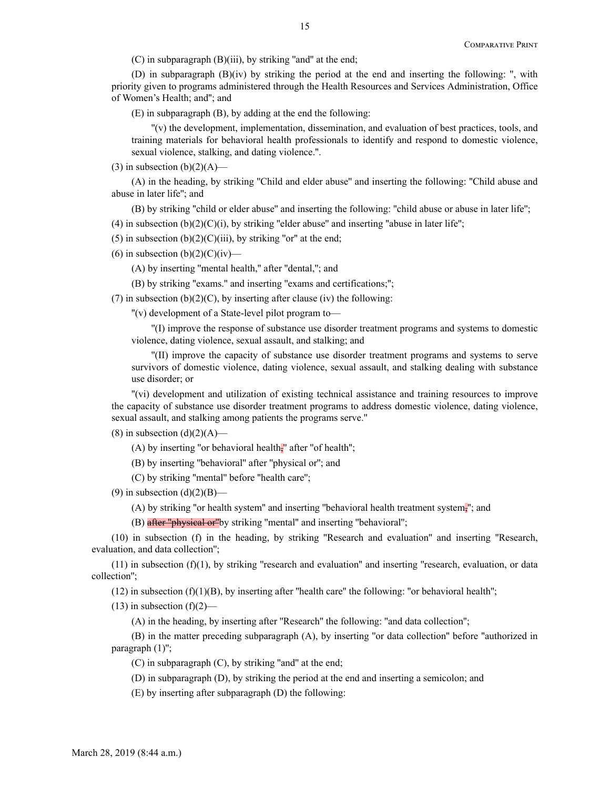(C) in subparagraph (B)(iii), by striking ''and'' at the end;

(D) in subparagraph  $(B)(iv)$  by striking the period at the end and inserting the following: ", with priority given to programs administered through the Health Resources and Services Administration, Office of Women's Health; and''; and

(E) in subparagraph (B), by adding at the end the following:

''(v) the development, implementation, dissemination, and evaluation of best practices, tools, and training materials for behavioral health professionals to identify and respond to domestic violence, sexual violence, stalking, and dating violence.''.

(3) in subsection  $(b)(2)(A)$ —

(A) in the heading, by striking ''Child and elder abuse'' and inserting the following: ''Child abuse and abuse in later life''; and

(B) by striking ''child or elder abuse'' and inserting the following: ''child abuse or abuse in later life'';

(4) in subsection  $(b)(2)(C)(i)$ , by striking "elder abuse" and inserting "abuse in later life";

(5) in subsection  $(b)(2)(C)(iii)$ , by striking "or" at the end;

(6) in subsection  $(b)(2)(C)(iv)$ —

(A) by inserting ''mental health,'' after ''dental,''; and

(B) by striking ''exams.'' and inserting ''exams and certifications;'';

(7) in subsection (b)(2)(C), by inserting after clause (iv) the following:

''(v) development of a State-level pilot program to—

''(I) improve the response of substance use disorder treatment programs and systems to domestic violence, dating violence, sexual assault, and stalking; and

''(II) improve the capacity of substance use disorder treatment programs and systems to serve survivors of domestic violence, dating violence, sexual assault, and stalking dealing with substance use disorder; or

''(vi) development and utilization of existing technical assistance and training resources to improve the capacity of substance use disorder treatment programs to address domestic violence, dating violence, sexual assault, and stalking among patients the programs serve.''

(8) in subsection  $(d)(2)(A)$ —

(A) by inserting "or behavioral health $\frac{1}{2}$ " after "of health";

(B) by inserting ''behavioral'' after ''physical or''; and

(C) by striking ''mental'' before ''health care'';

(9) in subsection  $(d)(2)(B)$ —

(A) by striking ''or health system'' and inserting ''behavioral health treatment system,''; and

(B) after "physical or" by striking "mental" and inserting "behavioral";

(10) in subsection (f) in the heading, by striking ''Research and evaluation'' and inserting ''Research, evaluation, and data collection'';

 $(11)$  in subsection  $(f)(1)$ , by striking "research and evaluation" and inserting "research, evaluation, or data collection'';

 $(12)$  in subsection  $(f)(1)(B)$ , by inserting after "health care" the following: "or behavioral health";

 $(13)$  in subsection  $(f)(2)$ —

(A) in the heading, by inserting after ''Research'' the following: ''and data collection'';

(B) in the matter preceding subparagraph (A), by inserting ''or data collection'' before ''authorized in paragraph (1)'';

 $(C)$  in subparagraph  $(C)$ , by striking "and" at the end;

(D) in subparagraph (D), by striking the period at the end and inserting a semicolon; and

(E) by inserting after subparagraph (D) the following: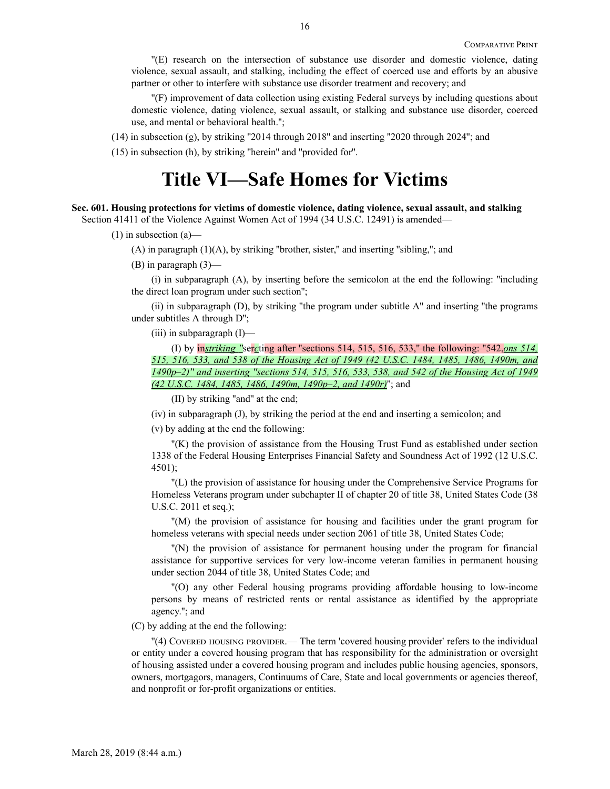''(E) research on the intersection of substance use disorder and domestic violence, dating violence, sexual assault, and stalking, including the effect of coerced use and efforts by an abusive partner or other to interfere with substance use disorder treatment and recovery; and

''(F) improvement of data collection using existing Federal surveys by including questions about domestic violence, dating violence, sexual assault, or stalking and substance use disorder, coerced use, and mental or behavioral health.'';

(14) in subsection (g), by striking ''2014 through 2018'' and inserting ''2020 through 2024''; and

(15) in subsection (h), by striking ''herein'' and ''provided for''.

## **Title VI—Safe Homes for Victims**

## **Sec. 601. Housing protections for victims of domestic violence, dating violence, sexual assault, and stalking**

Section 41411 of the Violence Against Women Act of 1994 (34 U.S.C. 12491) is amended—

(1) in subsection (a)—

 $(A)$  in paragraph  $(1)(A)$ , by striking "brother, sister," and inserting "sibling,"; and

(B) in paragraph (3)—

(i) in subparagraph (A), by inserting before the semicolon at the end the following: ''including the direct loan program under such section'';

(ii) in subparagraph (D), by striking ''the program under subtitle A'' and inserting ''the programs under subtitles A through D'';

(iii) in subparagraph (I)—

(I) by in*striking ''*ser*c*ting after ''sections 514, 515, 516, 533,'' the following: ''542,*ons 514, 515, 516, 533, and 538 of the Housing Act of 1949 (42 U.S.C. 1484, 1485, 1486, 1490m, and 1490p–2)'' and inserting ''sections 514, 515, 516, 533, 538, and 542 of the Housing Act of 1949 (42 U.S.C. 1484, 1485, 1486, 1490m, 1490p–2, and 1490r)*''; and

(II) by striking ''and'' at the end;

(iv) in subparagraph (J), by striking the period at the end and inserting a semicolon; and

(v) by adding at the end the following:

''(K) the provision of assistance from the Housing Trust Fund as established under section 1338 of the Federal Housing Enterprises Financial Safety and Soundness Act of 1992 (12 U.S.C. 4501);

''(L) the provision of assistance for housing under the Comprehensive Service Programs for Homeless Veterans program under subchapter II of chapter 20 of title 38, United States Code (38 U.S.C. 2011 et seq.);

''(M) the provision of assistance for housing and facilities under the grant program for homeless veterans with special needs under section 2061 of title 38, United States Code;

''(N) the provision of assistance for permanent housing under the program for financial assistance for supportive services for very low-income veteran families in permanent housing under section 2044 of title 38, United States Code; and

''(O) any other Federal housing programs providing affordable housing to low-income persons by means of restricted rents or rental assistance as identified by the appropriate agency.''; and

(C) by adding at the end the following:

''(4) Covered housing provider.— The term 'covered housing provider' refers to the individual or entity under a covered housing program that has responsibility for the administration or oversight of housing assisted under a covered housing program and includes public housing agencies, sponsors, owners, mortgagors, managers, Continuums of Care, State and local governments or agencies thereof, and nonprofit or for-profit organizations or entities.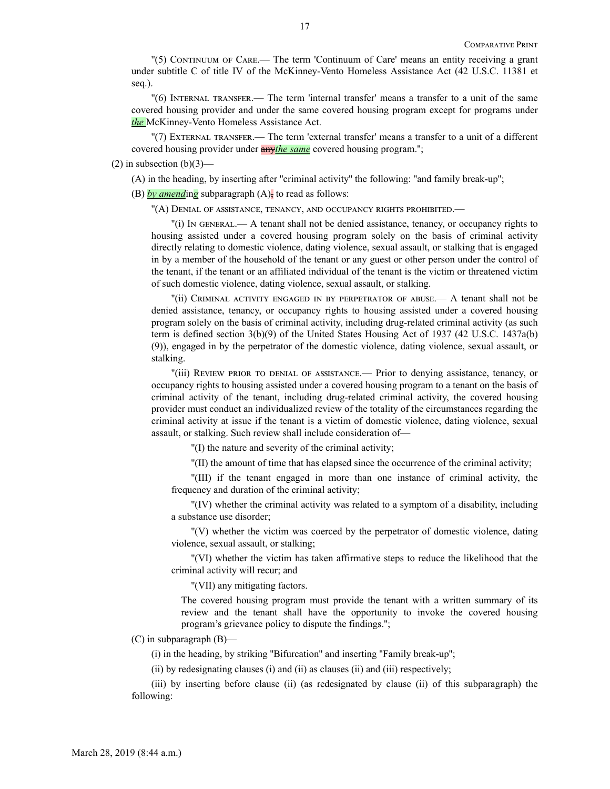''(5) Continuum of Care.— The term 'Continuum of Care' means an entity receiving a grant under subtitle C of title IV of the McKinney-Vento Homeless Assistance Act (42 U.S.C. 11381 et seq.).

''(6) Internal transfer.— The term 'internal transfer' means a transfer to a unit of the same covered housing provider and under the same covered housing program except for programs under *the* McKinney-Vento Homeless Assistance Act.

''(7) External transfer.— The term 'external transfer' means a transfer to a unit of a different covered housing provider under any*the same* covered housing program.'';

## $(2)$  in subsection  $(b)(3)$ —

(A) in the heading, by inserting after ''criminal activity'' the following: ''and family break-up'';

(B)  $\frac{b\nu}{\nu}$  *amending* subparagraph  $(A)$ , to read as follows:

''(A) Denial of assistance, tenancy, and occupancy rights prohibited.—

''(i) In general.— A tenant shall not be denied assistance, tenancy, or occupancy rights to housing assisted under a covered housing program solely on the basis of criminal activity directly relating to domestic violence, dating violence, sexual assault, or stalking that is engaged in by a member of the household of the tenant or any guest or other person under the control of the tenant, if the tenant or an affiliated individual of the tenant is the victim or threatened victim of such domestic violence, dating violence, sexual assault, or stalking.

''(ii) Criminal activity engaged in by perpetrator of abuse.— A tenant shall not be denied assistance, tenancy, or occupancy rights to housing assisted under a covered housing program solely on the basis of criminal activity, including drug-related criminal activity (as such term is defined section 3(b)(9) of the United States Housing Act of 1937 (42 U.S.C. 1437a(b) (9)), engaged in by the perpetrator of the domestic violence, dating violence, sexual assault, or stalking.

''(iii) Review prior to denial of assistance.— Prior to denying assistance, tenancy, or occupancy rights to housing assisted under a covered housing program to a tenant on the basis of criminal activity of the tenant, including drug-related criminal activity, the covered housing provider must conduct an individualized review of the totality of the circumstances regarding the criminal activity at issue if the tenant is a victim of domestic violence, dating violence, sexual assault, or stalking. Such review shall include consideration of—

''(I) the nature and severity of the criminal activity;

''(II) the amount of time that has elapsed since the occurrence of the criminal activity;

''(III) if the tenant engaged in more than one instance of criminal activity, the frequency and duration of the criminal activity;

''(IV) whether the criminal activity was related to a symptom of a disability, including a substance use disorder;

''(V) whether the victim was coerced by the perpetrator of domestic violence, dating violence, sexual assault, or stalking;

''(VI) whether the victim has taken affirmative steps to reduce the likelihood that the criminal activity will recur; and

''(VII) any mitigating factors.

The covered housing program must provide the tenant with a written summary of its review and the tenant shall have the opportunity to invoke the covered housing program's grievance policy to dispute the findings.'';

(C) in subparagraph (B)—

(i) in the heading, by striking ''Bifurcation'' and inserting ''Family break-up'';

(ii) by redesignating clauses (i) and (ii) as clauses (ii) and (iii) respectively;

(iii) by inserting before clause (ii) (as redesignated by clause (ii) of this subparagraph) the following: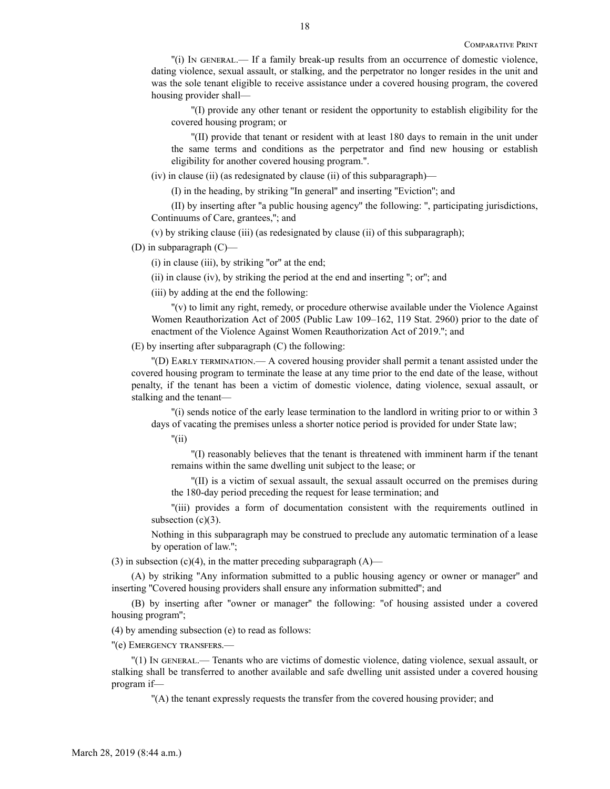''(i) In general.— If a family break-up results from an occurrence of domestic violence, dating violence, sexual assault, or stalking, and the perpetrator no longer resides in the unit and was the sole tenant eligible to receive assistance under a covered housing program, the covered housing provider shall—

''(I) provide any other tenant or resident the opportunity to establish eligibility for the covered housing program; or

''(II) provide that tenant or resident with at least 180 days to remain in the unit under the same terms and conditions as the perpetrator and find new housing or establish eligibility for another covered housing program.''.

(iv) in clause (ii) (as redesignated by clause (ii) of this subparagraph)—

(I) in the heading, by striking ''In general'' and inserting ''Eviction''; and

(II) by inserting after ''a public housing agency'' the following: '', participating jurisdictions, Continuums of Care, grantees,''; and

(v) by striking clause (iii) (as redesignated by clause (ii) of this subparagraph);

(D) in subparagraph (C)—

 $(i)$  in clause  $(iii)$ , by striking "or" at the end;

(ii) in clause (iv), by striking the period at the end and inserting ''; or''; and

(iii) by adding at the end the following:

''(v) to limit any right, remedy, or procedure otherwise available under the Violence Against Women Reauthorization Act of 2005 (Public Law 109–162, 119 Stat. 2960) prior to the date of enactment of the Violence Against Women Reauthorization Act of 2019.''; and

(E) by inserting after subparagraph (C) the following:

''(D) Early termination.— A covered housing provider shall permit a tenant assisted under the covered housing program to terminate the lease at any time prior to the end date of the lease, without penalty, if the tenant has been a victim of domestic violence, dating violence, sexual assault, or stalking and the tenant—

''(i) sends notice of the early lease termination to the landlord in writing prior to or within 3 days of vacating the premises unless a shorter notice period is provided for under State law;

''(ii)

''(I) reasonably believes that the tenant is threatened with imminent harm if the tenant remains within the same dwelling unit subject to the lease; or

''(II) is a victim of sexual assault, the sexual assault occurred on the premises during the 180-day period preceding the request for lease termination; and

''(iii) provides a form of documentation consistent with the requirements outlined in subsection  $(c)(3)$ .

Nothing in this subparagraph may be construed to preclude any automatic termination of a lease by operation of law.'';

(3) in subsection (c)(4), in the matter preceding subparagraph  $(A)$ —

(A) by striking ''Any information submitted to a public housing agency or owner or manager'' and inserting ''Covered housing providers shall ensure any information submitted''; and

(B) by inserting after ''owner or manager'' the following: ''of housing assisted under a covered housing program'';

(4) by amending subsection (e) to read as follows:

''(e) Emergency transfers.—

''(1) In general.— Tenants who are victims of domestic violence, dating violence, sexual assault, or stalking shall be transferred to another available and safe dwelling unit assisted under a covered housing program if—

''(A) the tenant expressly requests the transfer from the covered housing provider; and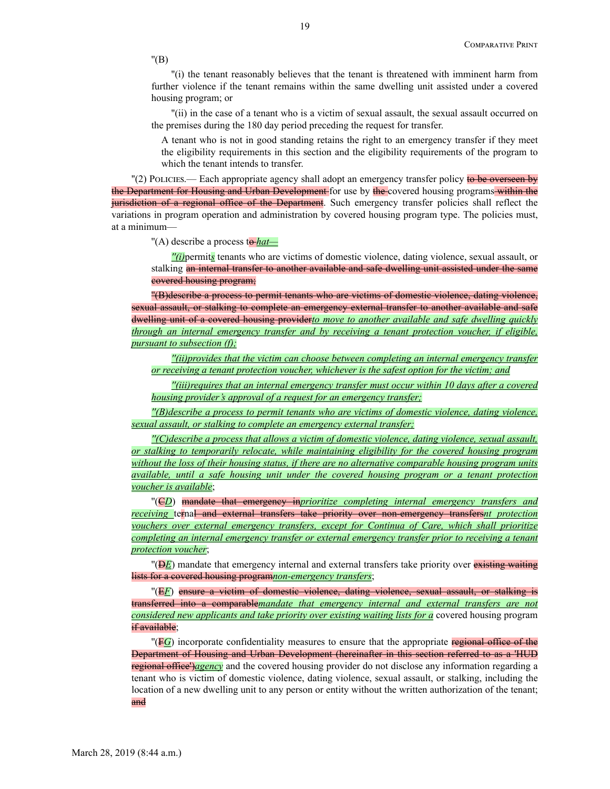''(B)

''(i) the tenant reasonably believes that the tenant is threatened with imminent harm from further violence if the tenant remains within the same dwelling unit assisted under a covered housing program; or

''(ii) in the case of a tenant who is a victim of sexual assault, the sexual assault occurred on the premises during the 180 day period preceding the request for transfer.

A tenant who is not in good standing retains the right to an emergency transfer if they meet the eligibility requirements in this section and the eligibility requirements of the program to which the tenant intends to transfer.

"(2) Policies.— Each appropriate agency shall adopt an emergency transfer policy to be overseen by the Department for Housing and Urban Development for use by the covered housing programs within the jurisdiction of a regional office of the Department. Such emergency transfer policies shall reflect the variations in program operation and administration by covered housing program type. The policies must, at a minimum—

"(A) describe a process to *hat*—

*''(i)*permit*s* tenants who are victims of domestic violence, dating violence, sexual assault, or stalking an internal transfer to another available and safe dwelling unit assisted under the same covered housing program;

''(B)describe a process to permit tenants who are victims of domestic violence, dating violence, sexual assault, or stalking to complete an emergency external transfer to another available and safe dwelling unit of a covered housing provider*to move to another available and safe dwelling quickly through an internal emergency transfer and by receiving a tenant protection voucher, if eligible, pursuant to subsection (f);*

*''(ii)provides that the victim can choose between completing an internal emergency transfer or receiving a tenant protection voucher, whichever is the safest option for the victim; and*

*''(iii)requires that an internal emergency transfer must occur within 10 days after a covered housing provider's approval of a request for an emergency transfer;*

*''(B)describe a process to permit tenants who are victims of domestic violence, dating violence, sexual assault, or stalking to complete an emergency external transfer;*

*''(C)describe a process that allows a victim of domestic violence, dating violence, sexual assault, or stalking to temporarily relocate, while maintaining eligibility for the covered housing program without the loss of their housing status, if there are no alternative comparable housing program units available, until a safe housing unit under the covered housing program or a tenant protection voucher is available*;

''(C*D*) mandate that emergency in*prioritize completing internal emergency transfers and receiving* ternal and external transfers take priority over non-emergency transfers*nt protection vouchers over external emergency transfers, except for Continua of Care, which shall prioritize completing an internal emergency transfer or external emergency transfer prior to receiving a tenant protection voucher*;

"(**DE**) mandate that emergency internal and external transfers take priority over existing waiting lists for a covered housing program*non-emergency transfers*;

''(E*F*) ensure a victim of domestic violence, dating violence, sexual assault, or stalking is transferred into a comparable*mandate that emergency internal and external transfers are not considered new applicants and take priority over existing waiting lists for a* covered housing program if available;

''(F*G*) incorporate confidentiality measures to ensure that the appropriate regional office of the Department of Housing and Urban Development (hereinafter in this section referred to as a 'HUD regional office')*agency* and the covered housing provider do not disclose any information regarding a tenant who is victim of domestic violence, dating violence, sexual assault, or stalking, including the location of a new dwelling unit to any person or entity without the written authorization of the tenant; and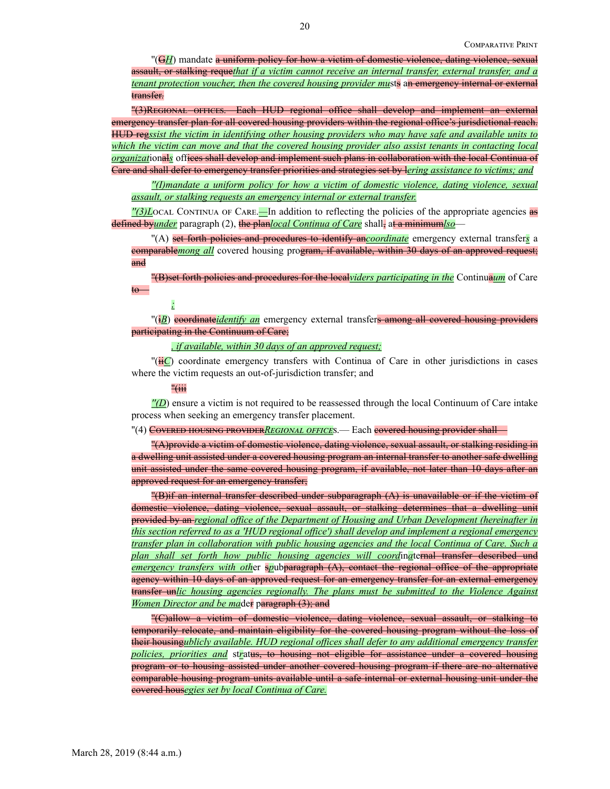''(G*H*) mandate a uniform policy for how a victim of domestic violence, dating violence, sexual assault, or stalking reque*that if a victim cannot receive an internal transfer, external transfer, and a tenant protection voucher, then the covered housing provider mu*sts an emergency internal or external transfer.

''(3)Regional offices.—Each HUD regional office shall develop and implement an external emergency transfer plan for all covered housing providers within the regional office's jurisdictional reach. HUD reg*ssist the victim in identifying other housing providers who may have safe and available units to which the victim can move and that the covered housing provider also assist tenants in contacting local organizat*ional*s* offices shall develop and implement such plans in collaboration with the local Continua of Care and shall defer to emergency transfer priorities and strategies set by l*ering assistance to victims; and*

*''(I)mandate a uniform policy for how a victim of domestic violence, dating violence, sexual assault, or stalking requests an emergency internal or external transfer.*

*''(3)L*ocal Continua of Care.*—*In addition to reflecting the policies of the appropriate agencies as defined by*under* paragraph (2), the planlocal Continua of Care shall, at a minimumlso-

''(A) set forth policies and procedures to identify an*coordinate* emergency external transfer*s* a comparable*mong all* covered housing program, if available, within 30 days of an approved request; and

''(B)set forth policies and procedures for the local*viders participating in the* Continua*um* of Care to—

*;*

''(i*B*) coordinate*identify an* emergency external transfers among all covered housing providers participating in the Continuum of Care;

*, if available, within 30 days of an approved request;*

''(ii*C*) coordinate emergency transfers with Continua of Care in other jurisdictions in cases where the victim requests an out-of-jurisdiction transfer; and

''(iii

*''(D*) ensure a victim is not required to be reassessed through the local Continuum of Care intake process when seeking an emergency transfer placement.

"(4) Covered housing provider*Regional office*s.— Each covered housing provider shall—

''(A)provide a victim of domestic violence, dating violence, sexual assault, or stalking residing in a dwelling unit assisted under a covered housing program an internal transfer to another safe dwelling unit assisted under the same covered housing program, if available, not later than 10 days after an approved request for an emergency transfer;

''(B)if an internal transfer described under subparagraph (A) is unavailable or if the victim of domestic violence, dating violence, sexual assault, or stalking determines that a dwelling unit provided by an *regional office of the Department of Housing and Urban Development (hereinafter in this section referred to as a 'HUD regional office') shall develop and implement a regional emergency transfer plan in collaboration with public housing agencies and the local Continua of Care. Such a plan shall set forth how public housing agencies will coord*in*a*ternal transfer described und *emergency transfers with oth*er s*p*ubparagraph (A), contact the regional office of the appropriate agency within 10 days of an approved request for an emergency transfer for an external emergency transfer un*lic housing agencies regionally. The plans must be submitted to the Violence Against Women Director and be ma*der paragraph (3); and

''(C)allow a victim of domestic violence, dating violence, sexual assault, or stalking to temporarily relocate, and maintain eligibility for the covered housing program without the loss of their housing*ublicly available. HUD regional offices shall defer to any additional emergency transfer policies, priorities and* st*r*atus, to housing not eligible for assistance under a covered housing program or to housing assisted under another covered housing program if there are no alternative comparable housing program units available until a safe internal or external housing unit under the covered hous*egies set by local Continua of Care.*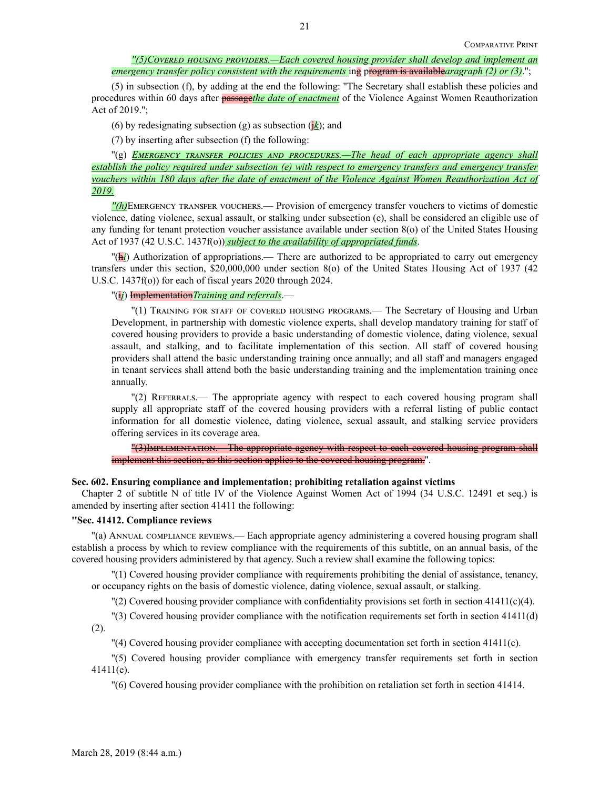(5) in subsection (f), by adding at the end the following: ''The Secretary shall establish these policies and procedures within 60 days after passage*the date of enactment* of the Violence Against Women Reauthorization Act of 2019.'';

(6) by redesignating subsection (g) as subsection  $(k)$ ; and

(7) by inserting after subsection (f) the following:

 $\Gamma(g)$  *EMERGENCY TRANSFER POLICIES AND PROCEDURES.—The head of each appropriate agency shall establish the policy required under subsection (e) with respect to emergency transfers and emergency transfer vouchers within 180 days after the date of enactment of the Violence Against Women Reauthorization Act of 2019.*

*''(h)*Emergency transfer vouchers.— Provision of emergency transfer vouchers to victims of domestic violence, dating violence, sexual assault, or stalking under subsection (e), shall be considered an eligible use of any funding for tenant protection voucher assistance available under section 8(o) of the United States Housing Act of 1937 (42 U.S.C. 1437f(o)) *subject to the availability of appropriated funds*.

''(h*i*) Authorization of appropriations.— There are authorized to be appropriated to carry out emergency transfers under this section, \$20,000,000 under section 8(o) of the United States Housing Act of 1937 (42 U.S.C. 1437f(o)) for each of fiscal years 2020 through 2024.

## ''(i*j*) Implementation*Training and referrals*.—

''(1) Training for staff of covered housing programs.— The Secretary of Housing and Urban Development, in partnership with domestic violence experts, shall develop mandatory training for staff of covered housing providers to provide a basic understanding of domestic violence, dating violence, sexual assault, and stalking, and to facilitate implementation of this section. All staff of covered housing providers shall attend the basic understanding training once annually; and all staff and managers engaged in tenant services shall attend both the basic understanding training and the implementation training once annually.

''(2) Referrals.— The appropriate agency with respect to each covered housing program shall supply all appropriate staff of the covered housing providers with a referral listing of public contact information for all domestic violence, dating violence, sexual assault, and stalking service providers offering services in its coverage area.

''(3)Implementation.—The appropriate agency with respect to each covered housing program shall implement this section, as this section applies to the covered housing program.''.

## **Sec. 602. Ensuring compliance and implementation; prohibiting retaliation against victims**

Chapter 2 of subtitle N of title IV of the Violence Against Women Act of 1994 (34 U.S.C. 12491 et seq.) is amended by inserting after section 41411 the following:

## **''Sec. 41412. Compliance reviews**

''(a) Annual compliance reviews.— Each appropriate agency administering a covered housing program shall establish a process by which to review compliance with the requirements of this subtitle, on an annual basis, of the covered housing providers administered by that agency. Such a review shall examine the following topics:

''(1) Covered housing provider compliance with requirements prohibiting the denial of assistance, tenancy, or occupancy rights on the basis of domestic violence, dating violence, sexual assault, or stalking.

''(2) Covered housing provider compliance with confidentiality provisions set forth in section 41411(c)(4).

''(3) Covered housing provider compliance with the notification requirements set forth in section 41411(d) (2).

''(4) Covered housing provider compliance with accepting documentation set forth in section 41411(c).

''(5) Covered housing provider compliance with emergency transfer requirements set forth in section 41411(e).

''(6) Covered housing provider compliance with the prohibition on retaliation set forth in section 41414.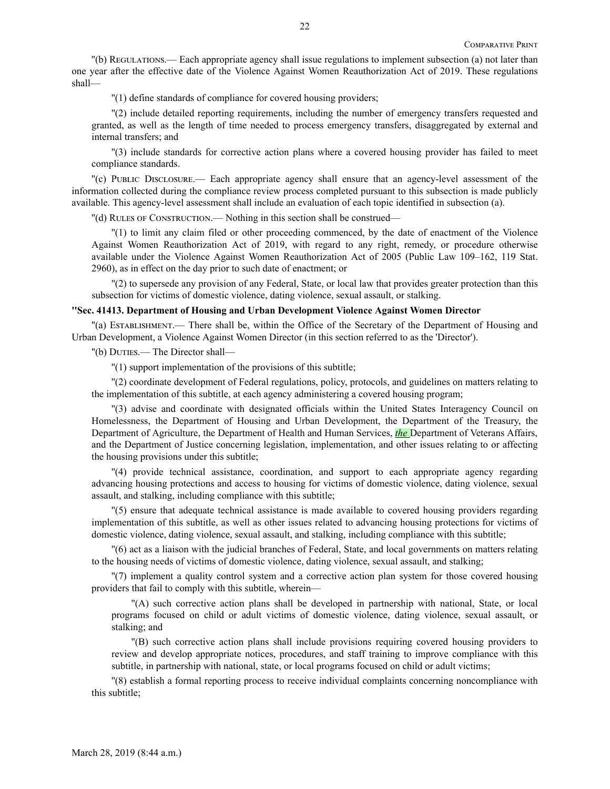''(b) Regulations.— Each appropriate agency shall issue regulations to implement subsection (a) not later than one year after the effective date of the Violence Against Women Reauthorization Act of 2019. These regulations shall—

''(1) define standards of compliance for covered housing providers;

''(2) include detailed reporting requirements, including the number of emergency transfers requested and granted, as well as the length of time needed to process emergency transfers, disaggregated by external and internal transfers; and

''(3) include standards for corrective action plans where a covered housing provider has failed to meet compliance standards.

''(c) Public Disclosure.— Each appropriate agency shall ensure that an agency-level assessment of the information collected during the compliance review process completed pursuant to this subsection is made publicly available. This agency-level assessment shall include an evaluation of each topic identified in subsection (a).

''(d) Rules of Construction.— Nothing in this section shall be construed—

''(1) to limit any claim filed or other proceeding commenced, by the date of enactment of the Violence Against Women Reauthorization Act of 2019, with regard to any right, remedy, or procedure otherwise available under the Violence Against Women Reauthorization Act of 2005 (Public Law 109–162, 119 Stat. 2960), as in effect on the day prior to such date of enactment; or

''(2) to supersede any provision of any Federal, State, or local law that provides greater protection than this subsection for victims of domestic violence, dating violence, sexual assault, or stalking.

#### **''Sec. 41413. Department of Housing and Urban Development Violence Against Women Director**

''(a) Establishment.— There shall be, within the Office of the Secretary of the Department of Housing and Urban Development, a Violence Against Women Director (in this section referred to as the 'Director').

''(b) Duties.— The Director shall—

''(1) support implementation of the provisions of this subtitle;

''(2) coordinate development of Federal regulations, policy, protocols, and guidelines on matters relating to the implementation of this subtitle, at each agency administering a covered housing program;

''(3) advise and coordinate with designated officials within the United States Interagency Council on Homelessness, the Department of Housing and Urban Development, the Department of the Treasury, the Department of Agriculture, the Department of Health and Human Services, *the* Department of Veterans Affairs, and the Department of Justice concerning legislation, implementation, and other issues relating to or affecting the housing provisions under this subtitle;

''(4) provide technical assistance, coordination, and support to each appropriate agency regarding advancing housing protections and access to housing for victims of domestic violence, dating violence, sexual assault, and stalking, including compliance with this subtitle;

''(5) ensure that adequate technical assistance is made available to covered housing providers regarding implementation of this subtitle, as well as other issues related to advancing housing protections for victims of domestic violence, dating violence, sexual assault, and stalking, including compliance with this subtitle;

''(6) act as a liaison with the judicial branches of Federal, State, and local governments on matters relating to the housing needs of victims of domestic violence, dating violence, sexual assault, and stalking;

''(7) implement a quality control system and a corrective action plan system for those covered housing providers that fail to comply with this subtitle, wherein—

''(A) such corrective action plans shall be developed in partnership with national, State, or local programs focused on child or adult victims of domestic violence, dating violence, sexual assault, or stalking; and

''(B) such corrective action plans shall include provisions requiring covered housing providers to review and develop appropriate notices, procedures, and staff training to improve compliance with this subtitle, in partnership with national, state, or local programs focused on child or adult victims;

''(8) establish a formal reporting process to receive individual complaints concerning noncompliance with this subtitle;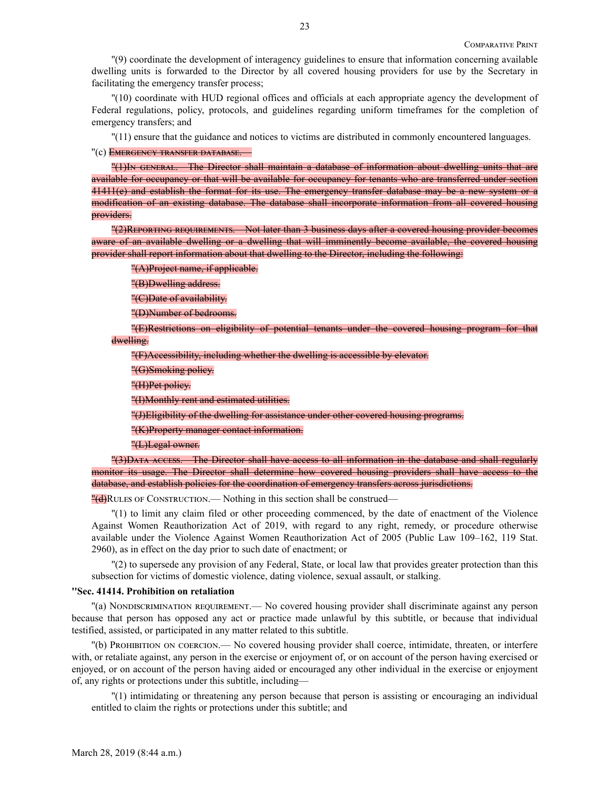''(9) coordinate the development of interagency guidelines to ensure that information concerning available dwelling units is forwarded to the Director by all covered housing providers for use by the Secretary in facilitating the emergency transfer process;

''(10) coordinate with HUD regional offices and officials at each appropriate agency the development of Federal regulations, policy, protocols, and guidelines regarding uniform timeframes for the completion of emergency transfers; and

''(11) ensure that the guidance and notices to victims are distributed in commonly encountered languages.

"(c) EMERGENCY TRANSFER DATABASE.

''(1)In general.—The Director shall maintain a database of information about dwelling units that are available for occupancy or that will be available for occupancy for tenants who are transferred under section 41411(e) and establish the format for its use. The emergency transfer database may be a new system or a modification of an existing database. The database shall incorporate information from all covered housing providers.

''(2)Reporting requirements.—Not later than 3 business days after a covered housing provider becomes aware of an available dwelling or a dwelling that will imminently become available, the covered housing provider shall report information about that dwelling to the Director, including the following:

''(A)Project name, if applicable.

''(B)Dwelling address.

''(C)Date of availability.

''(D)Number of bedrooms.

''(E)Restrictions on eligibility of potential tenants under the covered housing program for that dwelling.

''(F)Accessibility, including whether the dwelling is accessible by elevator.

''(G)Smoking policy.

''(H)Pet policy.

''(I)Monthly rent and estimated utilities.

''(J)Eligibility of the dwelling for assistance under other covered housing programs.

''(K)Property manager contact information.

''(L)Legal owner.

''(3)Data access.—The Director shall have access to all information in the database and shall regularly monitor its usage. The Director shall determine how covered housing providers shall have access to the database, and establish policies for the coordination of emergency transfers across jurisdictions.

 $''$ (d)RULES OF CONSTRUCTION.— Nothing in this section shall be construed—

''(1) to limit any claim filed or other proceeding commenced, by the date of enactment of the Violence Against Women Reauthorization Act of 2019, with regard to any right, remedy, or procedure otherwise available under the Violence Against Women Reauthorization Act of 2005 (Public Law 109–162, 119 Stat. 2960), as in effect on the day prior to such date of enactment; or

''(2) to supersede any provision of any Federal, State, or local law that provides greater protection than this subsection for victims of domestic violence, dating violence, sexual assault, or stalking.

#### **''Sec. 41414. Prohibition on retaliation**

''(a) Nondiscrimination requirement.— No covered housing provider shall discriminate against any person because that person has opposed any act or practice made unlawful by this subtitle, or because that individual testified, assisted, or participated in any matter related to this subtitle.

''(b) Prohibition on coercion.— No covered housing provider shall coerce, intimidate, threaten, or interfere with, or retaliate against, any person in the exercise or enjoyment of, or on account of the person having exercised or enjoyed, or on account of the person having aided or encouraged any other individual in the exercise or enjoyment of, any rights or protections under this subtitle, including—

''(1) intimidating or threatening any person because that person is assisting or encouraging an individual entitled to claim the rights or protections under this subtitle; and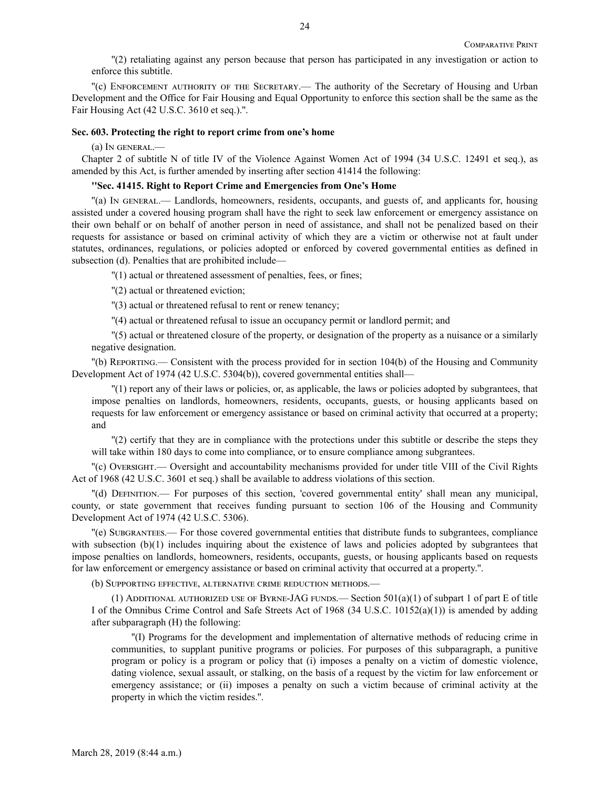''(2) retaliating against any person because that person has participated in any investigation or action to enforce this subtitle.

''(c) Enforcement authority of the Secretary.— The authority of the Secretary of Housing and Urban Development and the Office for Fair Housing and Equal Opportunity to enforce this section shall be the same as the Fair Housing Act (42 U.S.C. 3610 et seq.).''.

#### **Sec. 603. Protecting the right to report crime from one's home**

(a) In general.—

Chapter 2 of subtitle N of title IV of the Violence Against Women Act of 1994 (34 U.S.C. 12491 et seq.), as amended by this Act, is further amended by inserting after section 41414 the following:

## **''Sec. 41415. Right to Report Crime and Emergencies from One's Home**

''(a) In general.— Landlords, homeowners, residents, occupants, and guests of, and applicants for, housing assisted under a covered housing program shall have the right to seek law enforcement or emergency assistance on their own behalf or on behalf of another person in need of assistance, and shall not be penalized based on their requests for assistance or based on criminal activity of which they are a victim or otherwise not at fault under statutes, ordinances, regulations, or policies adopted or enforced by covered governmental entities as defined in subsection (d). Penalties that are prohibited include—

''(1) actual or threatened assessment of penalties, fees, or fines;

''(2) actual or threatened eviction;

''(3) actual or threatened refusal to rent or renew tenancy;

''(4) actual or threatened refusal to issue an occupancy permit or landlord permit; and

''(5) actual or threatened closure of the property, or designation of the property as a nuisance or a similarly negative designation.

''(b) Reporting.— Consistent with the process provided for in section 104(b) of the Housing and Community Development Act of 1974 (42 U.S.C. 5304(b)), covered governmental entities shall—

''(1) report any of their laws or policies, or, as applicable, the laws or policies adopted by subgrantees, that impose penalties on landlords, homeowners, residents, occupants, guests, or housing applicants based on requests for law enforcement or emergency assistance or based on criminal activity that occurred at a property; and

''(2) certify that they are in compliance with the protections under this subtitle or describe the steps they will take within 180 days to come into compliance, or to ensure compliance among subgrantees.

''(c) Oversight.— Oversight and accountability mechanisms provided for under title VIII of the Civil Rights Act of 1968 (42 U.S.C. 3601 et seq.) shall be available to address violations of this section.

''(d) Definition.— For purposes of this section, 'covered governmental entity' shall mean any municipal, county, or state government that receives funding pursuant to section 106 of the Housing and Community Development Act of 1974 (42 U.S.C. 5306).

''(e) Subgrantees.— For those covered governmental entities that distribute funds to subgrantees, compliance with subsection (b)(1) includes inquiring about the existence of laws and policies adopted by subgrantees that impose penalties on landlords, homeowners, residents, occupants, guests, or housing applicants based on requests for law enforcement or emergency assistance or based on criminal activity that occurred at a property.''.

(b) Supporting effective, alternative crime reduction methods.—

(1) ADDITIONAL AUTHORIZED USE OF BYRNE-JAG FUNDS.— Section  $501(a)(1)$  of subpart 1 of part E of title I of the Omnibus Crime Control and Safe Streets Act of 1968 (34 U.S.C. 10152(a)(1)) is amended by adding after subparagraph (H) the following:

''(I) Programs for the development and implementation of alternative methods of reducing crime in communities, to supplant punitive programs or policies. For purposes of this subparagraph, a punitive program or policy is a program or policy that (i) imposes a penalty on a victim of domestic violence, dating violence, sexual assault, or stalking, on the basis of a request by the victim for law enforcement or emergency assistance; or (ii) imposes a penalty on such a victim because of criminal activity at the property in which the victim resides.''.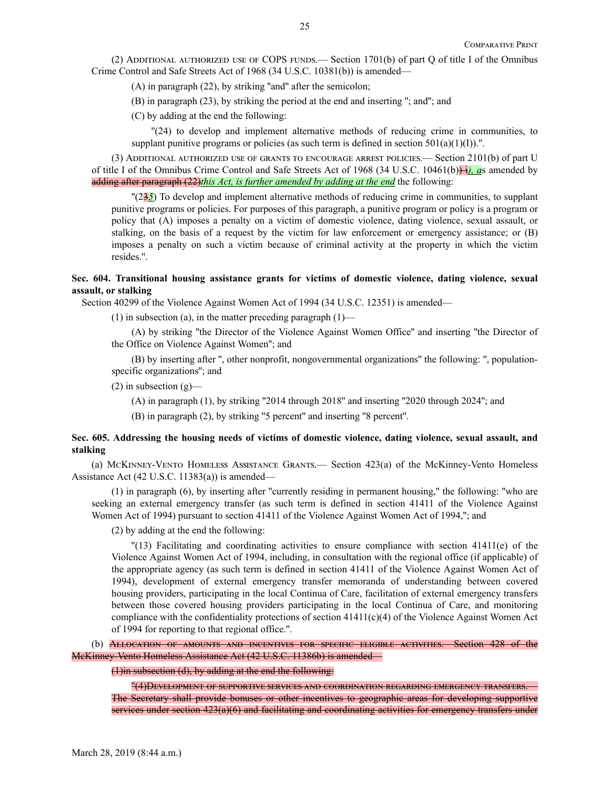(2) ADDITIONAL AUTHORIZED USE OF COPS FUNDS.— Section  $1701(b)$  of part Q of title I of the Omnibus Crime Control and Safe Streets Act of 1968 (34 U.S.C. 10381(b)) is amended—

(A) in paragraph (22), by striking ''and'' after the semicolon;

(B) in paragraph (23), by striking the period at the end and inserting ''; and''; and

(C) by adding at the end the following:

''(24) to develop and implement alternative methods of reducing crime in communities, to supplant punitive programs or policies (as such term is defined in section  $501(a)(1)(I)$ ).".

(3) Additional authorized use of grants to encourage arrest policies.— Section 2101(b) of part U of title I of the Omnibus Crime Control and Safe Streets Act of 1968 (34 U.S.C. 10461(b)) i*), a*s amended by adding after paragraph (22)*this Act, is further amended by adding at the end* the following:

''(23*5*) To develop and implement alternative methods of reducing crime in communities, to supplant punitive programs or policies. For purposes of this paragraph, a punitive program or policy is a program or policy that (A) imposes a penalty on a victim of domestic violence, dating violence, sexual assault, or stalking, on the basis of a request by the victim for law enforcement or emergency assistance; or (B) imposes a penalty on such a victim because of criminal activity at the property in which the victim resides.''.

## **Sec. 604. Transitional housing assistance grants for victims of domestic violence, dating violence, sexual assault, or stalking**

Section 40299 of the Violence Against Women Act of 1994 (34 U.S.C. 12351) is amended—

(1) in subsection (a), in the matter preceding paragraph  $(1)$ —

(A) by striking ''the Director of the Violence Against Women Office'' and inserting ''the Director of the Office on Violence Against Women''; and

(B) by inserting after '', other nonprofit, nongovernmental organizations'' the following: '', populationspecific organizations''; and

 $(2)$  in subsection  $(g)$ —

(A) in paragraph (1), by striking ''2014 through 2018'' and inserting ''2020 through 2024''; and

(B) in paragraph (2), by striking ''5 percent'' and inserting ''8 percent''.

## **Sec. 605. Addressing the housing needs of victims of domestic violence, dating violence, sexual assault, and stalking**

(a) McKinney-Vento Homeless Assistance Grants.— Section 423(a) of the McKinney-Vento Homeless Assistance Act (42 U.S.C. 11383(a)) is amended—

(1) in paragraph (6), by inserting after ''currently residing in permanent housing,'' the following: ''who are seeking an external emergency transfer (as such term is defined in section 41411 of the Violence Against Women Act of 1994) pursuant to section 41411 of the Violence Against Women Act of 1994,''; and

(2) by adding at the end the following:

''(13) Facilitating and coordinating activities to ensure compliance with section 41411(e) of the Violence Against Women Act of 1994, including, in consultation with the regional office (if applicable) of the appropriate agency (as such term is defined in section 41411 of the Violence Against Women Act of 1994), development of external emergency transfer memoranda of understanding between covered housing providers, participating in the local Continua of Care, facilitation of external emergency transfers between those covered housing providers participating in the local Continua of Care, and monitoring compliance with the confidentiality protections of section  $41411(c)(4)$  of the Violence Against Women Act of 1994 for reporting to that regional office.''.

(b) Allocation of amounts and incentives for specific eligible activities.—Section 428 of the McKinney-Vento Homeless Assistance Act (42 U.S.C. 11386b) is amended—

(1)in subsection (d), by adding at the end the following:

''(4)Development of supportive services and coordination regarding emergency transfers.— The Secretary shall provide bonuses or other incentives to geographic areas for developing supportive services under section 423(a)(6) and facilitating and coordinating activities for emergency transfers under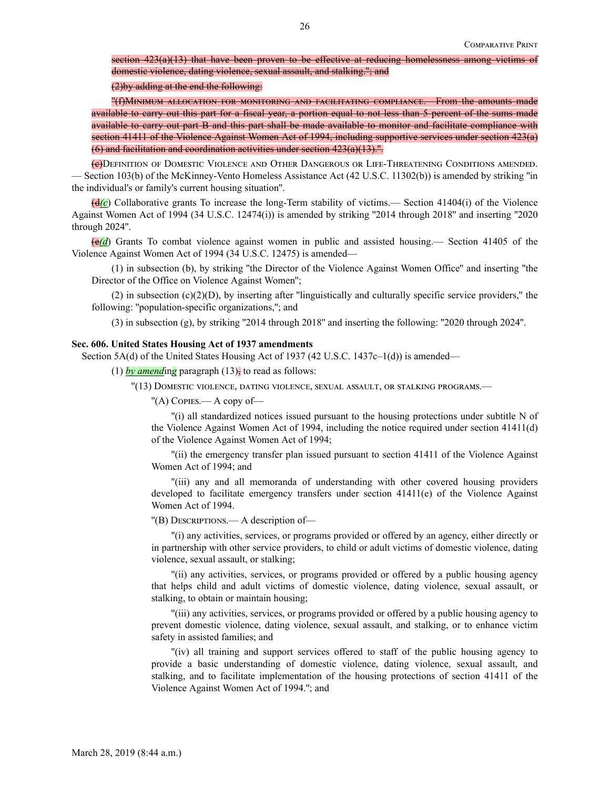section  $423(a)(13)$  that have been proven to be effective at reducing homelessness among victims of domestic violence, dating violence, sexual assault, and stalking.''; and

(2)by adding at the end the following:

''(f)Minimum allocation for monitoring and facilitating compliance.—From the amounts made available to carry out this part for a fiscal year, a portion equal to not less than 5 percent of the sums made available to carry out part B and this part shall be made available to monitor and facilitate compliance with section 41411 of the Violence Against Women Act of 1994, including supportive services under section 423(a) (6) and facilitation and coordination activities under section  $423(a)(13)$ .".

(c)Definition of Domestic Violence and Other Dangerous or Life-Threatening Conditions amended. — Section 103(b) of the McKinney-Vento Homeless Assistance Act (42 U.S.C. 11302(b)) is amended by striking ''in the individual's or family's current housing situation''.

(d*(c*) Collaborative grants To increase the long-Term stability of victims.— Section 41404(i) of the Violence Against Women Act of 1994 (34 U.S.C. 12474(i)) is amended by striking ''2014 through 2018'' and inserting ''2020 through 2024''.

(e*(d*) Grants To combat violence against women in public and assisted housing.— Section 41405 of the Violence Against Women Act of 1994 (34 U.S.C. 12475) is amended—

(1) in subsection (b), by striking ''the Director of the Violence Against Women Office'' and inserting ''the Director of the Office on Violence Against Women'';

(2) in subsection  $(c)(2)(D)$ , by inserting after "linguistically and culturally specific service providers," the following: ''population-specific organizations,''; and

(3) in subsection (g), by striking ''2014 through 2018'' and inserting the following: ''2020 through 2024''.

#### **Sec. 606. United States Housing Act of 1937 amendments**

Section 5A(d) of the United States Housing Act of 1937 (42 U.S.C. 1437c–1(d)) is amended—

(1)  $\frac{by \text{ amending}}{b}$  paragraph (13)<sup> $\frac{1}{2}$ </sup> to read as follows:

''(13) Domestic violence, dating violence, sexual assault, or stalking programs.—

''(A) Copies.— A copy of—

''(i) all standardized notices issued pursuant to the housing protections under subtitle N of the Violence Against Women Act of 1994, including the notice required under section 41411(d) of the Violence Against Women Act of 1994;

''(ii) the emergency transfer plan issued pursuant to section 41411 of the Violence Against Women Act of 1994; and

''(iii) any and all memoranda of understanding with other covered housing providers developed to facilitate emergency transfers under section 41411(e) of the Violence Against Women Act of 1994.

''(B) Descriptions.— A description of—

''(i) any activities, services, or programs provided or offered by an agency, either directly or in partnership with other service providers, to child or adult victims of domestic violence, dating violence, sexual assault, or stalking;

''(ii) any activities, services, or programs provided or offered by a public housing agency that helps child and adult victims of domestic violence, dating violence, sexual assault, or stalking, to obtain or maintain housing;

''(iii) any activities, services, or programs provided or offered by a public housing agency to prevent domestic violence, dating violence, sexual assault, and stalking, or to enhance victim safety in assisted families; and

''(iv) all training and support services offered to staff of the public housing agency to provide a basic understanding of domestic violence, dating violence, sexual assault, and stalking, and to facilitate implementation of the housing protections of section 41411 of the Violence Against Women Act of 1994.''; and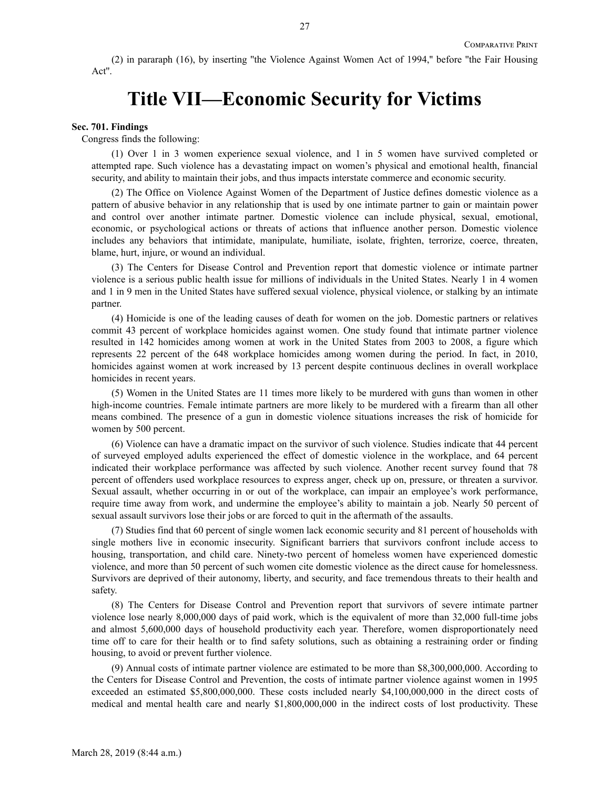(2) in pararaph (16), by inserting ''the Violence Against Women Act of 1994,'' before ''the Fair Housing Act''.

# **Title VII—Economic Security for Victims**

#### **Sec. 701. Findings**

Congress finds the following:

(1) Over 1 in 3 women experience sexual violence, and 1 in 5 women have survived completed or attempted rape. Such violence has a devastating impact on women's physical and emotional health, financial security, and ability to maintain their jobs, and thus impacts interstate commerce and economic security.

(2) The Office on Violence Against Women of the Department of Justice defines domestic violence as a pattern of abusive behavior in any relationship that is used by one intimate partner to gain or maintain power and control over another intimate partner. Domestic violence can include physical, sexual, emotional, economic, or psychological actions or threats of actions that influence another person. Domestic violence includes any behaviors that intimidate, manipulate, humiliate, isolate, frighten, terrorize, coerce, threaten, blame, hurt, injure, or wound an individual.

(3) The Centers for Disease Control and Prevention report that domestic violence or intimate partner violence is a serious public health issue for millions of individuals in the United States. Nearly 1 in 4 women and 1 in 9 men in the United States have suffered sexual violence, physical violence, or stalking by an intimate partner.

(4) Homicide is one of the leading causes of death for women on the job. Domestic partners or relatives commit 43 percent of workplace homicides against women. One study found that intimate partner violence resulted in 142 homicides among women at work in the United States from 2003 to 2008, a figure which represents 22 percent of the 648 workplace homicides among women during the period. In fact, in 2010, homicides against women at work increased by 13 percent despite continuous declines in overall workplace homicides in recent years.

(5) Women in the United States are 11 times more likely to be murdered with guns than women in other high-income countries. Female intimate partners are more likely to be murdered with a firearm than all other means combined. The presence of a gun in domestic violence situations increases the risk of homicide for women by 500 percent.

(6) Violence can have a dramatic impact on the survivor of such violence. Studies indicate that 44 percent of surveyed employed adults experienced the effect of domestic violence in the workplace, and 64 percent indicated their workplace performance was affected by such violence. Another recent survey found that 78 percent of offenders used workplace resources to express anger, check up on, pressure, or threaten a survivor. Sexual assault, whether occurring in or out of the workplace, can impair an employee's work performance, require time away from work, and undermine the employee's ability to maintain a job. Nearly 50 percent of sexual assault survivors lose their jobs or are forced to quit in the aftermath of the assaults.

(7) Studies find that 60 percent of single women lack economic security and 81 percent of households with single mothers live in economic insecurity. Significant barriers that survivors confront include access to housing, transportation, and child care. Ninety-two percent of homeless women have experienced domestic violence, and more than 50 percent of such women cite domestic violence as the direct cause for homelessness. Survivors are deprived of their autonomy, liberty, and security, and face tremendous threats to their health and safety.

(8) The Centers for Disease Control and Prevention report that survivors of severe intimate partner violence lose nearly 8,000,000 days of paid work, which is the equivalent of more than 32,000 full-time jobs and almost 5,600,000 days of household productivity each year. Therefore, women disproportionately need time off to care for their health or to find safety solutions, such as obtaining a restraining order or finding housing, to avoid or prevent further violence.

(9) Annual costs of intimate partner violence are estimated to be more than \$8,300,000,000. According to the Centers for Disease Control and Prevention, the costs of intimate partner violence against women in 1995 exceeded an estimated \$5,800,000,000. These costs included nearly \$4,100,000,000 in the direct costs of medical and mental health care and nearly \$1,800,000,000 in the indirect costs of lost productivity. These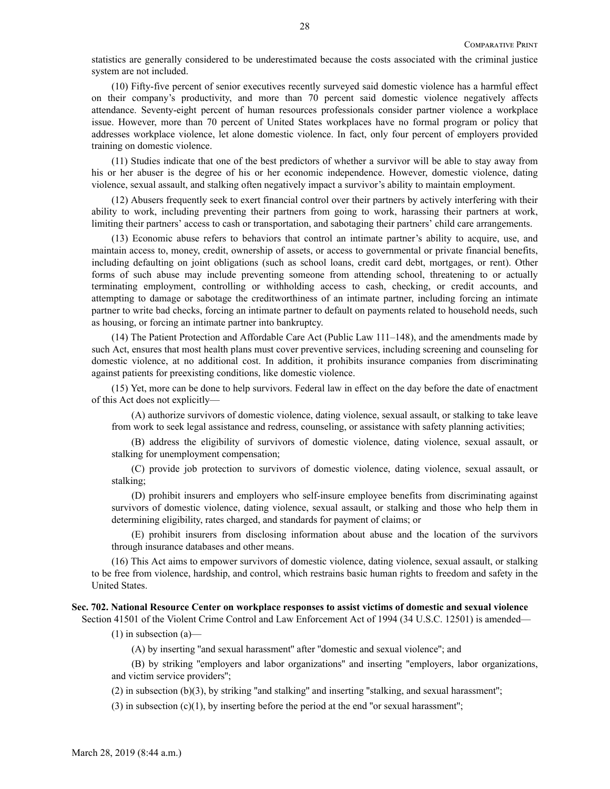statistics are generally considered to be underestimated because the costs associated with the criminal justice system are not included.

(10) Fifty-five percent of senior executives recently surveyed said domestic violence has a harmful effect on their company's productivity, and more than 70 percent said domestic violence negatively affects attendance. Seventy-eight percent of human resources professionals consider partner violence a workplace issue. However, more than 70 percent of United States workplaces have no formal program or policy that addresses workplace violence, let alone domestic violence. In fact, only four percent of employers provided training on domestic violence.

(11) Studies indicate that one of the best predictors of whether a survivor will be able to stay away from his or her abuser is the degree of his or her economic independence. However, domestic violence, dating violence, sexual assault, and stalking often negatively impact a survivor's ability to maintain employment.

(12) Abusers frequently seek to exert financial control over their partners by actively interfering with their ability to work, including preventing their partners from going to work, harassing their partners at work, limiting their partners' access to cash or transportation, and sabotaging their partners' child care arrangements.

(13) Economic abuse refers to behaviors that control an intimate partner's ability to acquire, use, and maintain access to, money, credit, ownership of assets, or access to governmental or private financial benefits, including defaulting on joint obligations (such as school loans, credit card debt, mortgages, or rent). Other forms of such abuse may include preventing someone from attending school, threatening to or actually terminating employment, controlling or withholding access to cash, checking, or credit accounts, and attempting to damage or sabotage the creditworthiness of an intimate partner, including forcing an intimate partner to write bad checks, forcing an intimate partner to default on payments related to household needs, such as housing, or forcing an intimate partner into bankruptcy.

(14) The Patient Protection and Affordable Care Act (Public Law 111–148), and the amendments made by such Act, ensures that most health plans must cover preventive services, including screening and counseling for domestic violence, at no additional cost. In addition, it prohibits insurance companies from discriminating against patients for preexisting conditions, like domestic violence.

(15) Yet, more can be done to help survivors. Federal law in effect on the day before the date of enactment of this Act does not explicitly—

(A) authorize survivors of domestic violence, dating violence, sexual assault, or stalking to take leave from work to seek legal assistance and redress, counseling, or assistance with safety planning activities;

(B) address the eligibility of survivors of domestic violence, dating violence, sexual assault, or stalking for unemployment compensation;

(C) provide job protection to survivors of domestic violence, dating violence, sexual assault, or stalking;

(D) prohibit insurers and employers who self-insure employee benefits from discriminating against survivors of domestic violence, dating violence, sexual assault, or stalking and those who help them in determining eligibility, rates charged, and standards for payment of claims; or

(E) prohibit insurers from disclosing information about abuse and the location of the survivors through insurance databases and other means.

(16) This Act aims to empower survivors of domestic violence, dating violence, sexual assault, or stalking to be free from violence, hardship, and control, which restrains basic human rights to freedom and safety in the United States.

#### **Sec. 702. National Resource Center on workplace responses to assist victims of domestic and sexual violence**

Section 41501 of the Violent Crime Control and Law Enforcement Act of 1994 (34 U.S.C. 12501) is amended—

 $(1)$  in subsection  $(a)$ —

(A) by inserting ''and sexual harassment'' after ''domestic and sexual violence''; and

(B) by striking ''employers and labor organizations'' and inserting ''employers, labor organizations, and victim service providers'';

 $(2)$  in subsection  $(b)(3)$ , by striking "and stalking" and inserting "stalking, and sexual harassment";

(3) in subsection  $(c)(1)$ , by inserting before the period at the end "or sexual harassment";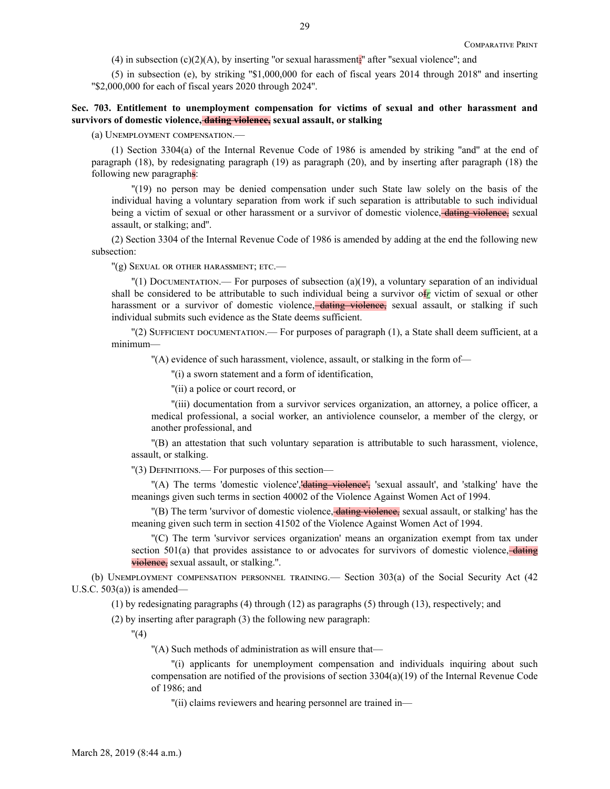(4) in subsection  $(c)(2)(A)$ , by inserting "or sexual harassment;" after "sexual violence"; and

(5) in subsection (e), by striking ''\$1,000,000 for each of fiscal years 2014 through 2018'' and inserting ''\$2,000,000 for each of fiscal years 2020 through 2024''.

## **Sec. 703. Entitlement to unemployment compensation for victims of sexual and other harassment and survivors of domestic violence, dating violence, sexual assault, or stalking**

(a) Unemployment compensation.—

(1) Section 3304(a) of the Internal Revenue Code of 1986 is amended by striking ''and'' at the end of paragraph (18), by redesignating paragraph (19) as paragraph (20), and by inserting after paragraph (18) the following new paragraphs:

''(19) no person may be denied compensation under such State law solely on the basis of the individual having a voluntary separation from work if such separation is attributable to such individual being a victim of sexual or other harassment or a survivor of domestic violence, dating violence, sexual assault, or stalking; and''.

(2) Section 3304 of the Internal Revenue Code of 1986 is amended by adding at the end the following new subsection:

''(g) Sexual or other harassment; etc.—

 $\binom{n}{1}$  Documentation.— For purposes of subsection (a)(19), a voluntary separation of an individual shall be considered to be attributable to such individual being a survivor of*r* victim of sexual or other harassment or a survivor of domestic violence, dating violence, sexual assault, or stalking if such individual submits such evidence as the State deems sufficient.

 $\Gamma(2)$  SUFFICIENT DOCUMENTATION.— For purposes of paragraph (1), a State shall deem sufficient, at a minimum—

''(A) evidence of such harassment, violence, assault, or stalking in the form of—

''(i) a sworn statement and a form of identification,

''(ii) a police or court record, or

''(iii) documentation from a survivor services organization, an attorney, a police officer, a medical professional, a social worker, an antiviolence counselor, a member of the clergy, or another professional, and

''(B) an attestation that such voluntary separation is attributable to such harassment, violence, assault, or stalking.

''(3) Definitions.— For purposes of this section—

"(A) The terms 'domestic violence', dating violence', 'sexual assault', and 'stalking' have the meanings given such terms in section 40002 of the Violence Against Women Act of 1994.

''(B) The term 'survivor of domestic violence, dating violence, sexual assault, or stalking' has the meaning given such term in section 41502 of the Violence Against Women Act of 1994.

''(C) The term 'survivor services organization' means an organization exempt from tax under section 501(a) that provides assistance to or advocates for survivors of domestic violence,  $\frac{1}{\text{dating}}$ violence, sexual assault, or stalking.".

(b) Unemployment compensation personnel training.— Section 303(a) of the Social Security Act (42 U.S.C.  $503(a)$  is amended—

(1) by redesignating paragraphs (4) through (12) as paragraphs (5) through (13), respectively; and

(2) by inserting after paragraph (3) the following new paragraph:

 $"(4)$ 

''(A) Such methods of administration as will ensure that—

''(i) applicants for unemployment compensation and individuals inquiring about such compensation are notified of the provisions of section 3304(a)(19) of the Internal Revenue Code of 1986; and

''(ii) claims reviewers and hearing personnel are trained in—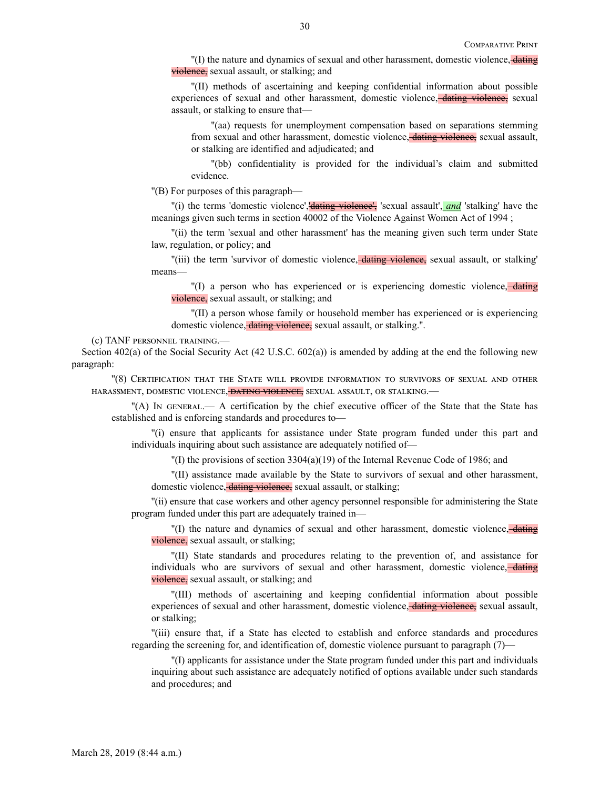"(I) the nature and dynamics of sexual and other harassment, domestic violence, dating violence, sexual assault, or stalking; and

''(II) methods of ascertaining and keeping confidential information about possible experiences of sexual and other harassment, domestic violence, dating violence, sexual assault, or stalking to ensure that—

''(aa) requests for unemployment compensation based on separations stemming from sexual and other harassment, domestic violence, dating violence, sexual assault, or stalking are identified and adjudicated; and

''(bb) confidentiality is provided for the individual's claim and submitted evidence.

''(B) For purposes of this paragraph—

"(i) the terms 'domestic violence', dating violence', 'sexual assault', **and** 'stalking' have the meanings given such terms in section 40002 of the Violence Against Women Act of 1994 ;

''(ii) the term 'sexual and other harassment' has the meaning given such term under State law, regulation, or policy; and

"(iii) the term 'survivor of domestic violence, dating violence, sexual assault, or stalking' means—

''(I) a person who has experienced or is experiencing domestic violence, dating violence, sexual assault, or stalking; and

''(II) a person whose family or household member has experienced or is experiencing domestic violence, *dating violence*, sexual assault, or stalking.".

(c) TANF personnel training.—

Section 402(a) of the Social Security Act (42 U.S.C. 602(a)) is amended by adding at the end the following new paragraph:

''(8) Certification that the State will provide information to survivors of sexual and other harassment, domestic violence, dating violence, sexual assault, or stalking.—

''(A) In general.— A certification by the chief executive officer of the State that the State has established and is enforcing standards and procedures to—

''(i) ensure that applicants for assistance under State program funded under this part and individuals inquiring about such assistance are adequately notified of—

 $''(I)$  the provisions of section 3304(a)(19) of the Internal Revenue Code of 1986; and

''(II) assistance made available by the State to survivors of sexual and other harassment, domestic violence, dating violence, sexual assault, or stalking;

''(ii) ensure that case workers and other agency personnel responsible for administering the State program funded under this part are adequately trained in—

''(I) the nature and dynamics of sexual and other harassment, domestic violence, dating violence, sexual assault, or stalking;

''(II) State standards and procedures relating to the prevention of, and assistance for individuals who are survivors of sexual and other harassment, domestic violence, dating violence, sexual assault, or stalking; and

''(III) methods of ascertaining and keeping confidential information about possible experiences of sexual and other harassment, domestic violence, dating violence, sexual assault, or stalking;

''(iii) ensure that, if a State has elected to establish and enforce standards and procedures regarding the screening for, and identification of, domestic violence pursuant to paragraph (7)—

''(I) applicants for assistance under the State program funded under this part and individuals inquiring about such assistance are adequately notified of options available under such standards and procedures; and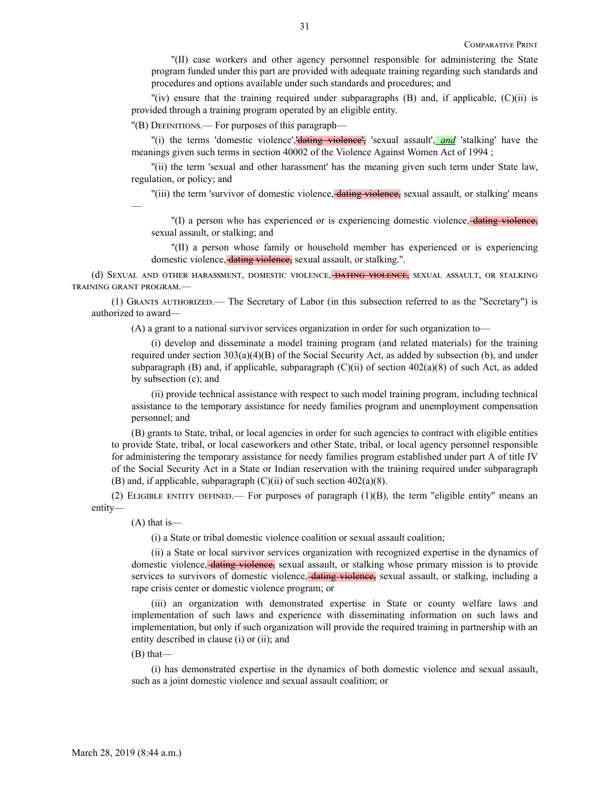''(II) case workers and other agency personnel responsible for administering the State program funded under this part are provided with adequate training regarding such standards and procedures and options available under such standards and procedures; and

 $\Gamma$ (iv) ensure that the training required under subparagraphs (B) and, if applicable, (C)(ii) is provided through a training program operated by an eligible entity.

''(B) Definitions.— For purposes of this paragraph—

''(i) the terms 'domestic violence','dating violence', 'sexual assault', *and* 'stalking' have the meanings given such terms in section 40002 of the Violence Against Women Act of 1994 ;

''(ii) the term 'sexual and other harassment' has the meaning given such term under State law, regulation, or policy; and

"(iii) the term 'survivor of domestic violence, dating violence, sexual assault, or stalking' means  $\overline{\phantom{a}}$ 

''(I) a person who has experienced or is experiencing domestic violence, dating violence, sexual assault, or stalking; and

''(II) a person whose family or household member has experienced or is experiencing domestic violence, dating violence, sexual assault, or stalking.''.

(d) SEXUAL AND OTHER HARASSMENT, DOMESTIC VIOLENCE, DATING VIOLENCE, SEXUAL ASSAULT, OR STALKING training grant program.—

(1) Grants authorized.— The Secretary of Labor (in this subsection referred to as the ''Secretary'') is authorized to award—

(A) a grant to a national survivor services organization in order for such organization to—

(i) develop and disseminate a model training program (and related materials) for the training required under section 303(a)(4)(B) of the Social Security Act, as added by subsection (b), and under subparagraph (B) and, if applicable, subparagraph (C)(ii) of section  $402(a)(8)$  of such Act, as added by subsection (c); and

(ii) provide technical assistance with respect to such model training program, including technical assistance to the temporary assistance for needy families program and unemployment compensation personnel; and

(B) grants to State, tribal, or local agencies in order for such agencies to contract with eligible entities to provide State, tribal, or local caseworkers and other State, tribal, or local agency personnel responsible for administering the temporary assistance for needy families program established under part A of title IV of the Social Security Act in a State or Indian reservation with the training required under subparagraph (B) and, if applicable, subparagraph  $(C)(ii)$  of such section 402(a)(8).

(2) ELIGIBLE ENTITY DEFINED.— For purposes of paragraph  $(1)(B)$ , the term "eligible entity" means an entity—

(A) that is—

(i) a State or tribal domestic violence coalition or sexual assault coalition;

(ii) a State or local survivor services organization with recognized expertise in the dynamics of domestic violence, dating violence, sexual assault, or stalking whose primary mission is to provide services to survivors of domestic violence, dating violence, sexual assault, or stalking, including a rape crisis center or domestic violence program; or

(iii) an organization with demonstrated expertise in State or county welfare laws and implementation of such laws and experience with disseminating information on such laws and implementation, but only if such organization will provide the required training in partnership with an entity described in clause (i) or (ii); and

(B) that—

(i) has demonstrated expertise in the dynamics of both domestic violence and sexual assault, such as a joint domestic violence and sexual assault coalition; or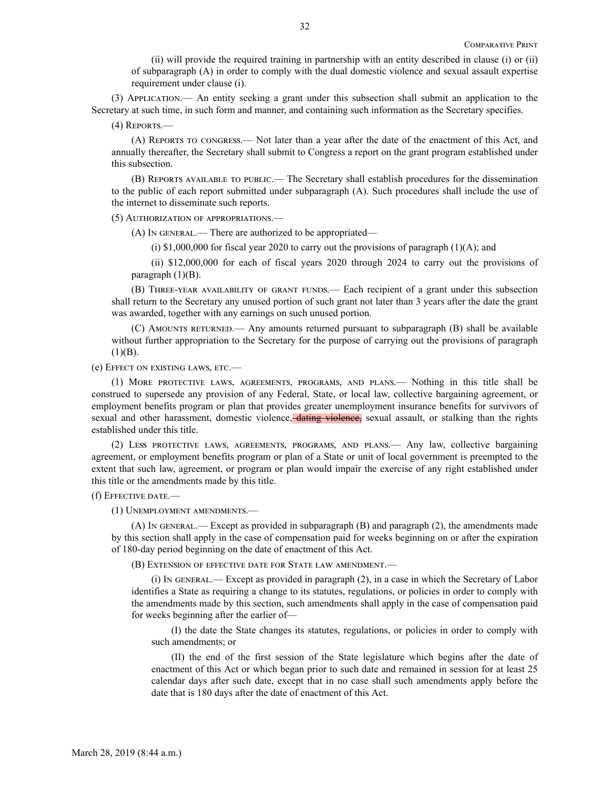(ii) will provide the required training in partnership with an entity described in clause (i) or (ii) of subparagraph (A) in order to comply with the dual domestic violence and sexual assault expertise requirement under clause (i).

(3) Application.— An entity seeking a grant under this subsection shall submit an application to the Secretary at such time, in such form and manner, and containing such information as the Secretary specifies.

(4) Reports.—

(A) Reports to congress.— Not later than a year after the date of the enactment of this Act, and annually thereafter, the Secretary shall submit to Congress a report on the grant program established under this subsection.

(B) Reports available to public.— The Secretary shall establish procedures for the dissemination to the public of each report submitted under subparagraph (A). Such procedures shall include the use of the internet to disseminate such reports.

(5) Authorization of appropriations.—

(A) In general.— There are authorized to be appropriated—

(i)  $$1,000,000$  for fiscal year 2020 to carry out the provisions of paragraph (1)(A); and

(ii) \$12,000,000 for each of fiscal years 2020 through 2024 to carry out the provisions of paragraph  $(1)(B)$ .

(B) Three-year availability of grant funds.— Each recipient of a grant under this subsection shall return to the Secretary any unused portion of such grant not later than 3 years after the date the grant was awarded, together with any earnings on such unused portion.

(C) Amounts returned.— Any amounts returned pursuant to subparagraph (B) shall be available without further appropriation to the Secretary for the purpose of carrying out the provisions of paragraph  $(1)(B)$ .

(e) Effect on existing laws, etc.—

(1) More protective laws, agreements, programs, and plans.— Nothing in this title shall be construed to supersede any provision of any Federal, State, or local law, collective bargaining agreement, or employment benefits program or plan that provides greater unemployment insurance benefits for survivors of sexual and other harassment, domestic violence, dating violence, sexual assault, or stalking than the rights established under this title.

(2) Less protective laws, agreements, programs, and plans.— Any law, collective bargaining agreement, or employment benefits program or plan of a State or unit of local government is preempted to the extent that such law, agreement, or program or plan would impair the exercise of any right established under this title or the amendments made by this title.

(f) Effective date.—

(1) Unemployment amendments.—

(A) In general.— Except as provided in subparagraph (B) and paragraph (2), the amendments made by this section shall apply in the case of compensation paid for weeks beginning on or after the expiration of 180-day period beginning on the date of enactment of this Act.

(B) Extension of effective date for State law amendment.—

(i) In general.— Except as provided in paragraph (2), in a case in which the Secretary of Labor identifies a State as requiring a change to its statutes, regulations, or policies in order to comply with the amendments made by this section, such amendments shall apply in the case of compensation paid for weeks beginning after the earlier of—

(I) the date the State changes its statutes, regulations, or policies in order to comply with such amendments; or

(II) the end of the first session of the State legislature which begins after the date of enactment of this Act or which began prior to such date and remained in session for at least 25 calendar days after such date, except that in no case shall such amendments apply before the date that is 180 days after the date of enactment of this Act.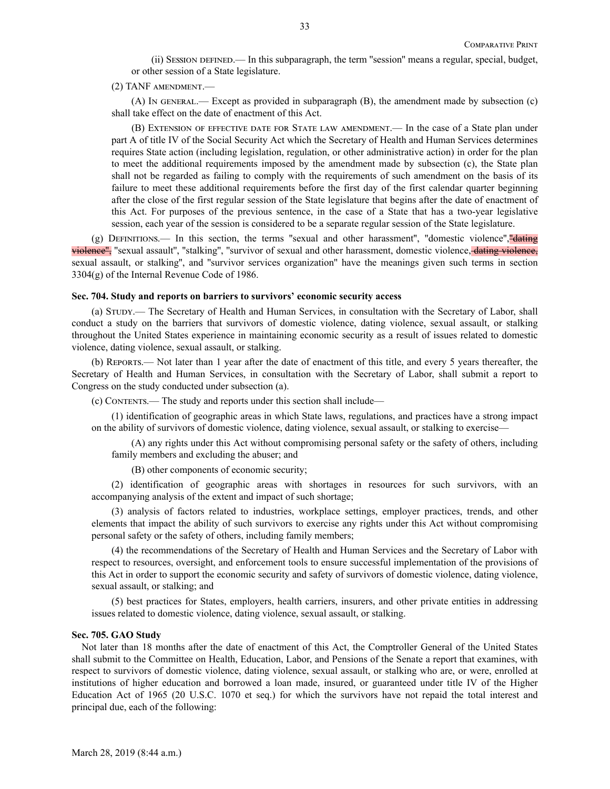(ii) Session defined.— In this subparagraph, the term ''session'' means a regular, special, budget, or other session of a State legislature.

(2) TANF amendment.—

(A) In general.— Except as provided in subparagraph (B), the amendment made by subsection (c) shall take effect on the date of enactment of this Act.

(B) Extension of effective date for State law amendment.— In the case of a State plan under part A of title IV of the Social Security Act which the Secretary of Health and Human Services determines requires State action (including legislation, regulation, or other administrative action) in order for the plan to meet the additional requirements imposed by the amendment made by subsection (c), the State plan shall not be regarded as failing to comply with the requirements of such amendment on the basis of its failure to meet these additional requirements before the first day of the first calendar quarter beginning after the close of the first regular session of the State legislature that begins after the date of enactment of this Act. For purposes of the previous sentence, in the case of a State that has a two-year legislative session, each year of the session is considered to be a separate regular session of the State legislature.

(g) DEFINITIONS.— In this section, the terms "sexual and other harassment", "domestic violence", "dating violence", "sexual assault", "stalking", "survivor of sexual and other harassment, domestic violence, dating violence, sexual assault, or stalking'', and ''survivor services organization'' have the meanings given such terms in section 3304(g) of the Internal Revenue Code of 1986.

#### **Sec. 704. Study and reports on barriers to survivors' economic security access**

(a) Study.— The Secretary of Health and Human Services, in consultation with the Secretary of Labor, shall conduct a study on the barriers that survivors of domestic violence, dating violence, sexual assault, or stalking throughout the United States experience in maintaining economic security as a result of issues related to domestic violence, dating violence, sexual assault, or stalking.

(b) Reports.— Not later than 1 year after the date of enactment of this title, and every 5 years thereafter, the Secretary of Health and Human Services, in consultation with the Secretary of Labor, shall submit a report to Congress on the study conducted under subsection (a).

(c) Contents.— The study and reports under this section shall include—

(1) identification of geographic areas in which State laws, regulations, and practices have a strong impact on the ability of survivors of domestic violence, dating violence, sexual assault, or stalking to exercise—

(A) any rights under this Act without compromising personal safety or the safety of others, including family members and excluding the abuser; and

(B) other components of economic security;

(2) identification of geographic areas with shortages in resources for such survivors, with an accompanying analysis of the extent and impact of such shortage;

(3) analysis of factors related to industries, workplace settings, employer practices, trends, and other elements that impact the ability of such survivors to exercise any rights under this Act without compromising personal safety or the safety of others, including family members;

(4) the recommendations of the Secretary of Health and Human Services and the Secretary of Labor with respect to resources, oversight, and enforcement tools to ensure successful implementation of the provisions of this Act in order to support the economic security and safety of survivors of domestic violence, dating violence, sexual assault, or stalking; and

(5) best practices for States, employers, health carriers, insurers, and other private entities in addressing issues related to domestic violence, dating violence, sexual assault, or stalking.

### **Sec. 705. GAO Study**

Not later than 18 months after the date of enactment of this Act, the Comptroller General of the United States shall submit to the Committee on Health, Education, Labor, and Pensions of the Senate a report that examines, with respect to survivors of domestic violence, dating violence, sexual assault, or stalking who are, or were, enrolled at institutions of higher education and borrowed a loan made, insured, or guaranteed under title IV of the Higher Education Act of 1965 (20 U.S.C. 1070 et seq.) for which the survivors have not repaid the total interest and principal due, each of the following: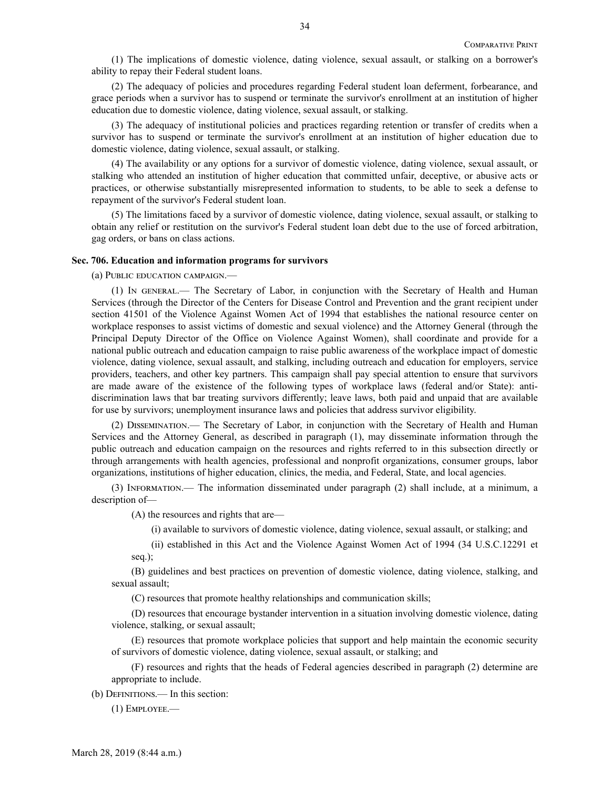(1) The implications of domestic violence, dating violence, sexual assault, or stalking on a borrower's ability to repay their Federal student loans.

(2) The adequacy of policies and procedures regarding Federal student loan deferment, forbearance, and grace periods when a survivor has to suspend or terminate the survivor's enrollment at an institution of higher education due to domestic violence, dating violence, sexual assault, or stalking.

(3) The adequacy of institutional policies and practices regarding retention or transfer of credits when a survivor has to suspend or terminate the survivor's enrollment at an institution of higher education due to domestic violence, dating violence, sexual assault, or stalking.

(4) The availability or any options for a survivor of domestic violence, dating violence, sexual assault, or stalking who attended an institution of higher education that committed unfair, deceptive, or abusive acts or practices, or otherwise substantially misrepresented information to students, to be able to seek a defense to repayment of the survivor's Federal student loan.

(5) The limitations faced by a survivor of domestic violence, dating violence, sexual assault, or stalking to obtain any relief or restitution on the survivor's Federal student loan debt due to the use of forced arbitration, gag orders, or bans on class actions.

## **Sec. 706. Education and information programs for survivors**

(a) Public education campaign.—

(1) In general.— The Secretary of Labor, in conjunction with the Secretary of Health and Human Services (through the Director of the Centers for Disease Control and Prevention and the grant recipient under section 41501 of the Violence Against Women Act of 1994 that establishes the national resource center on workplace responses to assist victims of domestic and sexual violence) and the Attorney General (through the Principal Deputy Director of the Office on Violence Against Women), shall coordinate and provide for a national public outreach and education campaign to raise public awareness of the workplace impact of domestic violence, dating violence, sexual assault, and stalking, including outreach and education for employers, service providers, teachers, and other key partners. This campaign shall pay special attention to ensure that survivors are made aware of the existence of the following types of workplace laws (federal and/or State): antidiscrimination laws that bar treating survivors differently; leave laws, both paid and unpaid that are available for use by survivors; unemployment insurance laws and policies that address survivor eligibility.

(2) Dissemination.— The Secretary of Labor, in conjunction with the Secretary of Health and Human Services and the Attorney General, as described in paragraph (1), may disseminate information through the public outreach and education campaign on the resources and rights referred to in this subsection directly or through arrangements with health agencies, professional and nonprofit organizations, consumer groups, labor organizations, institutions of higher education, clinics, the media, and Federal, State, and local agencies.

(3) Information.— The information disseminated under paragraph (2) shall include, at a minimum, a description of—

(A) the resources and rights that are—

(i) available to survivors of domestic violence, dating violence, sexual assault, or stalking; and

(ii) established in this Act and the Violence Against Women Act of 1994 (34 U.S.C.12291 et seq.);

(B) guidelines and best practices on prevention of domestic violence, dating violence, stalking, and sexual assault;

(C) resources that promote healthy relationships and communication skills;

(D) resources that encourage bystander intervention in a situation involving domestic violence, dating violence, stalking, or sexual assault;

(E) resources that promote workplace policies that support and help maintain the economic security of survivors of domestic violence, dating violence, sexual assault, or stalking; and

(F) resources and rights that the heads of Federal agencies described in paragraph (2) determine are appropriate to include.

(b) Definitions.— In this section:

(1) Employee.—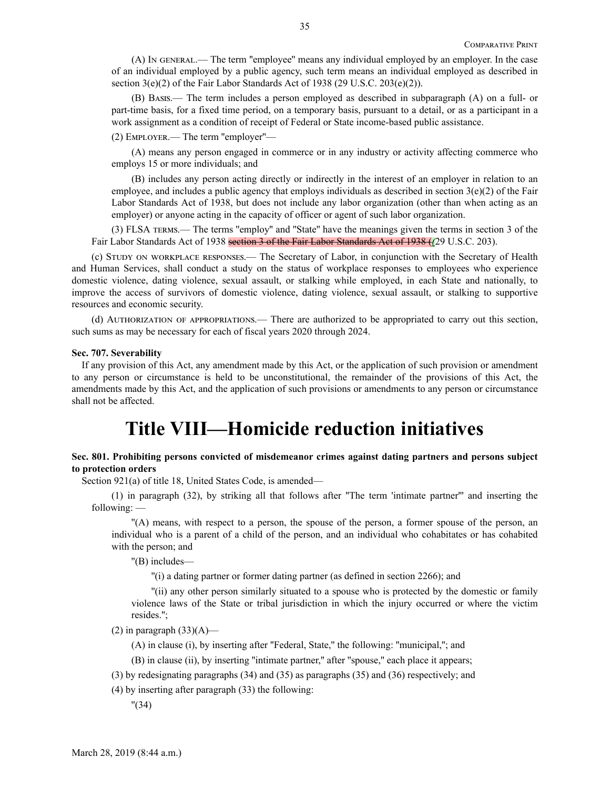(A) In general.— The term ''employee'' means any individual employed by an employer. In the case of an individual employed by a public agency, such term means an individual employed as described in section  $3(e)(2)$  of the Fair Labor Standards Act of 1938 (29 U.S.C. 203 $(e)(2)$ ).

(B) Basis.— The term includes a person employed as described in subparagraph (A) on a full- or part-time basis, for a fixed time period, on a temporary basis, pursuant to a detail, or as a participant in a work assignment as a condition of receipt of Federal or State income-based public assistance.

(2) Employer.— The term ''employer''—

(A) means any person engaged in commerce or in any industry or activity affecting commerce who employs 15 or more individuals; and

(B) includes any person acting directly or indirectly in the interest of an employer in relation to an employee, and includes a public agency that employs individuals as described in section  $3(e)(2)$  of the Fair Labor Standards Act of 1938, but does not include any labor organization (other than when acting as an employer) or anyone acting in the capacity of officer or agent of such labor organization.

(3) FLSA terms.— The terms ''employ'' and ''State'' have the meanings given the terms in section 3 of the Fair Labor Standards Act of 1938 section 3 of the Fair Labor Standards Act of 1938 (*(*29 U.S.C. 203).

(c) Study on workplace responses.— The Secretary of Labor, in conjunction with the Secretary of Health and Human Services, shall conduct a study on the status of workplace responses to employees who experience domestic violence, dating violence, sexual assault, or stalking while employed, in each State and nationally, to improve the access of survivors of domestic violence, dating violence, sexual assault, or stalking to supportive resources and economic security.

(d) Authorization of appropriations.— There are authorized to be appropriated to carry out this section, such sums as may be necessary for each of fiscal years 2020 through 2024.

#### **Sec. 707. Severability**

If any provision of this Act, any amendment made by this Act, or the application of such provision or amendment to any person or circumstance is held to be unconstitutional, the remainder of the provisions of this Act, the amendments made by this Act, and the application of such provisions or amendments to any person or circumstance shall not be affected.

## **Title VIII—Homicide reduction initiatives**

## **Sec. 801. Prohibiting persons convicted of misdemeanor crimes against dating partners and persons subject to protection orders**

Section 921(a) of title 18, United States Code, is amended—

(1) in paragraph (32), by striking all that follows after ''The term 'intimate partner''' and inserting the following: —

''(A) means, with respect to a person, the spouse of the person, a former spouse of the person, an individual who is a parent of a child of the person, and an individual who cohabitates or has cohabited with the person; and

''(B) includes—

''(i) a dating partner or former dating partner (as defined in section 2266); and

''(ii) any other person similarly situated to a spouse who is protected by the domestic or family violence laws of the State or tribal jurisdiction in which the injury occurred or where the victim resides.'';

 $(2)$  in paragraph  $(33)(A)$ —

(A) in clause (i), by inserting after ''Federal, State,'' the following: ''municipal,''; and

(B) in clause (ii), by inserting ''intimate partner,'' after ''spouse,'' each place it appears;

(3) by redesignating paragraphs (34) and (35) as paragraphs (35) and (36) respectively; and

(4) by inserting after paragraph (33) the following:

''(34)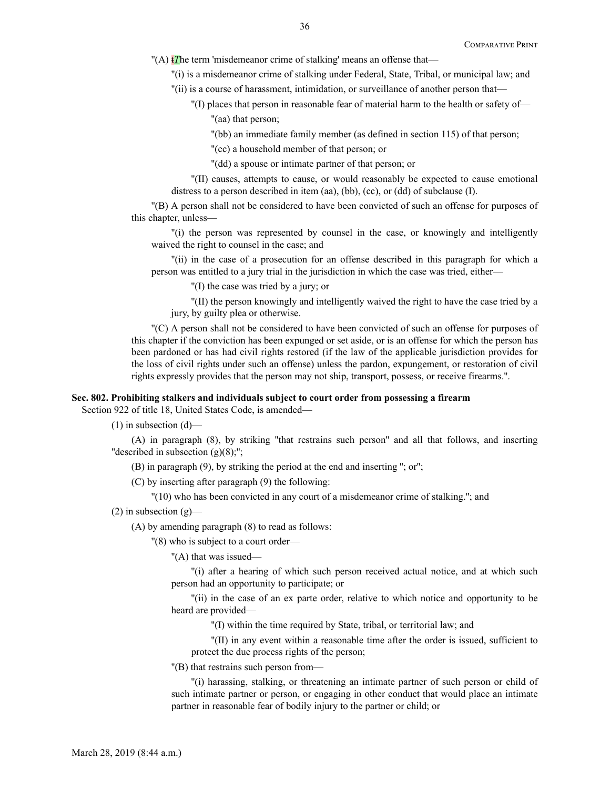- "(A) t*T*he term 'misdemeanor crime of stalking' means an offense that—
	- ''(i) is a misdemeanor crime of stalking under Federal, State, Tribal, or municipal law; and
	- ''(ii) is a course of harassment, intimidation, or surveillance of another person that—
		- ''(I) places that person in reasonable fear of material harm to the health or safety of— "(aa) that person;
			- ''(bb) an immediate family member (as defined in section 115) of that person;
			- ''(cc) a household member of that person; or
			- ''(dd) a spouse or intimate partner of that person; or
	- ''(II) causes, attempts to cause, or would reasonably be expected to cause emotional distress to a person described in item (aa), (bb), (cc), or (dd) of subclause (I).

''(B) A person shall not be considered to have been convicted of such an offense for purposes of this chapter, unless—

''(i) the person was represented by counsel in the case, or knowingly and intelligently waived the right to counsel in the case; and

''(ii) in the case of a prosecution for an offense described in this paragraph for which a person was entitled to a jury trial in the jurisdiction in which the case was tried, either—

''(I) the case was tried by a jury; or

''(II) the person knowingly and intelligently waived the right to have the case tried by a jury, by guilty plea or otherwise.

''(C) A person shall not be considered to have been convicted of such an offense for purposes of this chapter if the conviction has been expunged or set aside, or is an offense for which the person has been pardoned or has had civil rights restored (if the law of the applicable jurisdiction provides for the loss of civil rights under such an offense) unless the pardon, expungement, or restoration of civil rights expressly provides that the person may not ship, transport, possess, or receive firearms.''.

#### **Sec. 802. Prohibiting stalkers and individuals subject to court order from possessing a firearm**

Section 922 of title 18, United States Code, is amended—

 $(1)$  in subsection  $(d)$ —

(A) in paragraph (8), by striking ''that restrains such person'' and all that follows, and inserting "described in subsection  $(g)(8)$ ;";

(B) in paragraph (9), by striking the period at the end and inserting ''; or'';

(C) by inserting after paragraph (9) the following:

''(10) who has been convicted in any court of a misdemeanor crime of stalking.''; and

 $(2)$  in subsection  $(g)$ —

(A) by amending paragraph (8) to read as follows:

''(8) who is subject to a court order—

''(A) that was issued—

''(i) after a hearing of which such person received actual notice, and at which such person had an opportunity to participate; or

''(ii) in the case of an ex parte order, relative to which notice and opportunity to be heard are provided—

''(I) within the time required by State, tribal, or territorial law; and

''(II) in any event within a reasonable time after the order is issued, sufficient to protect the due process rights of the person;

''(B) that restrains such person from—

''(i) harassing, stalking, or threatening an intimate partner of such person or child of such intimate partner or person, or engaging in other conduct that would place an intimate partner in reasonable fear of bodily injury to the partner or child; or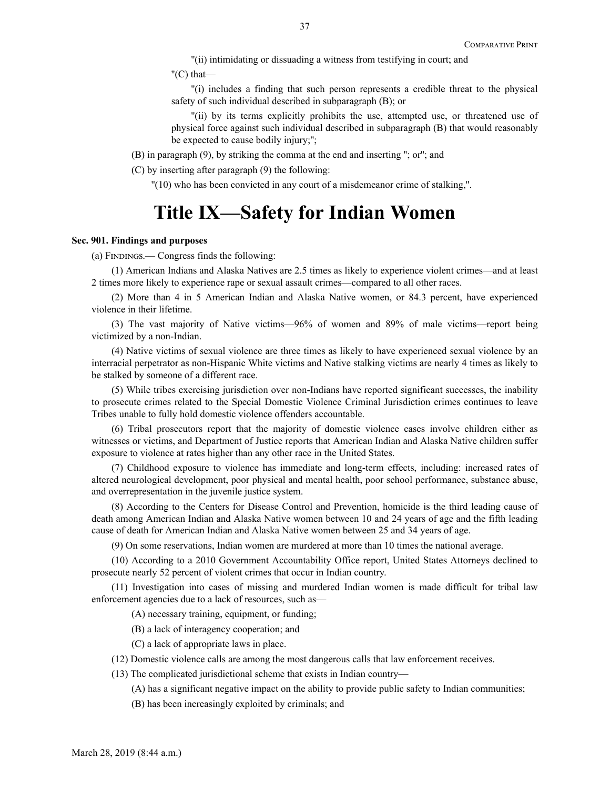''(ii) intimidating or dissuading a witness from testifying in court; and

 $''(C)$  that—

''(i) includes a finding that such person represents a credible threat to the physical safety of such individual described in subparagraph (B); or

''(ii) by its terms explicitly prohibits the use, attempted use, or threatened use of physical force against such individual described in subparagraph (B) that would reasonably be expected to cause bodily injury;'';

(B) in paragraph (9), by striking the comma at the end and inserting ''; or''; and

(C) by inserting after paragraph (9) the following:

''(10) who has been convicted in any court of a misdemeanor crime of stalking,''.

# **Title IX—Safety for Indian Women**

## **Sec. 901. Findings and purposes**

(a) Findings.— Congress finds the following:

(1) American Indians and Alaska Natives are 2.5 times as likely to experience violent crimes—and at least 2 times more likely to experience rape or sexual assault crimes—compared to all other races.

(2) More than 4 in 5 American Indian and Alaska Native women, or 84.3 percent, have experienced violence in their lifetime.

(3) The vast majority of Native victims—96% of women and 89% of male victims—report being victimized by a non-Indian.

(4) Native victims of sexual violence are three times as likely to have experienced sexual violence by an interracial perpetrator as non-Hispanic White victims and Native stalking victims are nearly 4 times as likely to be stalked by someone of a different race.

(5) While tribes exercising jurisdiction over non-Indians have reported significant successes, the inability to prosecute crimes related to the Special Domestic Violence Criminal Jurisdiction crimes continues to leave Tribes unable to fully hold domestic violence offenders accountable.

(6) Tribal prosecutors report that the majority of domestic violence cases involve children either as witnesses or victims, and Department of Justice reports that American Indian and Alaska Native children suffer exposure to violence at rates higher than any other race in the United States.

(7) Childhood exposure to violence has immediate and long-term effects, including: increased rates of altered neurological development, poor physical and mental health, poor school performance, substance abuse, and overrepresentation in the juvenile justice system.

(8) According to the Centers for Disease Control and Prevention, homicide is the third leading cause of death among American Indian and Alaska Native women between 10 and 24 years of age and the fifth leading cause of death for American Indian and Alaska Native women between 25 and 34 years of age.

(9) On some reservations, Indian women are murdered at more than 10 times the national average.

(10) According to a 2010 Government Accountability Office report, United States Attorneys declined to prosecute nearly 52 percent of violent crimes that occur in Indian country.

(11) Investigation into cases of missing and murdered Indian women is made difficult for tribal law enforcement agencies due to a lack of resources, such as—

(A) necessary training, equipment, or funding;

(B) a lack of interagency cooperation; and

(C) a lack of appropriate laws in place.

(12) Domestic violence calls are among the most dangerous calls that law enforcement receives.

(13) The complicated jurisdictional scheme that exists in Indian country—

(A) has a significant negative impact on the ability to provide public safety to Indian communities;

(B) has been increasingly exploited by criminals; and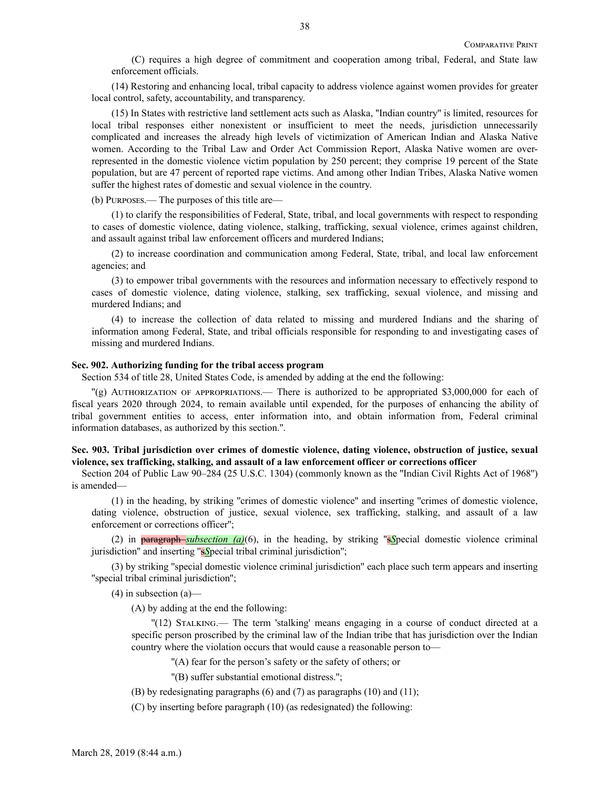(C) requires a high degree of commitment and cooperation among tribal, Federal, and State law enforcement officials.

(14) Restoring and enhancing local, tribal capacity to address violence against women provides for greater local control, safety, accountability, and transparency.

(15) In States with restrictive land settlement acts such as Alaska, ''Indian country'' is limited, resources for local tribal responses either nonexistent or insufficient to meet the needs, jurisdiction unnecessarily complicated and increases the already high levels of victimization of American Indian and Alaska Native women. According to the Tribal Law and Order Act Commission Report, Alaska Native women are overrepresented in the domestic violence victim population by 250 percent; they comprise 19 percent of the State population, but are 47 percent of reported rape victims. And among other Indian Tribes, Alaska Native women suffer the highest rates of domestic and sexual violence in the country.

(b) Purposes.— The purposes of this title are—

(1) to clarify the responsibilities of Federal, State, tribal, and local governments with respect to responding to cases of domestic violence, dating violence, stalking, trafficking, sexual violence, crimes against children, and assault against tribal law enforcement officers and murdered Indians;

(2) to increase coordination and communication among Federal, State, tribal, and local law enforcement agencies; and

(3) to empower tribal governments with the resources and information necessary to effectively respond to cases of domestic violence, dating violence, stalking, sex trafficking, sexual violence, and missing and murdered Indians; and

(4) to increase the collection of data related to missing and murdered Indians and the sharing of information among Federal, State, and tribal officials responsible for responding to and investigating cases of missing and murdered Indians.

## **Sec. 902. Authorizing funding for the tribal access program**

Section 534 of title 28, United States Code, is amended by adding at the end the following:

''(g) Authorization of appropriations.— There is authorized to be appropriated \$3,000,000 for each of fiscal years 2020 through 2024, to remain available until expended, for the purposes of enhancing the ability of tribal government entities to access, enter information into, and obtain information from, Federal criminal information databases, as authorized by this section.''.

## **Sec. 903. Tribal jurisdiction over crimes of domestic violence, dating violence, obstruction of justice, sexual violence, sex trafficking, stalking, and assault of a law enforcement officer or corrections officer**

Section 204 of Public Law 90–284 (25 U.S.C. 1304) (commonly known as the ''Indian Civil Rights Act of 1968'') is amended—

(1) in the heading, by striking ''crimes of domestic violence'' and inserting ''crimes of domestic violence, dating violence, obstruction of justice, sexual violence, sex trafficking, stalking, and assault of a law enforcement or corrections officer'';

(2) in paragraph *subsection (a)*(6), in the heading, by striking ''s*S*pecial domestic violence criminal jurisdiction'' and inserting ''s*S*pecial tribal criminal jurisdiction'';

(3) by striking ''special domestic violence criminal jurisdiction'' each place such term appears and inserting ''special tribal criminal jurisdiction'';

(4) in subsection (a)—

(A) by adding at the end the following:

''(12) Stalking.— The term 'stalking' means engaging in a course of conduct directed at a specific person proscribed by the criminal law of the Indian tribe that has jurisdiction over the Indian country where the violation occurs that would cause a reasonable person to—

''(A) fear for the person's safety or the safety of others; or

''(B) suffer substantial emotional distress.'';

(B) by redesignating paragraphs (6) and (7) as paragraphs (10) and (11);

(C) by inserting before paragraph (10) (as redesignated) the following: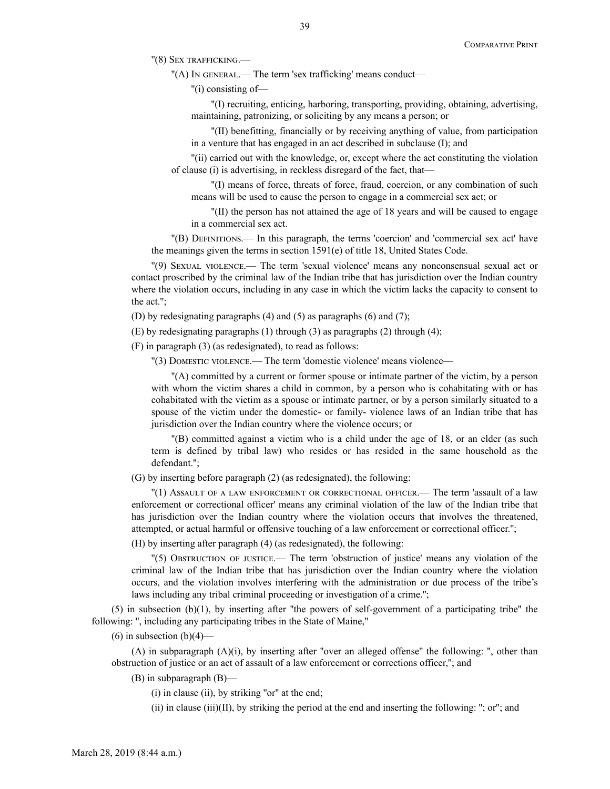''(8) Sex trafficking.—

''(A) In general.— The term 'sex trafficking' means conduct—

''(i) consisting of—

''(I) recruiting, enticing, harboring, transporting, providing, obtaining, advertising, maintaining, patronizing, or soliciting by any means a person; or

''(II) benefitting, financially or by receiving anything of value, from participation in a venture that has engaged in an act described in subclause (I); and

''(ii) carried out with the knowledge, or, except where the act constituting the violation of clause (i) is advertising, in reckless disregard of the fact, that—

''(I) means of force, threats of force, fraud, coercion, or any combination of such means will be used to cause the person to engage in a commercial sex act; or

''(II) the person has not attained the age of 18 years and will be caused to engage in a commercial sex act.

''(B) Definitions.— In this paragraph, the terms 'coercion' and 'commercial sex act' have the meanings given the terms in section 1591(e) of title 18, United States Code.

''(9) Sexual violence.— The term 'sexual violence' means any nonconsensual sexual act or contact proscribed by the criminal law of the Indian tribe that has jurisdiction over the Indian country where the violation occurs, including in any case in which the victim lacks the capacity to consent to the act.'';

(D) by redesignating paragraphs (4) and (5) as paragraphs (6) and (7);

(E) by redesignating paragraphs (1) through (3) as paragraphs (2) through (4);

(F) in paragraph (3) (as redesignated), to read as follows:

''(3) Domestic violence.— The term 'domestic violence' means violence—

''(A) committed by a current or former spouse or intimate partner of the victim, by a person with whom the victim shares a child in common, by a person who is cohabitating with or has cohabitated with the victim as a spouse or intimate partner, or by a person similarly situated to a spouse of the victim under the domestic- or family- violence laws of an Indian tribe that has jurisdiction over the Indian country where the violence occurs; or

''(B) committed against a victim who is a child under the age of 18, or an elder (as such term is defined by tribal law) who resides or has resided in the same household as the defendant.'';

(G) by inserting before paragraph (2) (as redesignated), the following:

''(1) Assault of a law enforcement or correctional officer.— The term 'assault of a law enforcement or correctional officer' means any criminal violation of the law of the Indian tribe that has jurisdiction over the Indian country where the violation occurs that involves the threatened, attempted, or actual harmful or offensive touching of a law enforcement or correctional officer.'';

(H) by inserting after paragraph (4) (as redesignated), the following:

''(5) Obstruction of justice.— The term 'obstruction of justice' means any violation of the criminal law of the Indian tribe that has jurisdiction over the Indian country where the violation occurs, and the violation involves interfering with the administration or due process of the tribe's laws including any tribal criminal proceeding or investigation of a crime.'';

 $(5)$  in subsection (b)(1), by inserting after "the powers of self-government of a participating tribe" the following: '', including any participating tribes in the State of Maine,''

 $(6)$  in subsection  $(b)(4)$ —

(A) in subparagraph  $(A)(i)$ , by inserting after "over an alleged offense" the following: ", other than obstruction of justice or an act of assault of a law enforcement or corrections officer,''; and

(B) in subparagraph (B)—

(i) in clause (ii), by striking ''or'' at the end;

(ii) in clause (iii)(II), by striking the period at the end and inserting the following: "; or"; and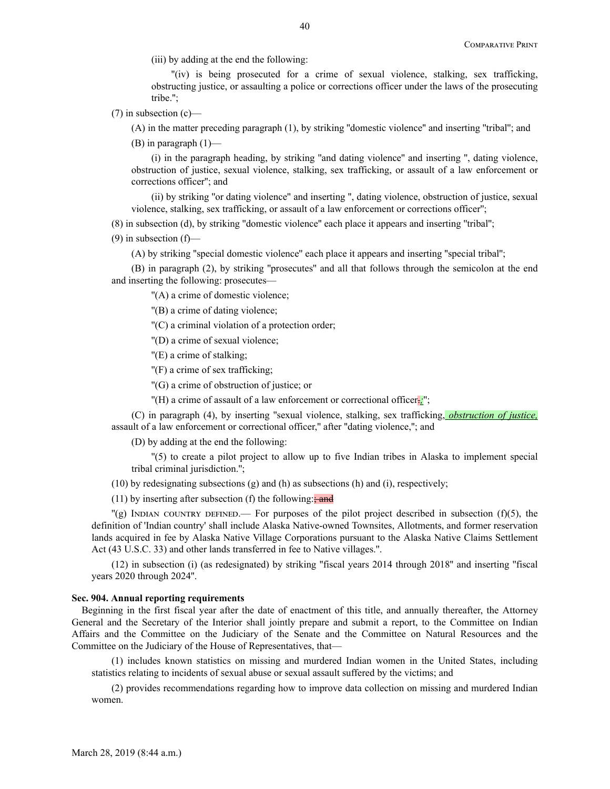(iii) by adding at the end the following:

"(iv) is being prosecuted for a crime of sexual violence, stalking, sex trafficking, obstructing justice, or assaulting a police or corrections officer under the laws of the prosecuting tribe.'';

 $(7)$  in subsection  $(c)$ —

(A) in the matter preceding paragraph (1), by striking ''domestic violence'' and inserting ''tribal''; and

(B) in paragraph (1)—

(i) in the paragraph heading, by striking ''and dating violence'' and inserting '', dating violence, obstruction of justice, sexual violence, stalking, sex trafficking, or assault of a law enforcement or corrections officer''; and

(ii) by striking ''or dating violence'' and inserting '', dating violence, obstruction of justice, sexual violence, stalking, sex trafficking, or assault of a law enforcement or corrections officer'';

(8) in subsection (d), by striking ''domestic violence'' each place it appears and inserting ''tribal'';

 $(9)$  in subsection  $(f)$ —

(A) by striking ''special domestic violence'' each place it appears and inserting ''special tribal'';

(B) in paragraph (2), by striking ''prosecutes'' and all that follows through the semicolon at the end and inserting the following: prosecutes—

''(A) a crime of domestic violence;

''(B) a crime of dating violence;

''(C) a criminal violation of a protection order;

''(D) a crime of sexual violence;

''(E) a crime of stalking;

''(F) a crime of sex trafficking;

''(G) a crime of obstruction of justice; or

"(H) a crime of assault of a law enforcement or correctional officer.<sup>1</sup>;";

(C) in paragraph (4), by inserting ''sexual violence, stalking, sex trafficking, *obstruction of justice,* assault of a law enforcement or correctional officer," after "dating violence,"; and

(D) by adding at the end the following:

''(5) to create a pilot project to allow up to five Indian tribes in Alaska to implement special tribal criminal jurisdiction.'';

 $(10)$  by redesignating subsections  $(g)$  and  $(h)$  as subsections  $(h)$  and  $(i)$ , respectively;

(11) by inserting after subsection (f) the following: $\frac{1}{2}$  and

 $\Gamma$ (g) INDIAN COUNTRY DEFINED.— For purposes of the pilot project described in subsection (f)(5), the definition of 'Indian country' shall include Alaska Native-owned Townsites, Allotments, and former reservation lands acquired in fee by Alaska Native Village Corporations pursuant to the Alaska Native Claims Settlement Act (43 U.S.C. 33) and other lands transferred in fee to Native villages.''.

(12) in subsection (i) (as redesignated) by striking ''fiscal years 2014 through 2018'' and inserting ''fiscal years 2020 through 2024''.

#### **Sec. 904. Annual reporting requirements**

Beginning in the first fiscal year after the date of enactment of this title, and annually thereafter, the Attorney General and the Secretary of the Interior shall jointly prepare and submit a report, to the Committee on Indian Affairs and the Committee on the Judiciary of the Senate and the Committee on Natural Resources and the Committee on the Judiciary of the House of Representatives, that—

(1) includes known statistics on missing and murdered Indian women in the United States, including statistics relating to incidents of sexual abuse or sexual assault suffered by the victims; and

(2) provides recommendations regarding how to improve data collection on missing and murdered Indian women.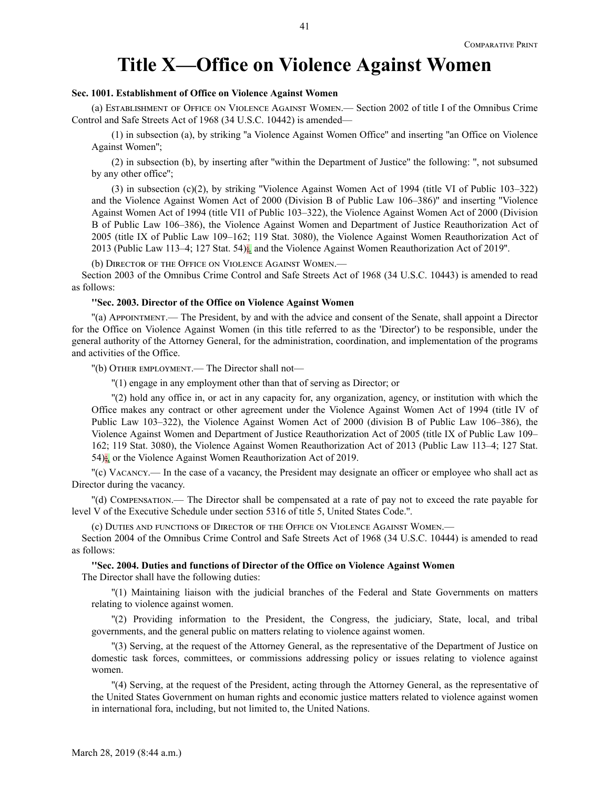## **Title X—Office on Violence Against Women**

## **Sec. 1001. Establishment of Office on Violence Against Women**

(a) Establishment of Office on Violence Against Women.— Section 2002 of title I of the Omnibus Crime Control and Safe Streets Act of 1968 (34 U.S.C. 10442) is amended—

(1) in subsection (a), by striking ''a Violence Against Women Office'' and inserting ''an Office on Violence Against Women'';

(2) in subsection (b), by inserting after ''within the Department of Justice'' the following: '', not subsumed by any other office'';

(3) in subsection (c)(2), by striking ''Violence Against Women Act of 1994 (title VI of Public 103–322) and the Violence Against Women Act of 2000 (Division B of Public Law 106–386)'' and inserting ''Violence Against Women Act of 1994 (title VI1 of Public 103–322), the Violence Against Women Act of 2000 (Division B of Public Law 106–386), the Violence Against Women and Department of Justice Reauthorization Act of 2005 (title IX of Public Law 109–162; 119 Stat. 3080), the Violence Against Women Reauthorization Act of 2013 (Public Law 113–4; 127 Stat. 54);*,* and the Violence Against Women Reauthorization Act of 2019''.

(b) Director of the Office on Violence Against Women.—

Section 2003 of the Omnibus Crime Control and Safe Streets Act of 1968 (34 U.S.C. 10443) is amended to read as follows:

#### **''Sec. 2003. Director of the Office on Violence Against Women**

''(a) Appointment.— The President, by and with the advice and consent of the Senate, shall appoint a Director for the Office on Violence Against Women (in this title referred to as the 'Director') to be responsible, under the general authority of the Attorney General, for the administration, coordination, and implementation of the programs and activities of the Office.

''(b) Other employment.— The Director shall not—

''(1) engage in any employment other than that of serving as Director; or

''(2) hold any office in, or act in any capacity for, any organization, agency, or institution with which the Office makes any contract or other agreement under the Violence Against Women Act of 1994 (title IV of Public Law 103–322), the Violence Against Women Act of 2000 (division B of Public Law 106–386), the Violence Against Women and Department of Justice Reauthorization Act of 2005 (title IX of Public Law 109– 162; 119 Stat. 3080), the Violence Against Women Reauthorization Act of 2013 (Public Law 113–4; 127 Stat. 54);*,* or the Violence Against Women Reauthorization Act of 2019.

''(c) Vacancy.— In the case of a vacancy, the President may designate an officer or employee who shall act as Director during the vacancy.

''(d) Compensation.— The Director shall be compensated at a rate of pay not to exceed the rate payable for level V of the Executive Schedule under section 5316 of title 5, United States Code.''.

(c) Duties and functions of Director of the Office on Violence Against Women.—

Section 2004 of the Omnibus Crime Control and Safe Streets Act of 1968 (34 U.S.C. 10444) is amended to read as follows:

**''Sec. 2004. Duties and functions of Director of the Office on Violence Against Women**

The Director shall have the following duties:

''(1) Maintaining liaison with the judicial branches of the Federal and State Governments on matters relating to violence against women.

''(2) Providing information to the President, the Congress, the judiciary, State, local, and tribal governments, and the general public on matters relating to violence against women.

''(3) Serving, at the request of the Attorney General, as the representative of the Department of Justice on domestic task forces, committees, or commissions addressing policy or issues relating to violence against women.

''(4) Serving, at the request of the President, acting through the Attorney General, as the representative of the United States Government on human rights and economic justice matters related to violence against women in international fora, including, but not limited to, the United Nations.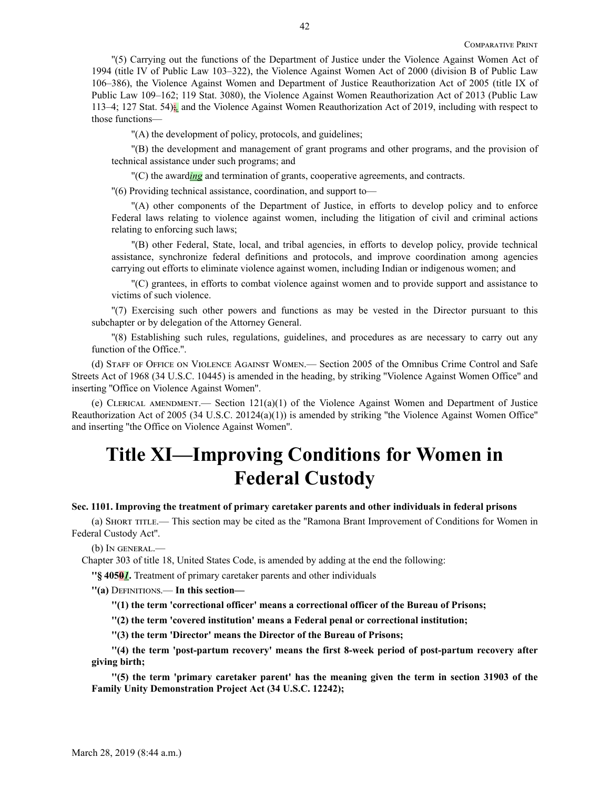''(5) Carrying out the functions of the Department of Justice under the Violence Against Women Act of 1994 (title IV of Public Law 103–322), the Violence Against Women Act of 2000 (division B of Public Law 106–386), the Violence Against Women and Department of Justice Reauthorization Act of 2005 (title IX of Public Law 109–162; 119 Stat. 3080), the Violence Against Women Reauthorization Act of 2013 (Public Law 113–4; 127 Stat. 54);*,* and the Violence Against Women Reauthorization Act of 2019, including with respect to those functions—

''(A) the development of policy, protocols, and guidelines;

''(B) the development and management of grant programs and other programs, and the provision of technical assistance under such programs; and

''(C) the award*ing* and termination of grants, cooperative agreements, and contracts.

''(6) Providing technical assistance, coordination, and support to—

''(A) other components of the Department of Justice, in efforts to develop policy and to enforce Federal laws relating to violence against women, including the litigation of civil and criminal actions relating to enforcing such laws;

''(B) other Federal, State, local, and tribal agencies, in efforts to develop policy, provide technical assistance, synchronize federal definitions and protocols, and improve coordination among agencies carrying out efforts to eliminate violence against women, including Indian or indigenous women; and

''(C) grantees, in efforts to combat violence against women and to provide support and assistance to victims of such violence.

''(7) Exercising such other powers and functions as may be vested in the Director pursuant to this subchapter or by delegation of the Attorney General.

''(8) Establishing such rules, regulations, guidelines, and procedures as are necessary to carry out any function of the Office.''.

(d) Staff of Office on Violence Against Women.— Section 2005 of the Omnibus Crime Control and Safe Streets Act of 1968 (34 U.S.C. 10445) is amended in the heading, by striking ''Violence Against Women Office'' and inserting ''Office on Violence Against Women''.

(e) CLERICAL AMENDMENT.— Section  $121(a)(1)$  of the Violence Against Women and Department of Justice Reauthorization Act of 2005 (34 U.S.C. 20124(a)(1)) is amended by striking ''the Violence Against Women Office'' and inserting ''the Office on Violence Against Women''.

# **Title XI—Improving Conditions for Women in Federal Custody**

#### **Sec. 1101. Improving the treatment of primary caretaker parents and other individuals in federal prisons**

(a) Short title.— This section may be cited as the ''Ramona Brant Improvement of Conditions for Women in Federal Custody Act''.

(b) In general.—

Chapter 303 of title 18, United States Code, is amended by adding at the end the following:

**''§ 4050***1***.** Treatment of primary caretaker parents and other individuals

**''(a)** Definitions.— **In this section—**

**''(1) the term 'correctional officer' means a correctional officer of the Bureau of Prisons;**

**''(2) the term 'covered institution' means a Federal penal or correctional institution;**

**''(3) the term 'Director' means the Director of the Bureau of Prisons;**

**''(4) the term 'post-partum recovery' means the first 8-week period of post-partum recovery after giving birth;**

**''(5) the term 'primary caretaker parent' has the meaning given the term in section 31903 of the Family Unity Demonstration Project Act (34 U.S.C. 12242);**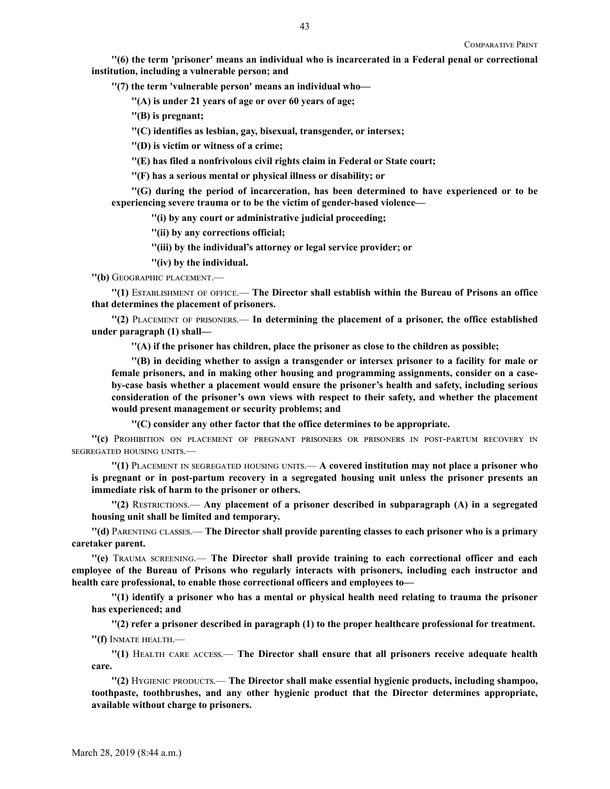**''(6) the term 'prisoner' means an individual who is incarcerated in a Federal penal or correctional institution, including a vulnerable person; and**

**''(7) the term 'vulnerable person' means an individual who—**

**''(A) is under 21 years of age or over 60 years of age;**

**''(B) is pregnant;**

**''(C) identifies as lesbian, gay, bisexual, transgender, or intersex;**

**''(D) is victim or witness of a crime;**

**''(E) has filed a nonfrivolous civil rights claim in Federal or State court;**

**''(F) has a serious mental or physical illness or disability; or**

**''(G) during the period of incarceration, has been determined to have experienced or to be experiencing severe trauma or to be the victim of gender-based violence—**

**''(i) by any court or administrative judicial proceeding;**

**''(ii) by any corrections official;**

**''(iii) by the individual's attorney or legal service provider; or**

**''(iv) by the individual.**

**''(b)** Geographic placement.—

**''(1)** Establishment of office.— **The Director shall establish within the Bureau of Prisons an office that determines the placement of prisoners.**

**''(2)** Placement of prisoners.— **In determining the placement of a prisoner, the office established under paragraph (1) shall—**

**''(A) if the prisoner has children, place the prisoner as close to the children as possible;**

**''(B) in deciding whether to assign a transgender or intersex prisoner to a facility for male or female prisoners, and in making other housing and programming assignments, consider on a caseby-case basis whether a placement would ensure the prisoner's health and safety, including serious consideration of the prisoner's own views with respect to their safety, and whether the placement would present management or security problems; and**

**''(C) consider any other factor that the office determines to be appropriate.**

**''(c)** Prohibition on placement of pregnant prisoners or prisoners in post-partum recovery in segregated housing units.—

**''(1)** Placement in segregated housing units.— **A covered institution may not place a prisoner who is pregnant or in post-partum recovery in a segregated housing unit unless the prisoner presents an immediate risk of harm to the prisoner or others.**

**''(2)** Restrictions.— **Any placement of a prisoner described in subparagraph (A) in a segregated housing unit shall be limited and temporary.**

**''(d)** Parenting classes.— **The Director shall provide parenting classes to each prisoner who is a primary caretaker parent.**

**''(e)** Trauma screening.— **The Director shall provide training to each correctional officer and each employee of the Bureau of Prisons who regularly interacts with prisoners, including each instructor and health care professional, to enable those correctional officers and employees to—**

**''(1) identify a prisoner who has a mental or physical health need relating to trauma the prisoner has experienced; and**

**''(2) refer a prisoner described in paragraph (1) to the proper healthcare professional for treatment. ''(f)** Inmate health.—

**''(1)** Health care access.— **The Director shall ensure that all prisoners receive adequate health care.**

**''(2)** Hygienic products.— **The Director shall make essential hygienic products, including shampoo, toothpaste, toothbrushes, and any other hygienic product that the Director determines appropriate, available without charge to prisoners.**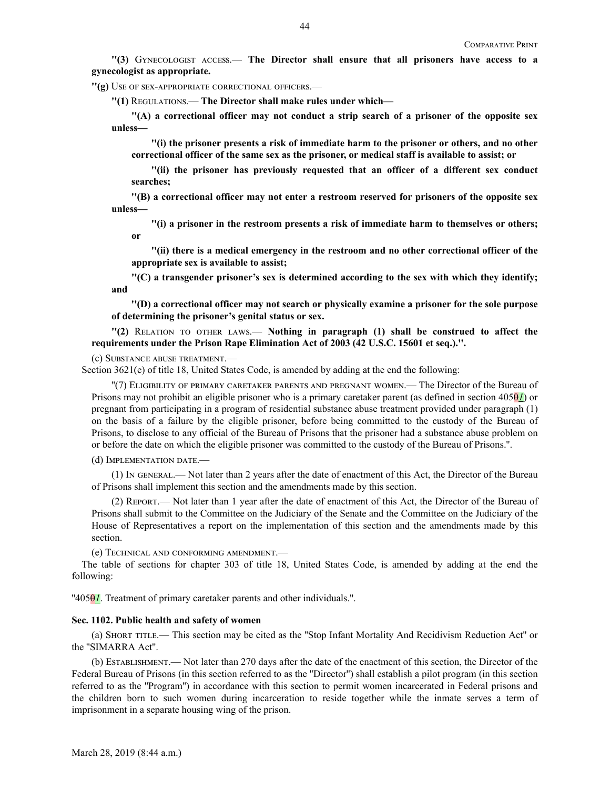**''(3)** Gynecologist access.— **The Director shall ensure that all prisoners have access to a gynecologist as appropriate.**

**''(g)** Use of sex-appropriate correctional officers.—

**''(1)** Regulations.— **The Director shall make rules under which—**

**''(A) a correctional officer may not conduct a strip search of a prisoner of the opposite sex unless—**

**''(i) the prisoner presents a risk of immediate harm to the prisoner or others, and no other correctional officer of the same sex as the prisoner, or medical staff is available to assist; or**

**''(ii) the prisoner has previously requested that an officer of a different sex conduct searches;**

**''(B) a correctional officer may not enter a restroom reserved for prisoners of the opposite sex unless—**

**''(i) a prisoner in the restroom presents a risk of immediate harm to themselves or others; or**

**''(ii) there is a medical emergency in the restroom and no other correctional officer of the appropriate sex is available to assist;**

**''(C) a transgender prisoner's sex is determined according to the sex with which they identify; and**

**''(D) a correctional officer may not search or physically examine a prisoner for the sole purpose of determining the prisoner's genital status or sex.**

**''(2)** Relation to other laws.— **Nothing in paragraph (1) shall be construed to affect the requirements under the Prison Rape Elimination Act of 2003 (42 U.S.C. 15601 et seq.).''.**

## (c) Substance abuse treatment.—

Section 3621(e) of title 18, United States Code, is amended by adding at the end the following:

''(7) Eligibility of primary caretaker parents and pregnant women.— The Director of the Bureau of Prisons may not prohibit an eligible prisoner who is a primary caretaker parent (as defined in section 4050*1*) or pregnant from participating in a program of residential substance abuse treatment provided under paragraph (1) on the basis of a failure by the eligible prisoner, before being committed to the custody of the Bureau of Prisons, to disclose to any official of the Bureau of Prisons that the prisoner had a substance abuse problem on or before the date on which the eligible prisoner was committed to the custody of the Bureau of Prisons.''.

(d) Implementation date.—

(1) In general.— Not later than 2 years after the date of enactment of this Act, the Director of the Bureau of Prisons shall implement this section and the amendments made by this section.

(2) Report.— Not later than 1 year after the date of enactment of this Act, the Director of the Bureau of Prisons shall submit to the Committee on the Judiciary of the Senate and the Committee on the Judiciary of the House of Representatives a report on the implementation of this section and the amendments made by this section.

(e) Technical and conforming amendment.—

The table of sections for chapter 303 of title 18, United States Code, is amended by adding at the end the following:

''4050*1*. Treatment of primary caretaker parents and other individuals.''.

#### **Sec. 1102. Public health and safety of women**

(a) Short title.— This section may be cited as the ''Stop Infant Mortality And Recidivism Reduction Act'' or the ''SIMARRA Act''.

(b) Establishment.— Not later than 270 days after the date of the enactment of this section, the Director of the Federal Bureau of Prisons (in this section referred to as the ''Director'') shall establish a pilot program (in this section referred to as the ''Program'') in accordance with this section to permit women incarcerated in Federal prisons and the children born to such women during incarceration to reside together while the inmate serves a term of imprisonment in a separate housing wing of the prison.

44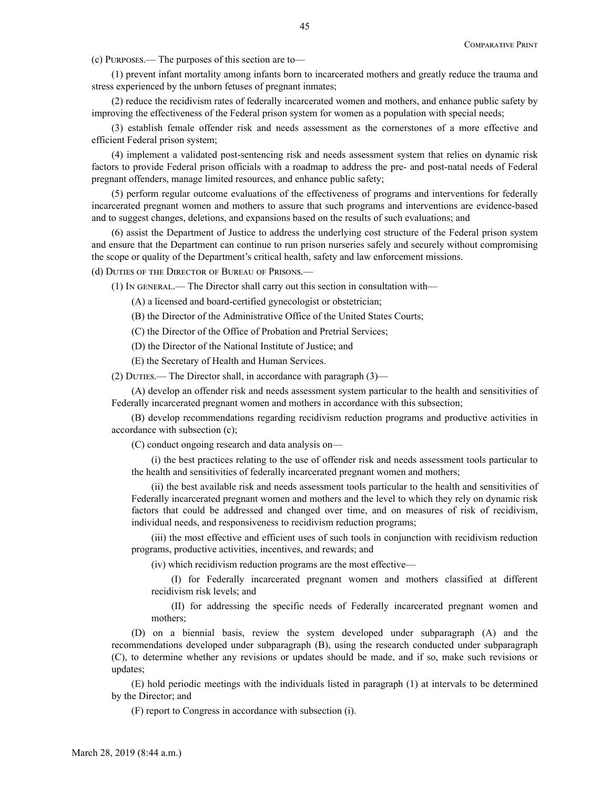(c) Purposes.— The purposes of this section are to—

(1) prevent infant mortality among infants born to incarcerated mothers and greatly reduce the trauma and stress experienced by the unborn fetuses of pregnant inmates;

(2) reduce the recidivism rates of federally incarcerated women and mothers, and enhance public safety by improving the effectiveness of the Federal prison system for women as a population with special needs;

(3) establish female offender risk and needs assessment as the cornerstones of a more effective and efficient Federal prison system;

(4) implement a validated post-sentencing risk and needs assessment system that relies on dynamic risk factors to provide Federal prison officials with a roadmap to address the pre- and post-natal needs of Federal pregnant offenders, manage limited resources, and enhance public safety;

(5) perform regular outcome evaluations of the effectiveness of programs and interventions for federally incarcerated pregnant women and mothers to assure that such programs and interventions are evidence-based and to suggest changes, deletions, and expansions based on the results of such evaluations; and

(6) assist the Department of Justice to address the underlying cost structure of the Federal prison system and ensure that the Department can continue to run prison nurseries safely and securely without compromising the scope or quality of the Department's critical health, safety and law enforcement missions.

(d) Duties of the Director of Bureau of Prisons.—

(1) In general.— The Director shall carry out this section in consultation with—

(A) a licensed and board-certified gynecologist or obstetrician;

(B) the Director of the Administrative Office of the United States Courts;

(C) the Director of the Office of Probation and Pretrial Services;

(D) the Director of the National Institute of Justice; and

(E) the Secretary of Health and Human Services.

(2) Duties.— The Director shall, in accordance with paragraph (3)—

(A) develop an offender risk and needs assessment system particular to the health and sensitivities of Federally incarcerated pregnant women and mothers in accordance with this subsection;

(B) develop recommendations regarding recidivism reduction programs and productive activities in accordance with subsection (c);

(C) conduct ongoing research and data analysis on—

(i) the best practices relating to the use of offender risk and needs assessment tools particular to the health and sensitivities of federally incarcerated pregnant women and mothers;

(ii) the best available risk and needs assessment tools particular to the health and sensitivities of Federally incarcerated pregnant women and mothers and the level to which they rely on dynamic risk factors that could be addressed and changed over time, and on measures of risk of recidivism, individual needs, and responsiveness to recidivism reduction programs;

(iii) the most effective and efficient uses of such tools in conjunction with recidivism reduction programs, productive activities, incentives, and rewards; and

(iv) which recidivism reduction programs are the most effective—

(I) for Federally incarcerated pregnant women and mothers classified at different recidivism risk levels; and

(II) for addressing the specific needs of Federally incarcerated pregnant women and mothers;

(D) on a biennial basis, review the system developed under subparagraph (A) and the recommendations developed under subparagraph (B), using the research conducted under subparagraph (C), to determine whether any revisions or updates should be made, and if so, make such revisions or updates;

(E) hold periodic meetings with the individuals listed in paragraph (1) at intervals to be determined by the Director; and

(F) report to Congress in accordance with subsection (i).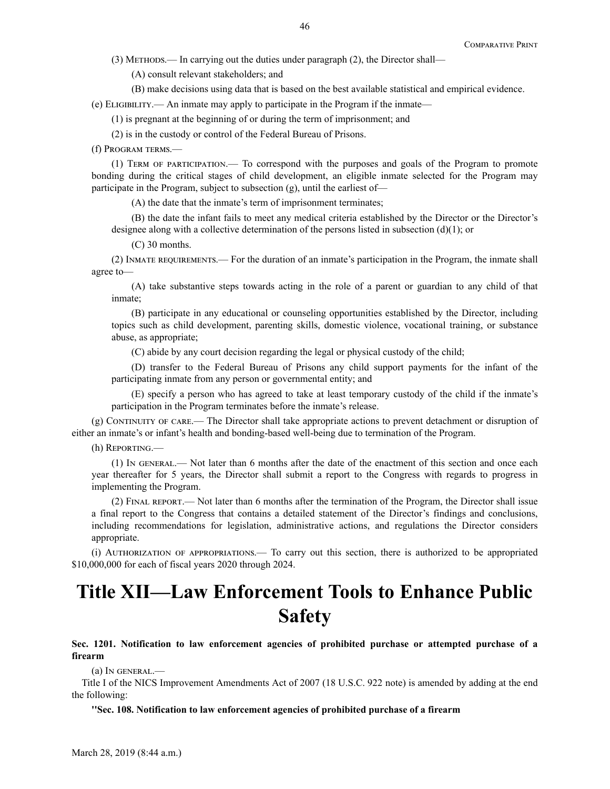(3) Methods.— In carrying out the duties under paragraph (2), the Director shall—

(A) consult relevant stakeholders; and

(B) make decisions using data that is based on the best available statistical and empirical evidence.

(e) Eligibility.— An inmate may apply to participate in the Program if the inmate—

(1) is pregnant at the beginning of or during the term of imprisonment; and

(2) is in the custody or control of the Federal Bureau of Prisons.

(f) Program terms.—

(1) Term of participation.— To correspond with the purposes and goals of the Program to promote bonding during the critical stages of child development, an eligible inmate selected for the Program may participate in the Program, subject to subsection (g), until the earliest of—

(A) the date that the inmate's term of imprisonment terminates;

(B) the date the infant fails to meet any medical criteria established by the Director or the Director's designee along with a collective determination of the persons listed in subsection (d)(1); or

(C) 30 months.

(2) Inmate requirements.— For the duration of an inmate's participation in the Program, the inmate shall agree to—

(A) take substantive steps towards acting in the role of a parent or guardian to any child of that inmate;

(B) participate in any educational or counseling opportunities established by the Director, including topics such as child development, parenting skills, domestic violence, vocational training, or substance abuse, as appropriate;

(C) abide by any court decision regarding the legal or physical custody of the child;

(D) transfer to the Federal Bureau of Prisons any child support payments for the infant of the participating inmate from any person or governmental entity; and

(E) specify a person who has agreed to take at least temporary custody of the child if the inmate's participation in the Program terminates before the inmate's release.

(g) Continuity of care.— The Director shall take appropriate actions to prevent detachment or disruption of either an inmate's or infant's health and bonding-based well-being due to termination of the Program.

(h) Reporting.—

(1) In general.— Not later than 6 months after the date of the enactment of this section and once each year thereafter for 5 years, the Director shall submit a report to the Congress with regards to progress in implementing the Program.

(2) Final report.— Not later than 6 months after the termination of the Program, the Director shall issue a final report to the Congress that contains a detailed statement of the Director's findings and conclusions, including recommendations for legislation, administrative actions, and regulations the Director considers appropriate.

(i) Authorization of appropriations.— To carry out this section, there is authorized to be appropriated \$10,000,000 for each of fiscal years 2020 through 2024.

# **Title XII—Law Enforcement Tools to Enhance Public Safety**

**Sec. 1201. Notification to law enforcement agencies of prohibited purchase or attempted purchase of a firearm**

(a) In general.—

Title I of the NICS Improvement Amendments Act of 2007 (18 U.S.C. 922 note) is amended by adding at the end the following:

**''Sec. 108. Notification to law enforcement agencies of prohibited purchase of a firearm**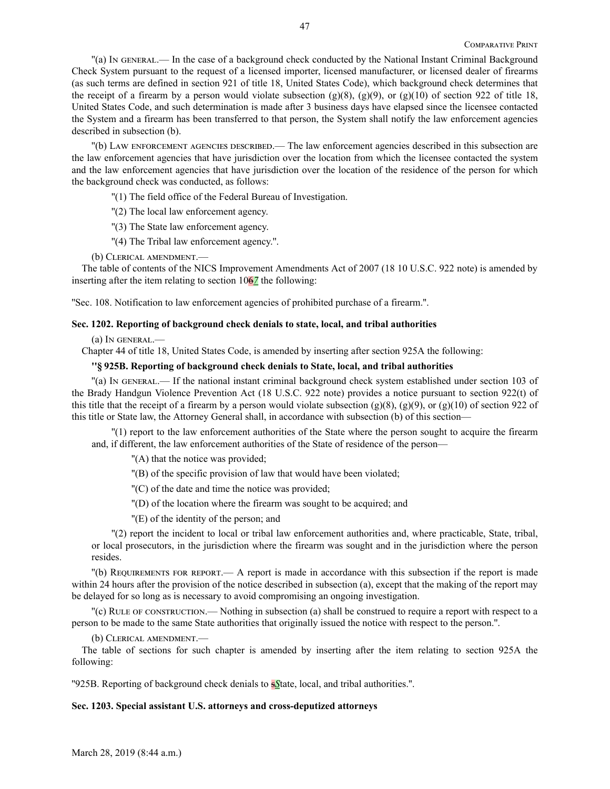''(a) In general.— In the case of a background check conducted by the National Instant Criminal Background Check System pursuant to the request of a licensed importer, licensed manufacturer, or licensed dealer of firearms (as such terms are defined in section 921 of title 18, United States Code), which background check determines that the receipt of a firearm by a person would violate subsection  $(g)(8)$ ,  $(g)(9)$ , or  $(g)(10)$  of section 922 of title 18, United States Code, and such determination is made after 3 business days have elapsed since the licensee contacted the System and a firearm has been transferred to that person, the System shall notify the law enforcement agencies described in subsection (b).

''(b) Law enforcement agencies described.— The law enforcement agencies described in this subsection are the law enforcement agencies that have jurisdiction over the location from which the licensee contacted the system and the law enforcement agencies that have jurisdiction over the location of the residence of the person for which the background check was conducted, as follows:

''(1) The field office of the Federal Bureau of Investigation.

''(2) The local law enforcement agency.

''(3) The State law enforcement agency.

''(4) The Tribal law enforcement agency.''.

(b) Clerical amendment.—

The table of contents of the NICS Improvement Amendments Act of 2007 (18 10 U.S.C. 922 note) is amended by inserting after the item relating to section 106*7* the following:

''Sec. 108. Notification to law enforcement agencies of prohibited purchase of a firearm.''.

## **Sec. 1202. Reporting of background check denials to state, local, and tribal authorities**

(a) In general.—

Chapter 44 of title 18, United States Code, is amended by inserting after section 925A the following:

## **''§ 925B. Reporting of background check denials to State, local, and tribal authorities**

''(a) In general.— If the national instant criminal background check system established under section 103 of the Brady Handgun Violence Prevention Act (18 U.S.C. 922 note) provides a notice pursuant to section 922(t) of this title that the receipt of a firearm by a person would violate subsection (g)(8), (g)(9), or (g)(10) of section 922 of this title or State law, the Attorney General shall, in accordance with subsection (b) of this section—

''(1) report to the law enforcement authorities of the State where the person sought to acquire the firearm and, if different, the law enforcement authorities of the State of residence of the person—

''(A) that the notice was provided;

''(B) of the specific provision of law that would have been violated;

''(C) of the date and time the notice was provided;

''(D) of the location where the firearm was sought to be acquired; and

''(E) of the identity of the person; and

''(2) report the incident to local or tribal law enforcement authorities and, where practicable, State, tribal, or local prosecutors, in the jurisdiction where the firearm was sought and in the jurisdiction where the person resides.

''(b) Requirements for report.— A report is made in accordance with this subsection if the report is made within 24 hours after the provision of the notice described in subsection (a), except that the making of the report may be delayed for so long as is necessary to avoid compromising an ongoing investigation.

''(c) Rule of construction.— Nothing in subsection (a) shall be construed to require a report with respect to a person to be made to the same State authorities that originally issued the notice with respect to the person.''.

(b) Clerical amendment.—

The table of sections for such chapter is amended by inserting after the item relating to section 925A the following:

''925B. Reporting of background check denials to s*S*tate, local, and tribal authorities.''.

## **Sec. 1203. Special assistant U.S. attorneys and cross-deputized attorneys**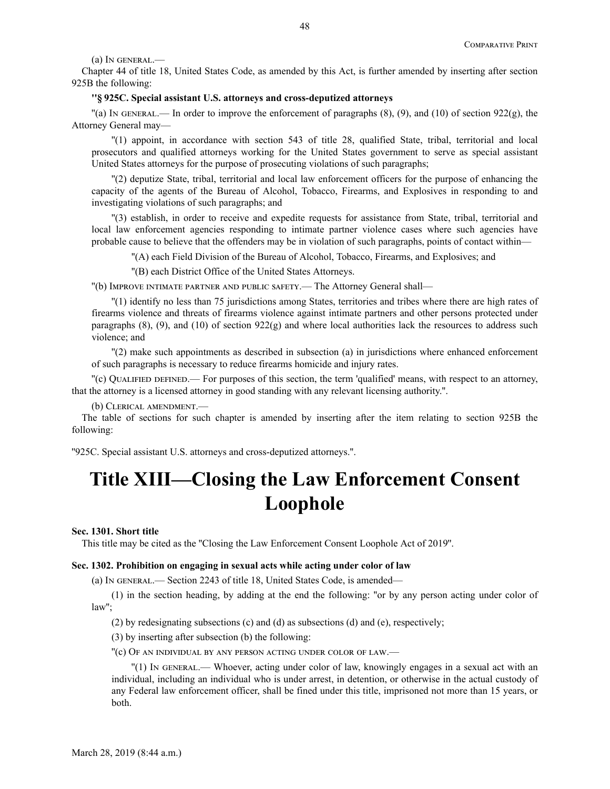(a) In general.—

Chapter 44 of title 18, United States Code, as amended by this Act, is further amended by inserting after section 925B the following:

## **''§ 925C. Special assistant U.S. attorneys and cross-deputized attorneys**

 $\lceil \cdot \rceil$  (a) In GENERAL.— In order to improve the enforcement of paragraphs (8), (9), and (10) of section 922(g), the Attorney General may—

''(1) appoint, in accordance with section 543 of title 28, qualified State, tribal, territorial and local prosecutors and qualified attorneys working for the United States government to serve as special assistant United States attorneys for the purpose of prosecuting violations of such paragraphs;

''(2) deputize State, tribal, territorial and local law enforcement officers for the purpose of enhancing the capacity of the agents of the Bureau of Alcohol, Tobacco, Firearms, and Explosives in responding to and investigating violations of such paragraphs; and

''(3) establish, in order to receive and expedite requests for assistance from State, tribal, territorial and local law enforcement agencies responding to intimate partner violence cases where such agencies have probable cause to believe that the offenders may be in violation of such paragraphs, points of contact within—

''(A) each Field Division of the Bureau of Alcohol, Tobacco, Firearms, and Explosives; and

''(B) each District Office of the United States Attorneys.

''(b) Improve intimate partner and public safety.— The Attorney General shall—

''(1) identify no less than 75 jurisdictions among States, territories and tribes where there are high rates of firearms violence and threats of firearms violence against intimate partners and other persons protected under paragraphs  $(8)$ ,  $(9)$ , and  $(10)$  of section  $922(g)$  and where local authorities lack the resources to address such violence; and

''(2) make such appointments as described in subsection (a) in jurisdictions where enhanced enforcement of such paragraphs is necessary to reduce firearms homicide and injury rates.

''(c) Qualified defined.— For purposes of this section, the term 'qualified' means, with respect to an attorney, that the attorney is a licensed attorney in good standing with any relevant licensing authority.''.

(b) Clerical amendment.—

The table of sections for such chapter is amended by inserting after the item relating to section 925B the following:

''925C. Special assistant U.S. attorneys and cross-deputized attorneys.''.

# **Title XIII—Closing the Law Enforcement Consent Loophole**

## **Sec. 1301. Short title**

This title may be cited as the ''Closing the Law Enforcement Consent Loophole Act of 2019''.

#### **Sec. 1302. Prohibition on engaging in sexual acts while acting under color of law**

(a) In general.— Section 2243 of title 18, United States Code, is amended—

(1) in the section heading, by adding at the end the following: ''or by any person acting under color of law'';

(2) by redesignating subsections (c) and (d) as subsections (d) and (e), respectively;

(3) by inserting after subsection (b) the following:

''(c) Of an individual by any person acting under color of law.—

''(1) In general.— Whoever, acting under color of law, knowingly engages in a sexual act with an individual, including an individual who is under arrest, in detention, or otherwise in the actual custody of any Federal law enforcement officer, shall be fined under this title, imprisoned not more than 15 years, or both.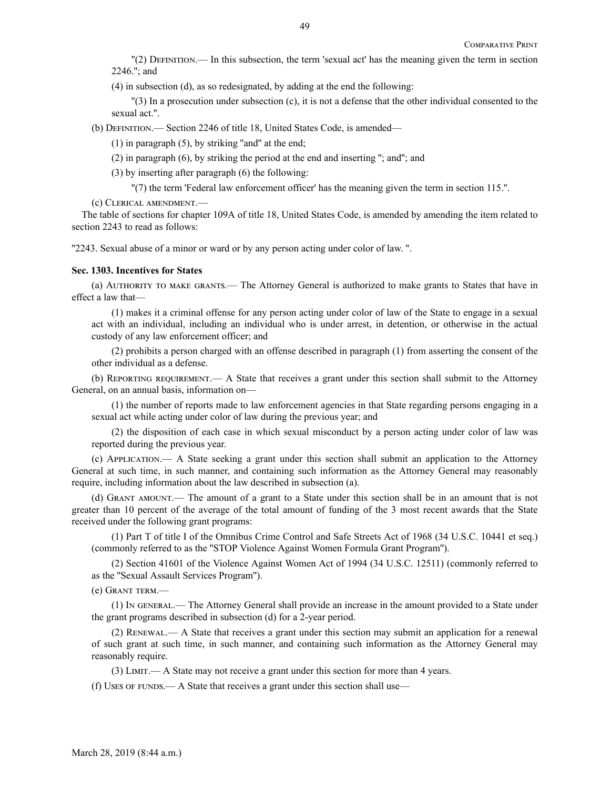''(2) Definition.— In this subsection, the term 'sexual act' has the meaning given the term in section 2246.''; and

(4) in subsection (d), as so redesignated, by adding at the end the following:

''(3) In a prosecution under subsection (c), it is not a defense that the other individual consented to the sexual act.''.

(b) Definition.— Section 2246 of title 18, United States Code, is amended—

 $(1)$  in paragraph  $(5)$ , by striking "and" at the end;

(2) in paragraph (6), by striking the period at the end and inserting ''; and''; and

(3) by inserting after paragraph (6) the following:

''(7) the term 'Federal law enforcement officer' has the meaning given the term in section 115.''.

(c) Clerical amendment.—

The table of sections for chapter 109A of title 18, United States Code, is amended by amending the item related to section 2243 to read as follows:

''2243. Sexual abuse of a minor or ward or by any person acting under color of law. ''.

#### **Sec. 1303. Incentives for States**

(a) Authority to make grants.— The Attorney General is authorized to make grants to States that have in effect a law that—

(1) makes it a criminal offense for any person acting under color of law of the State to engage in a sexual act with an individual, including an individual who is under arrest, in detention, or otherwise in the actual custody of any law enforcement officer; and

(2) prohibits a person charged with an offense described in paragraph (1) from asserting the consent of the other individual as a defense.

(b) Reporting requirement.— A State that receives a grant under this section shall submit to the Attorney General, on an annual basis, information on—

(1) the number of reports made to law enforcement agencies in that State regarding persons engaging in a sexual act while acting under color of law during the previous year; and

(2) the disposition of each case in which sexual misconduct by a person acting under color of law was reported during the previous year.

(c) Application.— A State seeking a grant under this section shall submit an application to the Attorney General at such time, in such manner, and containing such information as the Attorney General may reasonably require, including information about the law described in subsection (a).

(d) Grant amount.— The amount of a grant to a State under this section shall be in an amount that is not greater than 10 percent of the average of the total amount of funding of the 3 most recent awards that the State received under the following grant programs:

(1) Part T of title I of the Omnibus Crime Control and Safe Streets Act of 1968 (34 U.S.C. 10441 et seq.) (commonly referred to as the ''STOP Violence Against Women Formula Grant Program'').

(2) Section 41601 of the Violence Against Women Act of 1994 (34 U.S.C. 12511) (commonly referred to as the ''Sexual Assault Services Program'').

(e) Grant term.—

(1) In general.— The Attorney General shall provide an increase in the amount provided to a State under the grant programs described in subsection (d) for a 2-year period.

(2) Renewal.— A State that receives a grant under this section may submit an application for a renewal of such grant at such time, in such manner, and containing such information as the Attorney General may reasonably require.

(3) Limit.— A State may not receive a grant under this section for more than 4 years.

(f) Uses of FUNDS.— A State that receives a grant under this section shall use—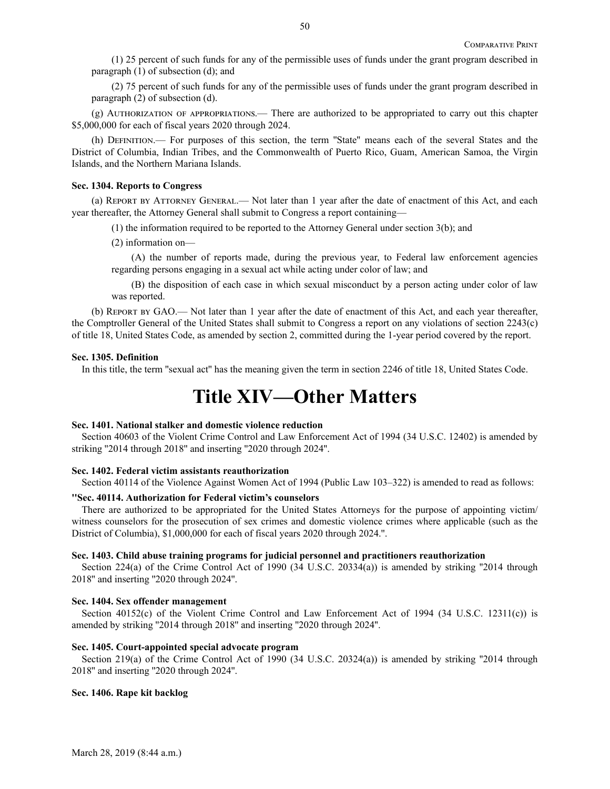(1) 25 percent of such funds for any of the permissible uses of funds under the grant program described in paragraph (1) of subsection (d); and

(2) 75 percent of such funds for any of the permissible uses of funds under the grant program described in paragraph (2) of subsection (d).

(g) Authorization of appropriations.— There are authorized to be appropriated to carry out this chapter \$5,000,000 for each of fiscal years 2020 through 2024.

(h) Definition.— For purposes of this section, the term ''State'' means each of the several States and the District of Columbia, Indian Tribes, and the Commonwealth of Puerto Rico, Guam, American Samoa, the Virgin Islands, and the Northern Mariana Islands.

#### **Sec. 1304. Reports to Congress**

(a) Report by Attorney General.— Not later than 1 year after the date of enactment of this Act, and each year thereafter, the Attorney General shall submit to Congress a report containing—

(1) the information required to be reported to the Attorney General under section 3(b); and

(2) information on—

(A) the number of reports made, during the previous year, to Federal law enforcement agencies regarding persons engaging in a sexual act while acting under color of law; and

(B) the disposition of each case in which sexual misconduct by a person acting under color of law was reported.

(b) Report by GAO.— Not later than 1 year after the date of enactment of this Act, and each year thereafter, the Comptroller General of the United States shall submit to Congress a report on any violations of section 2243(c) of title 18, United States Code, as amended by section 2, committed during the 1-year period covered by the report.

#### **Sec. 1305. Definition**

In this title, the term "sexual act" has the meaning given the term in section 2246 of title 18, United States Code.

## **Title XIV—Other Matters**

## **Sec. 1401. National stalker and domestic violence reduction**

Section 40603 of the Violent Crime Control and Law Enforcement Act of 1994 (34 U.S.C. 12402) is amended by striking ''2014 through 2018'' and inserting ''2020 through 2024''.

#### **Sec. 1402. Federal victim assistants reauthorization**

Section 40114 of the Violence Against Women Act of 1994 (Public Law 103–322) is amended to read as follows:

#### **''Sec. 40114. Authorization for Federal victim's counselors**

There are authorized to be appropriated for the United States Attorneys for the purpose of appointing victim/ witness counselors for the prosecution of sex crimes and domestic violence crimes where applicable (such as the District of Columbia), \$1,000,000 for each of fiscal years 2020 through 2024.''.

#### **Sec. 1403. Child abuse training programs for judicial personnel and practitioners reauthorization**

Section 224(a) of the Crime Control Act of 1990 (34 U.S.C. 20334(a)) is amended by striking "2014 through 2018'' and inserting ''2020 through 2024''.

#### **Sec. 1404. Sex offender management**

Section 40152(c) of the Violent Crime Control and Law Enforcement Act of 1994 (34 U.S.C. 12311(c)) is amended by striking ''2014 through 2018'' and inserting ''2020 through 2024''.

#### **Sec. 1405. Court-appointed special advocate program**

Section 219(a) of the Crime Control Act of 1990 (34 U.S.C. 20324(a)) is amended by striking "2014 through 2018'' and inserting ''2020 through 2024''.

#### **Sec. 1406. Rape kit backlog**